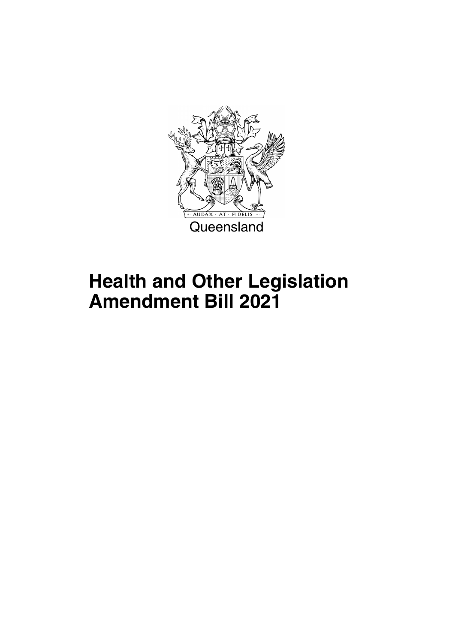

## **Health and Other Legislation Amendment Bill 2021**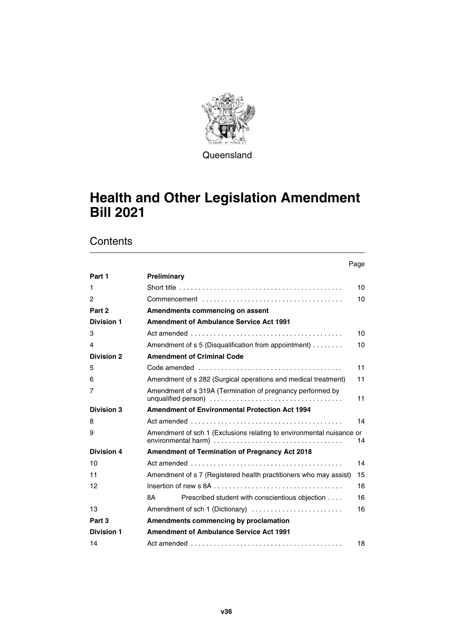

**Queensland** 

### **Health and Other Legislation Amendment Bill 2021**

|                   |                                                                                            | Page |
|-------------------|--------------------------------------------------------------------------------------------|------|
| Part 1            | Preliminary                                                                                |      |
| 1                 | Short title $\ldots \ldots \ldots \ldots \ldots \ldots \ldots \ldots \ldots \ldots \ldots$ | 10   |
| 2                 |                                                                                            | 10   |
| Part 2            | Amendments commencing on assent                                                            |      |
| <b>Division 1</b> | <b>Amendment of Ambulance Service Act 1991</b>                                             |      |
| 3                 |                                                                                            | 10   |
| 4                 | Amendment of s 5 (Disqualification from appointment)                                       | 10   |
| <b>Division 2</b> | <b>Amendment of Criminal Code</b>                                                          |      |
| 5                 |                                                                                            | 11   |
| 6                 | Amendment of s 282 (Surgical operations and medical treatment)                             | 11   |
| 7                 | Amendment of s 319A (Termination of pregnancy performed by                                 | 11   |
| <b>Division 3</b> | <b>Amendment of Environmental Protection Act 1994</b>                                      |      |
| 8                 |                                                                                            | 14   |
| 9                 | Amendment of sch 1 (Exclusions relating to environmental nuisance or                       | 14   |
| <b>Division 4</b> | <b>Amendment of Termination of Pregnancy Act 2018</b>                                      |      |
| 10                |                                                                                            | 14   |
| 11                | Amendment of s 7 (Registered health practitioners who may assist)                          | 15   |
| 12                |                                                                                            | 16   |
|                   | Prescribed student with conscientious objection<br>8A                                      | 16   |
| 13                | Amendment of sch 1 (Dictionary)                                                            | 16   |
| Part 3            | Amendments commencing by proclamation                                                      |      |
| <b>Division 1</b> | <b>Amendment of Ambulance Service Act 1991</b>                                             |      |
| 14                |                                                                                            | 18   |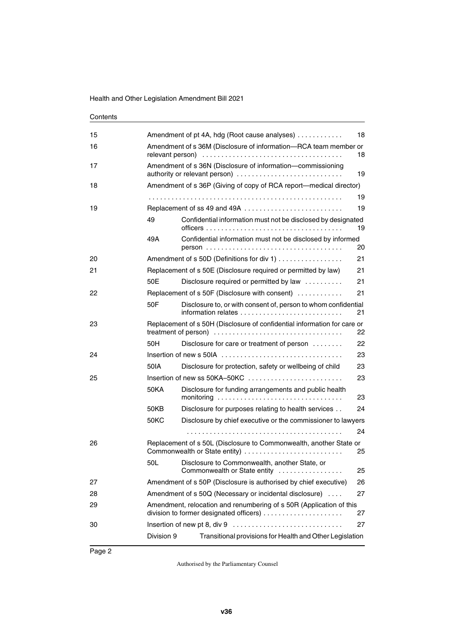| Contents |
|----------|
|----------|

| 15 |                                                                        | Amendment of pt 4A, hdg (Root cause analyses)                                                                 | 18 |  |  |  |
|----|------------------------------------------------------------------------|---------------------------------------------------------------------------------------------------------------|----|--|--|--|
| 16 | Amendment of s 36M (Disclosure of information-RCA team member or<br>18 |                                                                                                               |    |  |  |  |
| 17 |                                                                        | Amendment of s 36N (Disclosure of information-commissioning<br>authority or relevant person)<br>19            |    |  |  |  |
| 18 |                                                                        | Amendment of s 36P (Giving of copy of RCA report-medical director)                                            |    |  |  |  |
|    |                                                                        |                                                                                                               | 19 |  |  |  |
| 19 |                                                                        | Replacement of ss 49 and 49A                                                                                  | 19 |  |  |  |
|    | 49                                                                     | Confidential information must not be disclosed by designated                                                  | 19 |  |  |  |
|    | 49A                                                                    | Confidential information must not be disclosed by informed                                                    | 20 |  |  |  |
| 20 |                                                                        | Amendment of s 50D (Definitions for div 1)                                                                    | 21 |  |  |  |
| 21 |                                                                        | Replacement of s 50E (Disclosure required or permitted by law)                                                | 21 |  |  |  |
|    | 50E                                                                    | Disclosure required or permitted by law                                                                       | 21 |  |  |  |
| 22 |                                                                        | Replacement of s 50F (Disclosure with consent)                                                                | 21 |  |  |  |
|    | 50F                                                                    | Disclosure to, or with consent of, person to whom confidential                                                | 21 |  |  |  |
| 23 |                                                                        | Replacement of s 50H (Disclosure of confidential information for care or                                      | 22 |  |  |  |
|    | 50H                                                                    | Disclosure for care or treatment of person                                                                    | 22 |  |  |  |
| 24 |                                                                        | Insertion of new s 50IA $\ldots$ , $\ldots$ , $\ldots$ , $\ldots$ , $\ldots$ , $\ldots$ , $\ldots$ , $\ldots$ | 23 |  |  |  |
|    | 50IA                                                                   | Disclosure for protection, safety or wellbeing of child                                                       | 23 |  |  |  |
| 25 |                                                                        |                                                                                                               | 23 |  |  |  |
|    | 50KA                                                                   | Disclosure for funding arrangements and public health                                                         | 23 |  |  |  |
|    | 50KB                                                                   | Disclosure for purposes relating to health services                                                           | 24 |  |  |  |
|    | 50KC                                                                   | Disclosure by chief executive or the commissioner to lawyers                                                  |    |  |  |  |
|    |                                                                        |                                                                                                               | 24 |  |  |  |
| 26 |                                                                        | Replacement of s 50L (Disclosure to Commonwealth, another State or<br>Commonwealth or State entity)           | 25 |  |  |  |
|    | 50L                                                                    | Disclosure to Commonwealth, another State, or<br>Commonwealth or State entity                                 | 25 |  |  |  |
| 27 |                                                                        | Amendment of s 50P (Disclosure is authorised by chief executive)                                              | 26 |  |  |  |
| 28 |                                                                        | Amendment of s 50Q (Necessary or incidental disclosure)                                                       | 27 |  |  |  |
| 29 |                                                                        | Amendment, relocation and renumbering of s 50R (Application of this                                           | 27 |  |  |  |
| 30 |                                                                        |                                                                                                               | 27 |  |  |  |
|    | Division 9                                                             | Transitional provisions for Health and Other Legislation                                                      |    |  |  |  |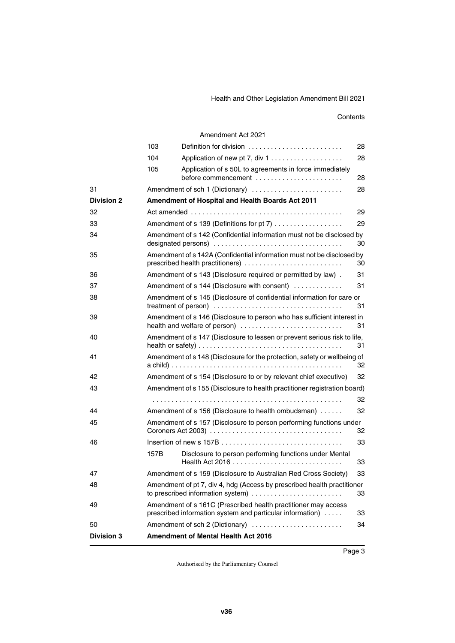|                   |      | Amendment Act 2021                                                                                                          |    |
|-------------------|------|-----------------------------------------------------------------------------------------------------------------------------|----|
|                   | 103  |                                                                                                                             | 28 |
|                   | 104  | Application of new pt 7, div 1                                                                                              | 28 |
|                   | 105  | Application of s 50L to agreements in force immediately<br>before commencement $\dots\dots\dots\dots\dots\dots\dots\dots$   | 28 |
| 31                |      | Amendment of sch 1 (Dictionary)                                                                                             | 28 |
| <b>Division 2</b> |      | Amendment of Hospital and Health Boards Act 2011                                                                            |    |
| 32                |      |                                                                                                                             | 29 |
| 33                |      | Amendment of s 139 (Definitions for pt 7)                                                                                   | 29 |
| 34                |      | Amendment of s 142 (Confidential information must not be disclosed by                                                       | 30 |
| 35                |      | Amendment of s 142A (Confidential information must not be disclosed by<br>prescribed health practitioners)                  | 30 |
| 36                |      | Amendment of s 143 (Disclosure required or permitted by law).                                                               | 31 |
| 37                |      | Amendment of s 144 (Disclosure with consent)                                                                                | 31 |
| 38                |      | Amendment of s 145 (Disclosure of confidential information for care or                                                      | 31 |
| 39                |      | Amendment of s 146 (Disclosure to person who has sufficient interest in<br>health and welfare of person)                    | 31 |
| 40                |      | Amendment of s 147 (Disclosure to lessen or prevent serious risk to life,                                                   | 31 |
| 41                |      | Amendment of s 148 (Disclosure for the protection, safety or wellbeing of                                                   | 32 |
| 42                |      | Amendment of s 154 (Disclosure to or by relevant chief executive)                                                           | 32 |
| 43                |      | Amendment of s 155 (Disclosure to health practitioner registration board)                                                   |    |
|                   |      |                                                                                                                             | 32 |
| 44                |      | Amendment of s 156 (Disclosure to health ombudsman)                                                                         | 32 |
| 45                |      | Amendment of s 157 (Disclosure to person performing functions under                                                         | 32 |
| 46                |      |                                                                                                                             | 33 |
|                   | 157B | Disclosure to person performing functions under Mental                                                                      | 33 |
| 47                |      | Amendment of s 159 (Disclosure to Australian Red Cross Society)                                                             | 33 |
| 48                |      | Amendment of pt 7, div 4, hdg (Access by prescribed health practitioner<br>to prescribed information system)                | 33 |
| 49                |      | Amendment of s 161C (Prescribed health practitioner may access<br>prescribed information system and particular information) | 33 |
| 50                |      | Amendment of sch 2 (Dictionary)                                                                                             | 34 |
| <b>Division 3</b> |      | Amendment of Mental Health Act 2016                                                                                         |    |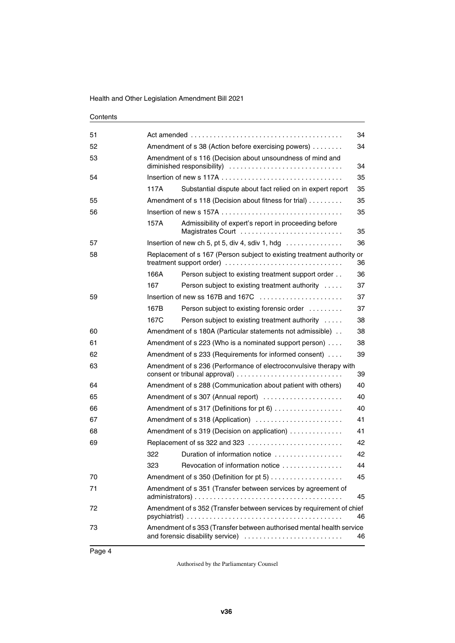| 51 | 34                                                        |                                                                                                           |    |  |  |  |
|----|-----------------------------------------------------------|-----------------------------------------------------------------------------------------------------------|----|--|--|--|
| 52 | Amendment of s 38 (Action before exercising powers)<br>34 |                                                                                                           |    |  |  |  |
| 53 |                                                           | Amendment of s 116 (Decision about unsoundness of mind and                                                |    |  |  |  |
|    |                                                           | 34                                                                                                        |    |  |  |  |
| 54 |                                                           |                                                                                                           | 35 |  |  |  |
|    | 117A                                                      | Substantial dispute about fact relied on in expert report                                                 | 35 |  |  |  |
| 55 |                                                           | Amendment of s 118 (Decision about fitness for trial)                                                     | 35 |  |  |  |
| 56 |                                                           |                                                                                                           | 35 |  |  |  |
|    | 157A                                                      | Admissibility of expert's report in proceeding before<br>Magistrates Court                                | 35 |  |  |  |
| 57 |                                                           | Insertion of new ch 5, pt 5, div 4, sdiv 1, hdg $\ldots \ldots \ldots \ldots$                             | 36 |  |  |  |
| 58 |                                                           | Replacement of s 167 (Person subject to existing treatment authority or<br>treatment support order)       | 36 |  |  |  |
|    | 166A                                                      | Person subject to existing treatment support order                                                        | 36 |  |  |  |
|    | 167                                                       | Person subject to existing treatment authority                                                            | 37 |  |  |  |
| 59 |                                                           | Insertion of new ss 167B and 167C                                                                         | 37 |  |  |  |
|    | 167B                                                      | Person subject to existing forensic order                                                                 | 37 |  |  |  |
|    | 167C                                                      | Person subject to existing treatment authority                                                            | 38 |  |  |  |
| 60 |                                                           | Amendment of s 180A (Particular statements not admissible).                                               | 38 |  |  |  |
| 61 |                                                           | Amendment of s 223 (Who is a nominated support person)                                                    | 38 |  |  |  |
| 62 |                                                           | Amendment of s 233 (Requirements for informed consent)                                                    | 39 |  |  |  |
| 63 |                                                           | Amendment of s 236 (Performance of electroconvulsive therapy with                                         | 39 |  |  |  |
| 64 |                                                           | Amendment of s 288 (Communication about patient with others)                                              | 40 |  |  |  |
| 65 |                                                           | Amendment of s 307 (Annual report)                                                                        | 40 |  |  |  |
| 66 |                                                           | Amendment of s 317 (Definitions for pt 6)                                                                 | 40 |  |  |  |
| 67 |                                                           | Amendment of s 318 (Application)                                                                          | 41 |  |  |  |
| 68 |                                                           | Amendment of s 319 (Decision on application)                                                              | 41 |  |  |  |
| 69 |                                                           | Replacement of ss 322 and 323                                                                             | 42 |  |  |  |
|    | 322                                                       | Duration of information notice                                                                            | 42 |  |  |  |
|    | 323                                                       | Revocation of information notice                                                                          | 44 |  |  |  |
| 70 |                                                           |                                                                                                           | 45 |  |  |  |
| 71 |                                                           | Amendment of s 351 (Transfer between services by agreement of                                             | 45 |  |  |  |
| 72 |                                                           | Amendment of s 352 (Transfer between services by requirement of chief                                     | 46 |  |  |  |
| 73 |                                                           | Amendment of s 353 (Transfer between authorised mental health service<br>and forensic disability service) | 46 |  |  |  |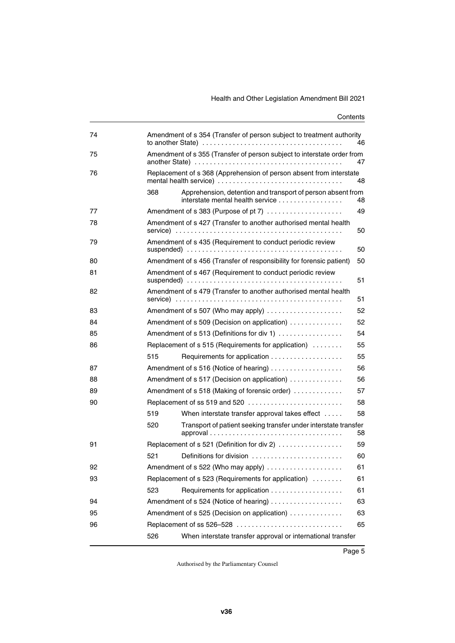| 74 | Amendment of s 354 (Transfer of person subject to treatment authority<br>46   |                                                                                                                                                         |    |  |  |
|----|-------------------------------------------------------------------------------|---------------------------------------------------------------------------------------------------------------------------------------------------------|----|--|--|
| 75 | Amendment of s 355 (Transfer of person subject to interstate order from<br>47 |                                                                                                                                                         |    |  |  |
| 76 |                                                                               | Replacement of s 368 (Apprehension of person absent from interstate                                                                                     | 48 |  |  |
|    | 368                                                                           | Apprehension, detention and transport of person absent from<br>interstate mental health service                                                         | 48 |  |  |
| 77 |                                                                               | Amendment of s 383 (Purpose of pt 7)                                                                                                                    | 49 |  |  |
| 78 |                                                                               | Amendment of s 427 (Transfer to another authorised mental health                                                                                        | 50 |  |  |
| 79 |                                                                               | Amendment of s 435 (Requirement to conduct periodic review<br>suspended) $\ldots \ldots \ldots \ldots \ldots \ldots \ldots \ldots \ldots \ldots \ldots$ | 50 |  |  |
| 80 |                                                                               | Amendment of s 456 (Transfer of responsibility for forensic patient)                                                                                    | 50 |  |  |
| 81 |                                                                               | Amendment of s 467 (Requirement to conduct periodic review                                                                                              |    |  |  |
|    |                                                                               |                                                                                                                                                         | 51 |  |  |
| 82 |                                                                               | Amendment of s 479 (Transfer to another authorised mental health                                                                                        | 51 |  |  |
| 83 |                                                                               | Amendment of s 507 (Who may apply)                                                                                                                      | 52 |  |  |
| 84 |                                                                               | Amendment of s 509 (Decision on application)                                                                                                            | 52 |  |  |
| 85 |                                                                               | Amendment of s 513 (Definitions for div 1)                                                                                                              | 54 |  |  |
| 86 |                                                                               | Replacement of s 515 (Requirements for application)                                                                                                     | 55 |  |  |
|    | 515                                                                           |                                                                                                                                                         | 55 |  |  |
| 87 |                                                                               | Amendment of s 516 (Notice of hearing)                                                                                                                  | 56 |  |  |
| 88 |                                                                               | Amendment of s 517 (Decision on application)                                                                                                            | 56 |  |  |
| 89 |                                                                               | Amendment of s 518 (Making of forensic order)                                                                                                           | 57 |  |  |
| 90 |                                                                               | Replacement of ss 519 and 520                                                                                                                           | 58 |  |  |
|    | 519                                                                           | When interstate transfer approval takes effect                                                                                                          | 58 |  |  |
|    | 520                                                                           | Transport of patient seeking transfer under interstate transfer                                                                                         | 58 |  |  |
| 91 |                                                                               | Replacement of s 521 (Definition for div 2)                                                                                                             | 59 |  |  |
|    | 521                                                                           | Definitions for division                                                                                                                                | 60 |  |  |
| 92 |                                                                               | Amendment of s 522 (Who may apply)                                                                                                                      | 61 |  |  |
| 93 |                                                                               | Replacement of s 523 (Requirements for application)                                                                                                     | 61 |  |  |
|    | 523                                                                           |                                                                                                                                                         | 61 |  |  |
| 94 |                                                                               | Amendment of s 524 (Notice of hearing)                                                                                                                  | 63 |  |  |
| 95 |                                                                               | Amendment of s 525 (Decision on application)                                                                                                            | 63 |  |  |
| 96 |                                                                               | Replacement of ss 526–528                                                                                                                               | 65 |  |  |
|    | 526                                                                           | When interstate transfer approval or international transfer                                                                                             |    |  |  |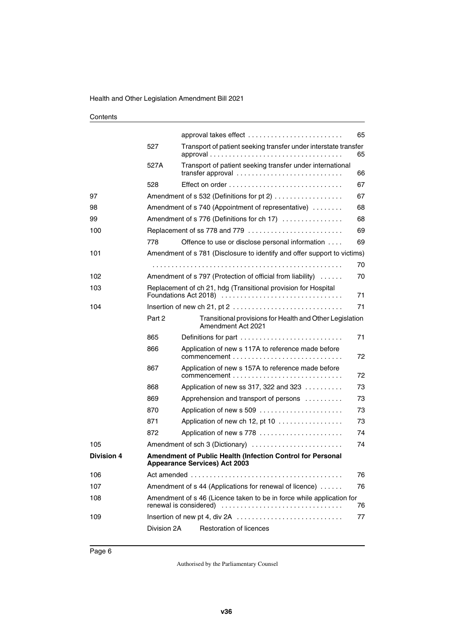|                   |             | approval takes effect                                                                                     | 65 |
|-------------------|-------------|-----------------------------------------------------------------------------------------------------------|----|
|                   | 527         | Transport of patient seeking transfer under interstate transfer                                           | 65 |
|                   | 527A        | Transport of patient seeking transfer under international<br>transfer approval                            | 66 |
|                   | 528         |                                                                                                           | 67 |
| 97                |             | Amendment of s 532 (Definitions for pt 2)                                                                 | 67 |
| 98                |             | Amendment of s 740 (Appointment of representative)                                                        | 68 |
| 99                |             | Amendment of s 776 (Definitions for ch 17)                                                                | 68 |
| 100               |             | Replacement of ss 778 and 779                                                                             | 69 |
|                   | 778         | Offence to use or disclose personal information                                                           | 69 |
| 101               |             | Amendment of s 781 (Disclosure to identify and offer support to victims)                                  |    |
|                   |             |                                                                                                           | 70 |
| 102               |             | Amendment of s 797 (Protection of official from liability)                                                | 70 |
| 103               |             | Replacement of ch 21, hdg (Transitional provision for Hospital<br>Foundations Act 2018)                   | 71 |
| 104               |             |                                                                                                           | 71 |
|                   | Part 2      | Transitional provisions for Health and Other Legislation<br>Amendment Act 2021                            |    |
|                   | 865         | Definitions for part                                                                                      | 71 |
|                   | 866         | Application of new s 117A to reference made before                                                        | 72 |
|                   | 867         | Application of new s 157A to reference made before                                                        | 72 |
|                   | 868         | Application of new ss 317, 322 and 323 $\ldots$                                                           | 73 |
|                   | 869         | Apprehension and transport of persons                                                                     | 73 |
|                   | 870         | Application of new s 509                                                                                  | 73 |
|                   | 871         | Application of new ch 12, pt 10 $\dots\dots\dots\dots\dots\dots$                                          | 73 |
|                   | 872         | Application of new s 778                                                                                  | 74 |
| 105               |             | Amendment of sch 3 (Dictionary)                                                                           | 74 |
| <b>Division 4</b> |             | <b>Amendment of Public Health (Infection Control for Personal</b><br><b>Appearance Services) Act 2003</b> |    |
| 106               |             |                                                                                                           | 76 |
| 107               |             | Amendment of s 44 (Applications for renewal of licence)                                                   | 76 |
| 108               |             | Amendment of s 46 (Licence taken to be in force while application for                                     | 76 |
| 109               |             | Insertion of new pt 4, div 2A                                                                             | 77 |
|                   | Division 2A | Restoration of licences                                                                                   |    |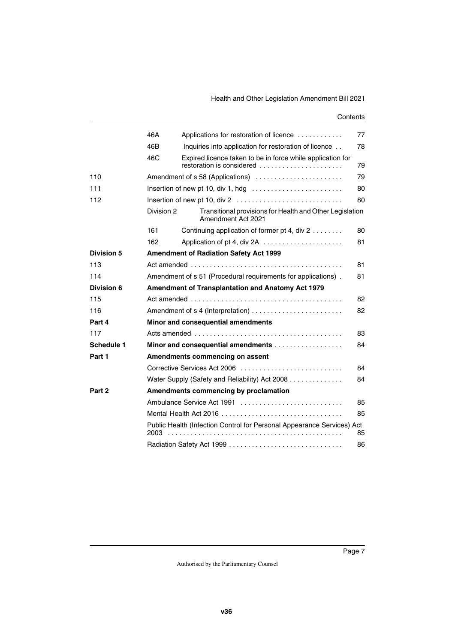|                   | 46A                             | Applications for restoration of licence                                                 | 77 |  |  |
|-------------------|---------------------------------|-----------------------------------------------------------------------------------------|----|--|--|
|                   | 46B                             | Inquiries into application for restoration of licence                                   | 78 |  |  |
|                   | 46C                             | Expired licence taken to be in force while application for<br>restoration is considered | 79 |  |  |
| 110               |                                 | Amendment of s 58 (Applications)                                                        | 79 |  |  |
| 111               |                                 | Insertion of new pt 10, div 1, hdg $\dots \dots \dots \dots \dots \dots \dots \dots$    | 80 |  |  |
| 112               |                                 |                                                                                         | 80 |  |  |
|                   | Division 2                      | Transitional provisions for Health and Other Legislation<br>Amendment Act 2021          |    |  |  |
|                   | 161                             | Continuing application of former pt 4, div 2                                            | 80 |  |  |
|                   | 162                             | Application of pt 4, div 2A                                                             | 81 |  |  |
| <b>Division 5</b> |                                 | <b>Amendment of Radiation Safety Act 1999</b>                                           |    |  |  |
| 113               |                                 |                                                                                         | 81 |  |  |
| 114               |                                 | Amendment of s 51 (Procedural requirements for applications).                           | 81 |  |  |
| Division 6        |                                 | Amendment of Transplantation and Anatomy Act 1979                                       |    |  |  |
| 115               |                                 |                                                                                         | 82 |  |  |
| 116               |                                 |                                                                                         | 82 |  |  |
| Part 4            |                                 | Minor and consequential amendments                                                      |    |  |  |
| 117               |                                 |                                                                                         | 83 |  |  |
| Schedule 1        |                                 | Minor and consequential amendments                                                      | 84 |  |  |
| Part 1            | Amendments commencing on assent |                                                                                         |    |  |  |
|                   |                                 | Corrective Services Act 2006                                                            | 84 |  |  |
|                   |                                 | Water Supply (Safety and Reliability) Act 2008                                          | 84 |  |  |
| Part 2            |                                 | Amendments commencing by proclamation                                                   |    |  |  |
|                   |                                 | Ambulance Service Act 1991                                                              | 85 |  |  |
|                   |                                 | Mental Health Act 2016                                                                  | 85 |  |  |
|                   | 2003                            | Public Health (Infection Control for Personal Appearance Services) Act                  | 85 |  |  |
|                   |                                 |                                                                                         | 86 |  |  |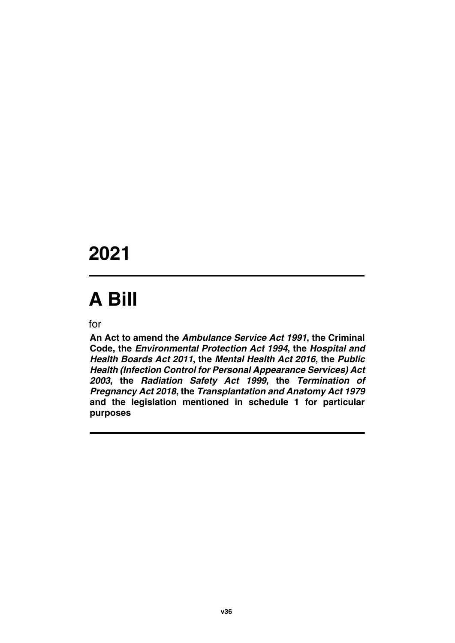### **2021**

# **A Bill**

for

**An Act to amend the** *Ambulance Service Act 1991***, the Criminal Code, the** *Environmental Protection Act 1994***, the** *Hospital and Health Boards Act 2011***, the** *Mental Health Act 2016***, the** *Public Health (Infection Control for Personal Appearance Services) Act 2003***, the** *Radiation Safety Act 1999***, the** *Termination of Pregnancy Act 2018***, the** *Transplantation and Anatomy Act 1979* **and the legislation mentioned in schedule 1 for particular purposes**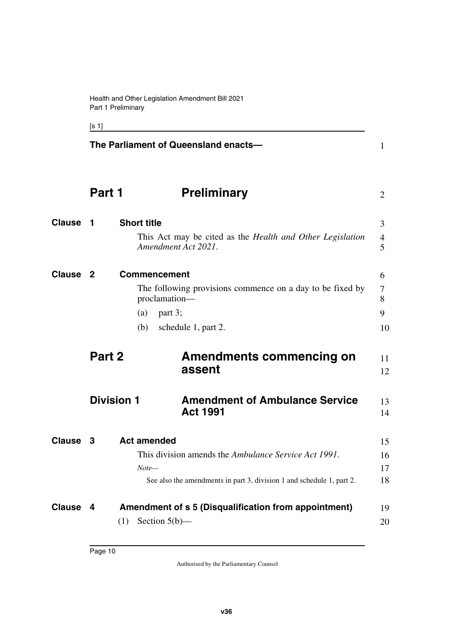<span id="page-11-9"></span><span id="page-11-7"></span><span id="page-11-5"></span><span id="page-11-3"></span><span id="page-11-1"></span><span id="page-11-0"></span> $[s 1]$ 

<span id="page-11-13"></span><span id="page-11-12"></span><span id="page-11-11"></span><span id="page-11-10"></span><span id="page-11-8"></span><span id="page-11-6"></span><span id="page-11-4"></span><span id="page-11-2"></span>**The Parliament of Queensland enacts— Part 1** Preliminary **1 Short title** This Act may be cited as the *Health and Other Legislation Amendment Act 2021*. **2** Commencement 6 The following provisions commence on a day to be fixed by proclamation—  $(a)$  part 3; (b) schedule 1, part 2. **Part 2 Amendments commencing on assent Division 1** Amendment of Ambulance Service **Act 1991 Clause 3** Act amended 15 This division amends the *Ambulance Service Act 1991*. *Note—* See also the amendments in part 3, division 1 and schedule 1, part 2. **Clause 4** Amendment of s 5 (Disqualification from appointment) 19  $(1)$  Section  $5(b)$ — 1 2 **Clause 1** Short title 3 4 5 7 8 9 10 11 12 13 14 16 17 18 20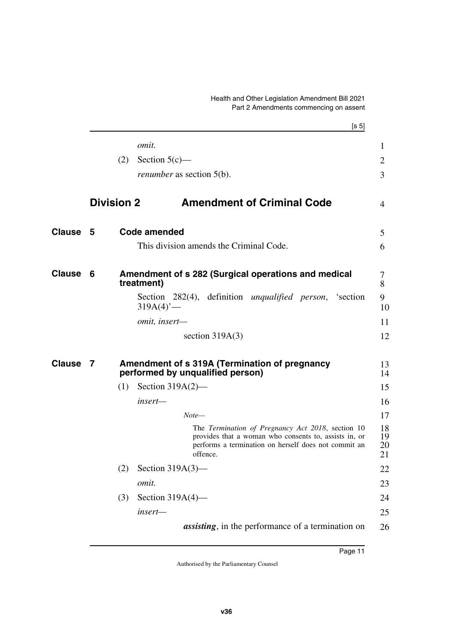#### <span id="page-12-1"></span>Health and Other Legislation Amendment Bill 2021 Part 2 Amendments commencing on assent

<span id="page-12-7"></span><span id="page-12-6"></span><span id="page-12-5"></span><span id="page-12-4"></span><span id="page-12-3"></span><span id="page-12-2"></span><span id="page-12-0"></span>

|               |                   |     |                                  |       |                   |                                                                                                                                                                    | [s 5] |                      |
|---------------|-------------------|-----|----------------------------------|-------|-------------------|--------------------------------------------------------------------------------------------------------------------------------------------------------------------|-------|----------------------|
|               |                   |     | omit.                            |       |                   |                                                                                                                                                                    |       | $\mathbf{1}$         |
|               |                   | (2) | Section $5(c)$ —                 |       |                   |                                                                                                                                                                    |       | 2                    |
|               |                   |     | <i>renumber</i> as section 5(b). |       |                   |                                                                                                                                                                    |       | 3                    |
|               | <b>Division 2</b> |     |                                  |       |                   | <b>Amendment of Criminal Code</b>                                                                                                                                  |       | $\overline{4}$       |
| Clause        | - 5               |     | <b>Code amended</b>              |       |                   |                                                                                                                                                                    |       | 5                    |
|               |                   |     |                                  |       |                   | This division amends the Criminal Code.                                                                                                                            |       | 6                    |
| Clause        | 6                 |     | treatment)                       |       |                   | Amendment of s 282 (Surgical operations and medical                                                                                                                |       | 7<br>8               |
|               |                   |     | $319A(4)$ <sup>-</sup>           |       |                   | Section 282(4), definition <i>unqualified person</i> , 'section                                                                                                    |       | 9<br>10              |
|               |                   |     | omit, insert-                    |       |                   |                                                                                                                                                                    |       | 11                   |
|               |                   |     |                                  |       | section $319A(3)$ |                                                                                                                                                                    |       | 12                   |
| <b>Clause</b> | 7                 |     | performed by unqualified person) |       |                   | Amendment of s 319A (Termination of pregnancy                                                                                                                      |       | 13<br>14             |
|               |                   | (1) | Section $319A(2)$ —              |       |                   |                                                                                                                                                                    |       | 15                   |
|               |                   |     | insert-                          |       |                   |                                                                                                                                                                    |       | 16                   |
|               |                   |     |                                  | Note— |                   |                                                                                                                                                                    |       | 17                   |
|               |                   |     |                                  |       | offence.          | The Termination of Pregnancy Act 2018, section 10<br>provides that a woman who consents to, assists in, or<br>performs a termination on herself does not commit an |       | 18<br>19<br>20<br>21 |
|               |                   | (2) | Section $319A(3)$ —              |       |                   |                                                                                                                                                                    |       | 22                   |
|               |                   |     | omit.                            |       |                   |                                                                                                                                                                    |       | 23                   |
|               |                   | (3) | Section $319A(4)$ —              |       |                   |                                                                                                                                                                    |       | 24                   |
|               |                   |     | insert-                          |       |                   |                                                                                                                                                                    |       | 25                   |
|               |                   |     |                                  |       |                   | <i>assisting</i> , in the performance of a termination on                                                                                                          |       | 26                   |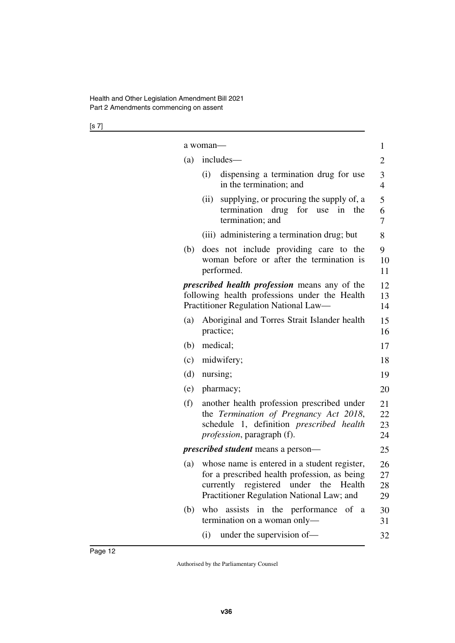[s 7]

|     | a woman—                                                                                                                                                                           | 1                    |
|-----|------------------------------------------------------------------------------------------------------------------------------------------------------------------------------------|----------------------|
| (a) | includes—                                                                                                                                                                          | $\overline{c}$       |
|     | (i)<br>dispensing a termination drug for use<br>in the termination; and                                                                                                            | 3<br>$\overline{4}$  |
|     | supplying, or procuring the supply of, a<br>(ii)<br>termination drug<br>for<br>use<br>in<br>the<br>termination; and                                                                | 5<br>6<br>7          |
|     | (iii) administering a termination drug; but                                                                                                                                        | 8                    |
| (b) | does not include providing care to the<br>woman before or after the termination is<br>performed.                                                                                   | 9<br>10<br>11        |
|     | <i>prescribed health profession</i> means any of the<br>following health professions under the Health<br>Practitioner Regulation National Law-                                     | 12<br>13<br>14       |
| (a) | Aboriginal and Torres Strait Islander health<br>practice;                                                                                                                          | 15<br>16             |
| (b) | medical;                                                                                                                                                                           | 17                   |
| (c) | midwifery;                                                                                                                                                                         | 18                   |
| (d) | nursing;                                                                                                                                                                           | 19                   |
| (e) | pharmacy;                                                                                                                                                                          | 20                   |
| (f) | another health profession prescribed under<br>the Termination of Pregnancy Act 2018,<br>schedule 1, definition prescribed health<br><i>profession</i> , paragraph (f).             | 21<br>22<br>23<br>24 |
|     | <i>prescribed student</i> means a person—                                                                                                                                          | 25                   |
| (a) | whose name is entered in a student register,<br>for a prescribed health profession, as being<br>currently registered under the Health<br>Practitioner Regulation National Law; and | 26<br>27<br>28<br>29 |
| (b) | who assists in the performance of a<br>termination on a woman only-                                                                                                                | 30<br>31             |
|     | under the supervision of-<br>(i)                                                                                                                                                   | 32                   |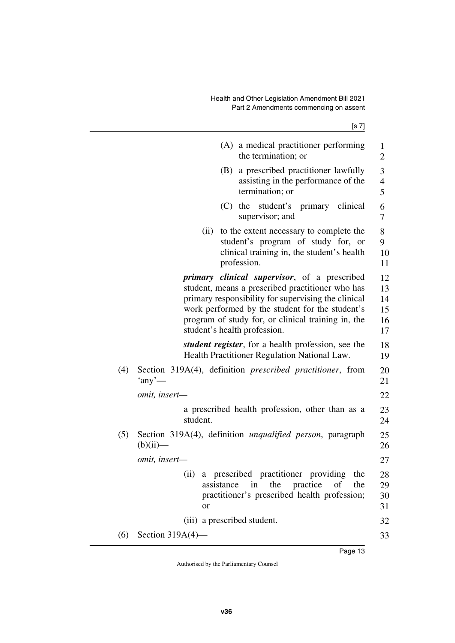|     |                                                                                                                                                                                                                                                                                                  | [s 7]                              |
|-----|--------------------------------------------------------------------------------------------------------------------------------------------------------------------------------------------------------------------------------------------------------------------------------------------------|------------------------------------|
|     | (A) a medical practitioner performing<br>the termination; or                                                                                                                                                                                                                                     | $\mathbf{1}$<br>$\overline{2}$     |
|     | a prescribed practitioner lawfully<br>(B)<br>assisting in the performance of the<br>termination; or                                                                                                                                                                                              | 3<br>4<br>5                        |
|     | student's primary clinical<br>$(C)$ the<br>supervisor; and                                                                                                                                                                                                                                       | 6<br>7                             |
|     | (ii)<br>to the extent necessary to complete the<br>student's program of study for, or<br>clinical training in, the student's health<br>profession.                                                                                                                                               | 8<br>9<br>10<br>11                 |
|     | primary clinical supervisor, of a prescribed<br>student, means a prescribed practitioner who has<br>primary responsibility for supervising the clinical<br>work performed by the student for the student's<br>program of study for, or clinical training in, the<br>student's health profession. | 12<br>13<br>14<br>15<br>16<br>17   |
|     | <i>student register</i> , for a health profession, see the<br>Health Practitioner Regulation National Law.                                                                                                                                                                                       | 18<br>19                           |
| (4) | Section 319A(4), definition prescribed practitioner, from<br>'any'                                                                                                                                                                                                                               | 20<br>21                           |
|     | omit, insert-                                                                                                                                                                                                                                                                                    | 22                                 |
|     | a prescribed health profession, other than as a<br>student.                                                                                                                                                                                                                                      | 23<br>24                           |
| (5) | Section 319A(4), definition <i>unqualified person</i> , paragraph<br>$(b)(ii)$ —                                                                                                                                                                                                                 | 25<br>26                           |
|     | omit, insert-                                                                                                                                                                                                                                                                                    | 27                                 |
|     | (ii) a prescribed practitioner providing<br>assistance<br>the practice<br>of<br>in<br>practitioner's prescribed health profession;<br><sub>or</sub>                                                                                                                                              | the<br>28<br>the<br>29<br>30<br>31 |
|     | (iii) a prescribed student.                                                                                                                                                                                                                                                                      | 32                                 |
| (6) | Section $319A(4)$ —                                                                                                                                                                                                                                                                              | 33                                 |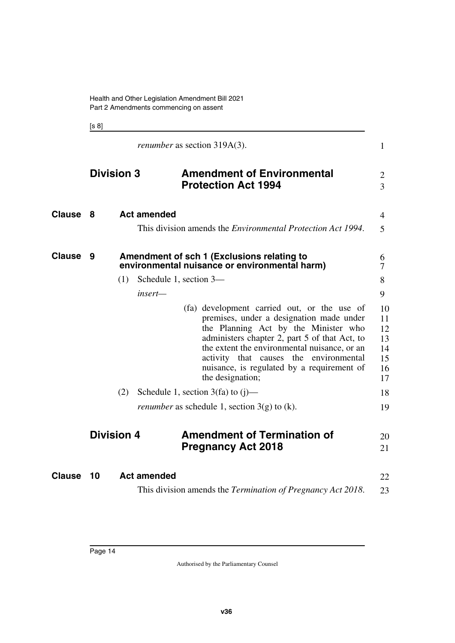<span id="page-15-5"></span><span id="page-15-3"></span><span id="page-15-1"></span><span id="page-15-0"></span>[s 8]

<span id="page-15-9"></span><span id="page-15-8"></span><span id="page-15-7"></span><span id="page-15-6"></span><span id="page-15-4"></span><span id="page-15-2"></span>

|               | <i>renumber</i> as section 319A(3). |                        |                                                                                                                                                                                                                                                                                                                                              |                                              |  |  |
|---------------|-------------------------------------|------------------------|----------------------------------------------------------------------------------------------------------------------------------------------------------------------------------------------------------------------------------------------------------------------------------------------------------------------------------------------|----------------------------------------------|--|--|
|               | <b>Division 3</b>                   |                        | <b>Amendment of Environmental</b><br><b>Protection Act 1994</b>                                                                                                                                                                                                                                                                              | $\overline{2}$<br>$\overline{3}$             |  |  |
| <b>Clause</b> | 8                                   | <b>Act amended</b>     |                                                                                                                                                                                                                                                                                                                                              | 4                                            |  |  |
|               |                                     |                        | This division amends the <i>Environmental Protection Act 1994</i> .                                                                                                                                                                                                                                                                          | 5                                            |  |  |
| <b>Clause</b> | 9                                   |                        | Amendment of sch 1 (Exclusions relating to<br>environmental nuisance or environmental harm)                                                                                                                                                                                                                                                  | 6<br>7                                       |  |  |
|               | (1)                                 | Schedule 1, section 3- |                                                                                                                                                                                                                                                                                                                                              | 8                                            |  |  |
|               |                                     | $insert-$              |                                                                                                                                                                                                                                                                                                                                              | 9                                            |  |  |
|               |                                     |                        | (fa) development carried out, or the use of<br>premises, under a designation made under<br>the Planning Act by the Minister who<br>administers chapter 2, part 5 of that Act, to<br>the extent the environmental nuisance, or an<br>activity that causes the environmental<br>nuisance, is regulated by a requirement of<br>the designation; | 10<br>11<br>12<br>13<br>14<br>15<br>16<br>17 |  |  |
|               | (2)                                 |                        | Schedule 1, section $3(fa)$ to $(j)$ —                                                                                                                                                                                                                                                                                                       | 18                                           |  |  |
|               |                                     |                        | <i>renumber</i> as schedule 1, section $3(g)$ to (k).                                                                                                                                                                                                                                                                                        | 19                                           |  |  |
|               | <b>Division 4</b>                   |                        | <b>Amendment of Termination of</b><br><b>Pregnancy Act 2018</b>                                                                                                                                                                                                                                                                              | 20<br>21                                     |  |  |
| <b>Clause</b> | 10                                  | <b>Act amended</b>     |                                                                                                                                                                                                                                                                                                                                              | 22                                           |  |  |
|               |                                     |                        | This division amends the Termination of Pregnancy Act 2018.                                                                                                                                                                                                                                                                                  | 23                                           |  |  |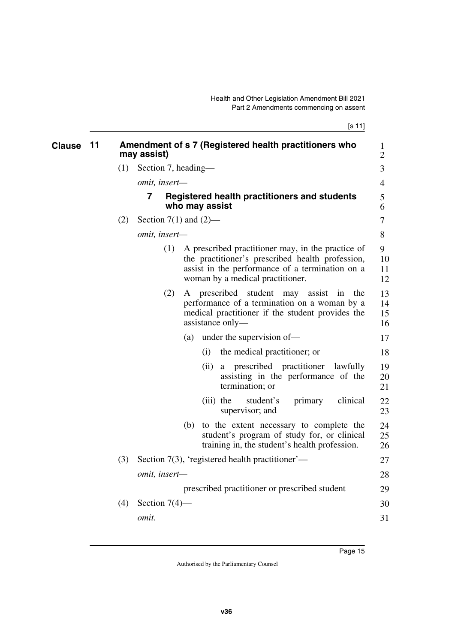[s 11]

<span id="page-16-1"></span><span id="page-16-0"></span>

| <b>Clause</b> | 11 |     | Amendment of s 7 (Registered health practitioners who<br>may assist)                                                                                                                                | $\mathbf{1}$<br>$\overline{2}$ |
|---------------|----|-----|-----------------------------------------------------------------------------------------------------------------------------------------------------------------------------------------------------|--------------------------------|
|               |    | (1) | Section 7, heading—                                                                                                                                                                                 | 3                              |
|               |    |     | omit, insert-                                                                                                                                                                                       | $\overline{4}$                 |
|               |    |     | 7<br><b>Registered health practitioners and students</b><br>who may assist                                                                                                                          | 5<br>6                         |
|               |    | (2) | Section 7(1) and $(2)$ —                                                                                                                                                                            | 7                              |
|               |    |     | omit, insert-                                                                                                                                                                                       | 8                              |
|               |    |     | A prescribed practitioner may, in the practice of<br>(1)<br>the practitioner's prescribed health profession,<br>assist in the performance of a termination on a<br>woman by a medical practitioner. | 9<br>10<br>11<br>12            |
|               |    |     | (2)<br>A prescribed student may assist<br>the<br>in<br>performance of a termination on a woman by a<br>medical practitioner if the student provides the<br>assistance only—                         | 13<br>14<br>15<br>16           |
|               |    |     | under the supervision of-<br>(a)                                                                                                                                                                    | 17                             |
|               |    |     | the medical practitioner; or<br>(i)                                                                                                                                                                 | 18                             |
|               |    |     | prescribed practitioner<br>(ii)<br>lawfully<br>a<br>assisting in the performance of the<br>termination; or                                                                                          | 19<br>20<br>21                 |
|               |    |     | $(iii)$ the<br>student's<br>primary<br>clinical<br>supervisor; and                                                                                                                                  | 22<br>23                       |
|               |    |     | to the extent necessary to complete the<br>(b)<br>student's program of study for, or clinical<br>training in, the student's health profession.                                                      | 24<br>25<br>26                 |
|               |    | (3) | Section $7(3)$ , 'registered health practitioner'—                                                                                                                                                  | 27                             |
|               |    |     | omit, insert-                                                                                                                                                                                       | 28                             |
|               |    |     | prescribed practitioner or prescribed student                                                                                                                                                       | 29                             |
|               |    | (4) | Section $7(4)$ —                                                                                                                                                                                    | 30                             |
|               |    |     | omit.                                                                                                                                                                                               | 31                             |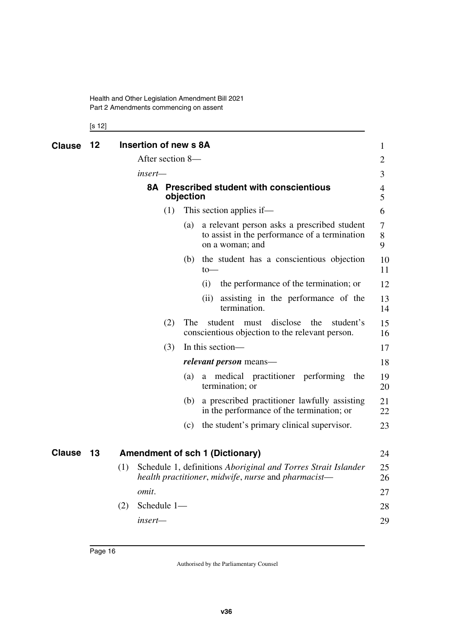Health and Other Legislation Amendment Bill 2021 Part 2 Amendments commencing on assent

<span id="page-17-3"></span><span id="page-17-2"></span><span id="page-17-1"></span><span id="page-17-0"></span>[s 12]

<span id="page-17-5"></span><span id="page-17-4"></span>

| <b>Clause</b> | 12 | Insertion of new s 8A |     |                  |                                                                                                                      | $\mathbf 1$      |
|---------------|----|-----------------------|-----|------------------|----------------------------------------------------------------------------------------------------------------------|------------------|
|               |    |                       |     | After section 8- |                                                                                                                      | $\overline{2}$   |
|               |    | insert—               |     |                  |                                                                                                                      | 3                |
|               |    |                       |     | objection        | 8A Prescribed student with conscientious                                                                             | 4<br>5           |
|               |    |                       | (1) |                  | This section applies if—                                                                                             | 6                |
|               |    |                       |     | (a)              | a relevant person asks a prescribed student<br>to assist in the performance of a termination<br>on a woman; and      | $\tau$<br>8<br>9 |
|               |    |                       |     | (b)              | the student has a conscientious objection<br>$to-$                                                                   | 10<br>11         |
|               |    |                       |     |                  | (i)<br>the performance of the termination; or                                                                        | 12               |
|               |    |                       |     |                  | assisting in the performance of the<br>(ii)<br>termination.                                                          | 13<br>14         |
|               |    |                       | (2) | The.             | disclose<br>student<br>the<br>student's<br>must<br>conscientious objection to the relevant person.                   | 15<br>16         |
|               |    |                       | (3) |                  | In this section—                                                                                                     | 17               |
|               |    |                       |     |                  | <i>relevant person</i> means—                                                                                        | 18               |
|               |    |                       |     | (a)              | medical practitioner performing<br>the<br>a -<br>termination; or                                                     | 19<br>20         |
|               |    |                       |     | (b)              | a prescribed practitioner lawfully assisting<br>in the performance of the termination; or                            | 21<br>22         |
|               |    |                       |     | (c)              | the student's primary clinical supervisor.                                                                           | 23               |
| <b>Clause</b> | 13 |                       |     |                  | <b>Amendment of sch 1 (Dictionary)</b>                                                                               | 24               |
|               |    | (1)                   |     |                  | Schedule 1, definitions Aboriginal and Torres Strait Islander<br>health practitioner, midwife, nurse and pharmacist— | 25<br>26         |
|               |    | omit.                 |     |                  |                                                                                                                      | 27               |
|               |    | Schedule 1-<br>(2)    |     |                  |                                                                                                                      | 28               |
|               |    | insert—               |     |                  |                                                                                                                      | 29               |
|               |    |                       |     |                  |                                                                                                                      |                  |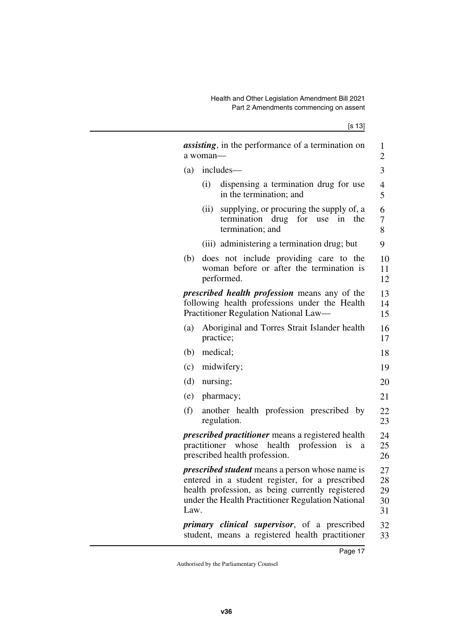|      | <i>assisting</i> , in the performance of a termination on<br>a woman-                                                                                                                                              | $\mathbf{1}$<br>$\overline{c}$ |
|------|--------------------------------------------------------------------------------------------------------------------------------------------------------------------------------------------------------------------|--------------------------------|
| (a)  | includes—                                                                                                                                                                                                          | 3                              |
|      | (i)<br>dispensing a termination drug for use<br>in the termination; and                                                                                                                                            | $\overline{4}$<br>5            |
|      | (ii)<br>supplying, or procuring the supply of, a<br>termination drug for use in the<br>termination; and                                                                                                            | 6<br>7<br>8                    |
|      | (iii) administering a termination drug; but                                                                                                                                                                        | 9                              |
| (b)  | does not include providing care to the<br>woman before or after the termination is<br>performed.                                                                                                                   | 10<br>11<br>12                 |
|      | <i>prescribed health profession</i> means any of the<br>following health professions under the Health<br>Practitioner Regulation National Law-                                                                     | 13<br>14<br>15                 |
| (a)  | Aboriginal and Torres Strait Islander health<br>practice;                                                                                                                                                          | 16<br>17                       |
| (b)  | medical;                                                                                                                                                                                                           | 18                             |
| (c)  | midwifery;                                                                                                                                                                                                         | 19                             |
| (d)  | nursing;                                                                                                                                                                                                           | 20                             |
| (e)  | pharmacy;                                                                                                                                                                                                          | 21                             |
| (f)  | another health profession prescribed by<br>regulation.                                                                                                                                                             | 22<br>23                       |
|      | <i>prescribed practitioner</i> means a registered health<br>practitioner whose health profession<br>is<br>a<br>prescribed health profession.                                                                       | 24<br>25<br>26                 |
| Law. | <i>prescribed student</i> means a person whose name is<br>entered in a student register, for a prescribed<br>health profession, as being currently registered<br>under the Health Practitioner Regulation National | 27<br>28<br>29<br>30<br>31     |
|      | <i>primary clinical supervisor</i> , of a prescribed<br>student, means a registered health practitioner                                                                                                            | 32<br>33                       |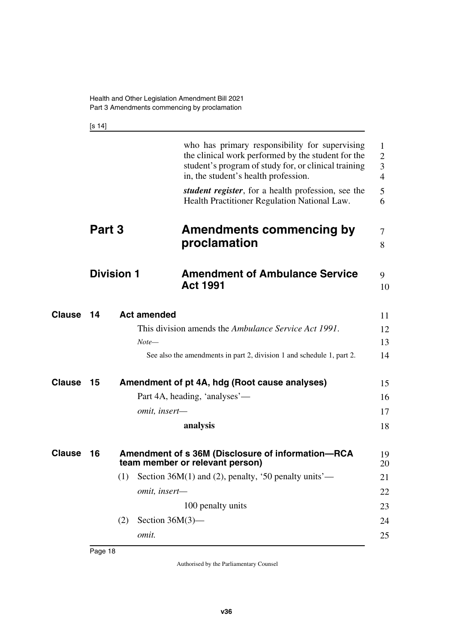<span id="page-19-3"></span><span id="page-19-1"></span>[s 14]

<span id="page-19-9"></span><span id="page-19-8"></span><span id="page-19-7"></span><span id="page-19-6"></span><span id="page-19-5"></span><span id="page-19-4"></span><span id="page-19-2"></span><span id="page-19-0"></span>

|               |                   |     |                    | who has primary responsibility for supervising<br>the clinical work performed by the student for the<br>student's program of study for, or clinical training<br>in, the student's health profession.<br><i>student register</i> , for a health profession, see the | 1<br>$\overline{2}$<br>3<br>$\overline{4}$<br>5 |
|---------------|-------------------|-----|--------------------|--------------------------------------------------------------------------------------------------------------------------------------------------------------------------------------------------------------------------------------------------------------------|-------------------------------------------------|
|               |                   |     |                    | Health Practitioner Regulation National Law.                                                                                                                                                                                                                       | 6                                               |
|               | Part 3            |     |                    | <b>Amendments commencing by</b><br>proclamation                                                                                                                                                                                                                    | $\tau$<br>8                                     |
|               | <b>Division 1</b> |     |                    | <b>Amendment of Ambulance Service</b><br><b>Act 1991</b>                                                                                                                                                                                                           | 9<br>10                                         |
| Clause        | 14                |     | <b>Act amended</b> | This division amends the Ambulance Service Act 1991.                                                                                                                                                                                                               | 11<br>12                                        |
|               |                   |     | $Note-$            |                                                                                                                                                                                                                                                                    | 13                                              |
|               |                   |     |                    | See also the amendments in part 2, division 1 and schedule 1, part 2.                                                                                                                                                                                              | 14                                              |
| <b>Clause</b> | 15                |     |                    | Amendment of pt 4A, hdg (Root cause analyses)                                                                                                                                                                                                                      | 15                                              |
|               |                   |     |                    | Part 4A, heading, 'analyses'—                                                                                                                                                                                                                                      | 16                                              |
|               |                   |     | omit, insert-      |                                                                                                                                                                                                                                                                    | 17                                              |
|               |                   |     |                    | analysis                                                                                                                                                                                                                                                           | 18                                              |
| <b>Clause</b> | 16                |     |                    | Amendment of s 36M (Disclosure of information-RCA<br>team member or relevant person)                                                                                                                                                                               | 19<br>20                                        |
|               |                   |     |                    | (1) Section 36M(1) and (2), penalty, '50 penalty units'—                                                                                                                                                                                                           | 21                                              |
|               |                   |     | omit, insert-      |                                                                                                                                                                                                                                                                    | 22                                              |
|               |                   |     |                    | 100 penalty units                                                                                                                                                                                                                                                  | 23                                              |
|               |                   | (2) | Section $36M(3)$ — |                                                                                                                                                                                                                                                                    | 24                                              |
|               |                   |     | omit.              |                                                                                                                                                                                                                                                                    | 25                                              |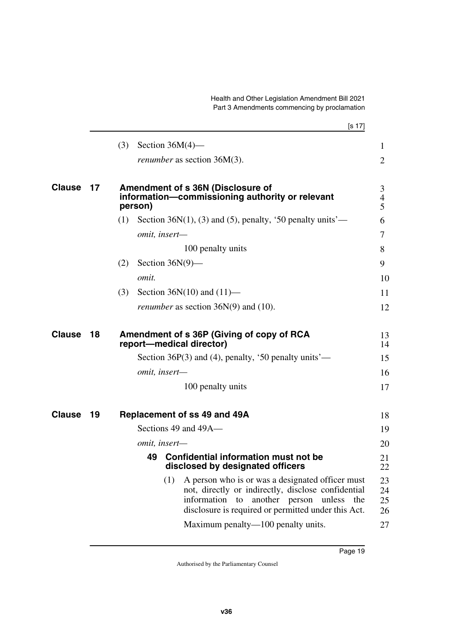Health and Other Legislation Amendment Bill 2021 Part 3 Amendments commencing by proclamation

<span id="page-20-7"></span><span id="page-20-6"></span><span id="page-20-5"></span><span id="page-20-4"></span><span id="page-20-3"></span><span id="page-20-2"></span><span id="page-20-1"></span><span id="page-20-0"></span>

|               |    | [s 17]                                                                                                                                                                                                              |                          |
|---------------|----|---------------------------------------------------------------------------------------------------------------------------------------------------------------------------------------------------------------------|--------------------------|
|               |    | (3)<br>Section $36M(4)$ —                                                                                                                                                                                           | $\mathbf{1}$             |
|               |    | <i>renumber</i> as section 36M(3).                                                                                                                                                                                  | $\overline{2}$           |
| <b>Clause</b> | 17 | Amendment of s 36N (Disclosure of<br>information-commissioning authority or relevant<br>person)                                                                                                                     | 3<br>$\overline{4}$<br>5 |
|               |    | Section 36 $N(1)$ , (3) and (5), penalty, '50 penalty units'—<br>(1)                                                                                                                                                | 6                        |
|               |    | omit, insert-                                                                                                                                                                                                       | 7                        |
|               |    | 100 penalty units                                                                                                                                                                                                   | 8                        |
|               |    | Section $36N(9)$ —<br>(2)                                                                                                                                                                                           | 9                        |
|               |    | omit.                                                                                                                                                                                                               | 10                       |
|               |    | Section $36N(10)$ and $(11)$ —<br>(3)                                                                                                                                                                               | 11                       |
|               |    | <i>renumber</i> as section $36N(9)$ and $(10)$ .                                                                                                                                                                    | 12                       |
| <b>Clause</b> | 18 | Amendment of s 36P (Giving of copy of RCA<br>report-medical director)                                                                                                                                               | 13<br>14                 |
|               |    | Section 36 $P(3)$ and (4), penalty, '50 penalty units'—                                                                                                                                                             | 15                       |
|               |    | omit, insert-                                                                                                                                                                                                       | 16                       |
|               |    | 100 penalty units                                                                                                                                                                                                   | 17                       |
| <b>Clause</b> | 19 | Replacement of ss 49 and 49A                                                                                                                                                                                        | 18                       |
|               |    | Sections 49 and 49A-                                                                                                                                                                                                | 19                       |
|               |    | omit, insert-                                                                                                                                                                                                       | 20                       |
|               |    | <b>Confidential information must not be</b><br>49<br>disclosed by designated officers                                                                                                                               | 21<br>22                 |
|               |    | (1)<br>A person who is or was a designated officer must<br>not, directly or indirectly, disclose confidential<br>information to<br>another person unless the<br>disclosure is required or permitted under this Act. | 23<br>24<br>25<br>26     |
|               |    | Maximum penalty—100 penalty units.                                                                                                                                                                                  | 27                       |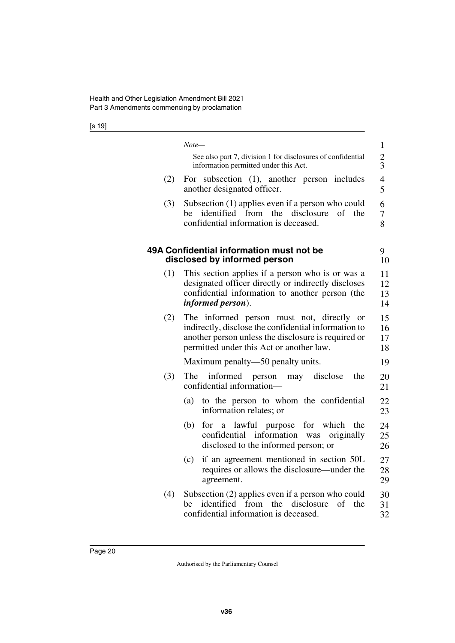[s 19]

<span id="page-21-1"></span><span id="page-21-0"></span>

|     | Note—                                                                                                                                                                                                | $\mathbf{1}$         |
|-----|------------------------------------------------------------------------------------------------------------------------------------------------------------------------------------------------------|----------------------|
|     | See also part 7, division 1 for disclosures of confidential<br>information permitted under this Act.                                                                                                 | $\frac{2}{3}$        |
| (2) | For subsection (1), another person includes<br>another designated officer.                                                                                                                           | 4<br>5               |
| (3) | Subsection (1) applies even if a person who could<br>identified from the disclosure<br>$\sigma$ f<br>be<br>the<br>confidential information is deceased.                                              | 6<br>7<br>8          |
|     | 49A Confidential information must not be<br>disclosed by informed person                                                                                                                             | 9<br>10              |
| (1) | This section applies if a person who is or was a<br>designated officer directly or indirectly discloses<br>confidential information to another person (the<br><i>informed person</i> ).              | 11<br>12<br>13<br>14 |
| (2) | The informed person must not, directly or<br>indirectly, disclose the confidential information to<br>another person unless the disclosure is required or<br>permitted under this Act or another law. | 15<br>16<br>17<br>18 |
|     | Maximum penalty—50 penalty units.                                                                                                                                                                    | 19                   |
| (3) | informed<br>disclose<br>the<br>The<br>person<br>may<br>confidential information-                                                                                                                     | 20<br>21             |
|     | to the person to whom the confidential<br>(a)<br>information relates; or                                                                                                                             | 22<br>23             |
|     | lawful purpose for which<br>(b)<br>for<br>$\mathbf{a}$<br>the<br>confidential<br>information<br>originally<br>was<br>disclosed to the informed person; or                                            | 24<br>25<br>26       |
|     | if an agreement mentioned in section 50L<br>(c)<br>requires or allows the disclosure—under the<br>agreement.                                                                                         | 27<br>28<br>29       |
| (4) | Subsection (2) applies even if a person who could<br>identified from the disclosure<br>of<br>the<br>be<br>confidential information is deceased.                                                      | 30<br>31<br>32       |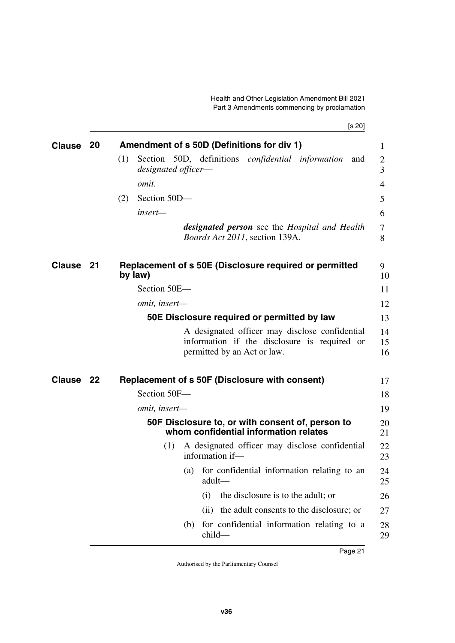<span id="page-22-9"></span><span id="page-22-8"></span><span id="page-22-7"></span><span id="page-22-6"></span><span id="page-22-5"></span><span id="page-22-4"></span><span id="page-22-3"></span><span id="page-22-2"></span><span id="page-22-1"></span><span id="page-22-0"></span>

| <b>Clause</b> | 20 | Amendment of s 50D (Definitions for div 1)                                                                                    | 1              |
|---------------|----|-------------------------------------------------------------------------------------------------------------------------------|----------------|
|               |    | Section 50D, definitions <i>confidential information</i><br>(1)<br>and                                                        | 2              |
|               |    | designated officer-                                                                                                           | 3              |
|               |    | <i>omit.</i>                                                                                                                  | 4              |
|               |    | Section 50D-<br>(2)                                                                                                           | 5              |
|               |    | insert-                                                                                                                       | 6              |
|               |    | <b>designated person</b> see the Hospital and Health<br><i>Boards Act 2011</i> , section 139A.                                | 7<br>8         |
| Clause 21     |    | Replacement of s 50E (Disclosure required or permitted<br>by law)                                                             | 9<br>10        |
|               |    | Section 50E-                                                                                                                  | 11             |
|               |    | omit, insert-                                                                                                                 | 12             |
|               |    | 50E Disclosure required or permitted by law                                                                                   | 13             |
|               |    | A designated officer may disclose confidential<br>information if the disclosure is required or<br>permitted by an Act or law. | 14<br>15<br>16 |
| Clause 22     |    | <b>Replacement of s 50F (Disclosure with consent)</b>                                                                         | 17             |
|               |    | Section 50F-                                                                                                                  | 18             |
|               |    | omit, insert-                                                                                                                 | 19             |
|               |    | 50F Disclosure to, or with consent of, person to<br>whom confidential information relates                                     | 20<br>21       |
|               |    | A designated officer may disclose confidential<br>(1)<br>information if-                                                      | 22<br>23       |
|               |    | (a) for confidential information relating to an<br>adult-                                                                     | 24<br>25       |
|               |    | the disclosure is to the adult; or<br>(i)                                                                                     | 26             |
|               |    | the adult consents to the disclosure; or<br>(i)                                                                               | 27             |
|               |    | for confidential information relating to a<br>(b)<br>$child-$                                                                 | 28<br>29       |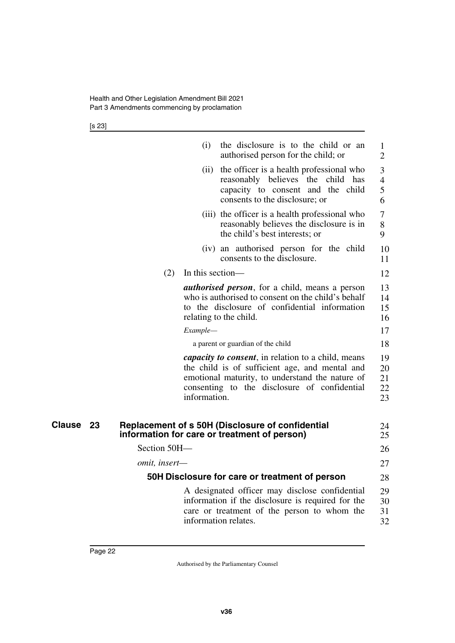[s 23]

|    |               | (i)              | the disclosure is to the child or an<br>authorised person for the child; or                                                                                                                                     | $\mathbf{1}$<br>$\overline{2}$ |
|----|---------------|------------------|-----------------------------------------------------------------------------------------------------------------------------------------------------------------------------------------------------------------|--------------------------------|
|    |               | (ii)             | the officer is a health professional who<br>reasonably believes<br>the<br>child has<br>capacity to consent and the child<br>consents to the disclosure; or                                                      | 3<br>4<br>5<br>6               |
|    |               |                  | (iii) the officer is a health professional who<br>reasonably believes the disclosure is in<br>the child's best interests; or                                                                                    | 7<br>8<br>9                    |
|    |               |                  | (iv) an authorised person for the child<br>consents to the disclosure.                                                                                                                                          | 10<br>11                       |
|    | (2)           | In this section— |                                                                                                                                                                                                                 | 12                             |
|    |               |                  | <i>authorised person</i> , for a child, means a person<br>who is authorised to consent on the child's behalf<br>to the disclosure of confidential information<br>relating to the child.                         | 13<br>14<br>15<br>16           |
|    |               | Example—         |                                                                                                                                                                                                                 | 17                             |
|    |               |                  | a parent or guardian of the child                                                                                                                                                                               | 18                             |
|    |               | information.     | <i>capacity to consent</i> , in relation to a child, means<br>the child is of sufficient age, and mental and<br>emotional maturity, to understand the nature of<br>consenting to the disclosure of confidential | 19<br>20<br>21<br>22<br>23     |
| 23 |               |                  | Replacement of s 50H (Disclosure of confidential                                                                                                                                                                | 24                             |
|    |               |                  | information for care or treatment of person)                                                                                                                                                                    | 25                             |
|    | Section 50H-  |                  |                                                                                                                                                                                                                 | 26                             |
|    | omit, insert- |                  |                                                                                                                                                                                                                 | 27                             |
|    |               |                  | 50H Disclosure for care or treatment of person                                                                                                                                                                  | 28                             |
|    |               |                  | A designated officer may disclose confidential<br>information if the disclosure is required for the<br>care or treatment of the person to whom the<br>information relates.                                      | 29<br>30<br>31<br>32           |
|    |               |                  |                                                                                                                                                                                                                 |                                |

<span id="page-23-3"></span><span id="page-23-2"></span><span id="page-23-1"></span><span id="page-23-0"></span>**Clause** 23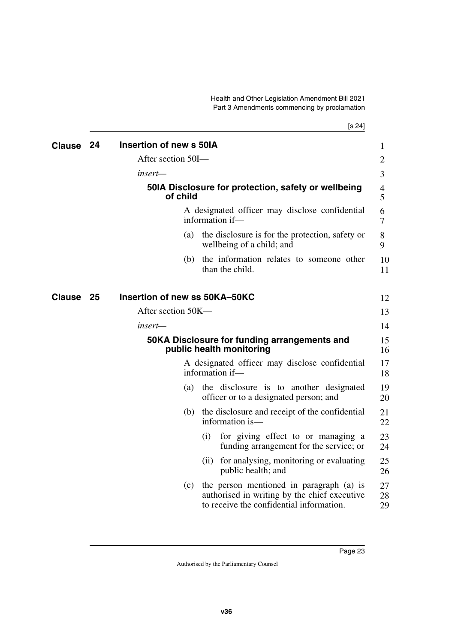<span id="page-24-3"></span><span id="page-24-2"></span>Health and Other Legislation Amendment Bill 2021 Part 3 Amendments commencing by proclamation

[s 24]

<span id="page-24-7"></span><span id="page-24-6"></span><span id="page-24-5"></span><span id="page-24-4"></span><span id="page-24-1"></span><span id="page-24-0"></span>

| <b>Clause</b> | 24 | Insertion of new s 50IA       |     |                                                                                                                                      |  |
|---------------|----|-------------------------------|-----|--------------------------------------------------------------------------------------------------------------------------------------|--|
|               |    | After section 50I-            |     |                                                                                                                                      |  |
|               |    | insert—                       |     |                                                                                                                                      |  |
|               |    | of child                      |     | 50IA Disclosure for protection, safety or wellbeing                                                                                  |  |
|               |    |                               |     | A designated officer may disclose confidential<br>information if-                                                                    |  |
|               |    |                               | (a) | the disclosure is for the protection, safety or<br>wellbeing of a child; and                                                         |  |
|               |    |                               | (b) | the information relates to someone other<br>than the child.                                                                          |  |
| Clause        | 25 | Insertion of new ss 50KA-50KC |     |                                                                                                                                      |  |
|               |    | After section 50K-            |     |                                                                                                                                      |  |
|               |    | insert—                       |     |                                                                                                                                      |  |
|               |    |                               |     | 50KA Disclosure for funding arrangements and<br>public health monitoring                                                             |  |
|               |    |                               |     | A designated officer may disclose confidential<br>information if-                                                                    |  |
|               |    |                               | (a) | the disclosure is to another designated<br>officer or to a designated person; and                                                    |  |
|               |    |                               | (b) | the disclosure and receipt of the confidential<br>information is—                                                                    |  |
|               |    |                               |     | for giving effect to or managing a<br>(i)<br>funding arrangement for the service; or                                                 |  |
|               |    |                               |     | for analysing, monitoring or evaluating<br>(11)<br>public health; and                                                                |  |
|               |    |                               | (c) | the person mentioned in paragraph (a) is<br>authorised in writing by the chief executive<br>to receive the confidential information. |  |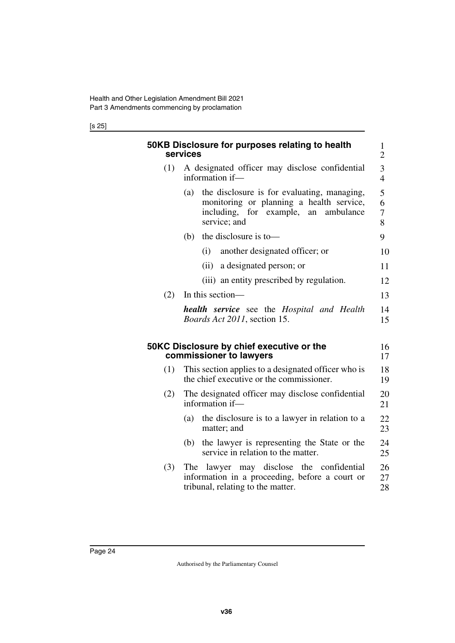#### [s 25]

<span id="page-25-3"></span><span id="page-25-2"></span><span id="page-25-1"></span><span id="page-25-0"></span>

|     | 50KB Disclosure for purposes relating to health<br>services                                                                                            | $\mathbf{1}$<br>$\overline{2}$ |  |  |  |  |  |  |
|-----|--------------------------------------------------------------------------------------------------------------------------------------------------------|--------------------------------|--|--|--|--|--|--|
| (1) | A designated officer may disclose confidential<br>information if-                                                                                      | 3<br>$\overline{\mathcal{L}}$  |  |  |  |  |  |  |
|     | the disclosure is for evaluating, managing,<br>(a)<br>monitoring or planning a health service,<br>including, for example, an ambulance<br>service; and |                                |  |  |  |  |  |  |
|     | the disclosure is to-<br>(b)                                                                                                                           | 9                              |  |  |  |  |  |  |
|     | (i)<br>another designated officer; or                                                                                                                  | 10                             |  |  |  |  |  |  |
|     | (ii)<br>a designated person; or                                                                                                                        | 11                             |  |  |  |  |  |  |
|     | (iii) an entity prescribed by regulation.                                                                                                              | 12                             |  |  |  |  |  |  |
| (2) | In this section-                                                                                                                                       |                                |  |  |  |  |  |  |
|     | <b>health</b> service see the Hospital and Health<br><i>Boards Act 2011</i> , section 15.                                                              | 14<br>15                       |  |  |  |  |  |  |
|     | 50KC Disclosure by chief executive or the<br>commissioner to lawyers                                                                                   | 16<br>17                       |  |  |  |  |  |  |
| (1) | This section applies to a designated officer who is<br>the chief executive or the commissioner.                                                        | 18<br>19                       |  |  |  |  |  |  |
| (2) | The designated officer may disclose confidential<br>information if-                                                                                    | 20<br>21                       |  |  |  |  |  |  |
|     | the disclosure is to a lawyer in relation to a<br>(a)<br>matter; and                                                                                   | 22<br>23                       |  |  |  |  |  |  |
|     | the lawyer is representing the State or the<br>(b)<br>service in relation to the matter.                                                               | 24<br>25                       |  |  |  |  |  |  |
| (3) | The lawyer may disclose the confidential<br>information in a proceeding, before a court or<br>tribunal, relating to the matter.                        | 26<br>27<br>28                 |  |  |  |  |  |  |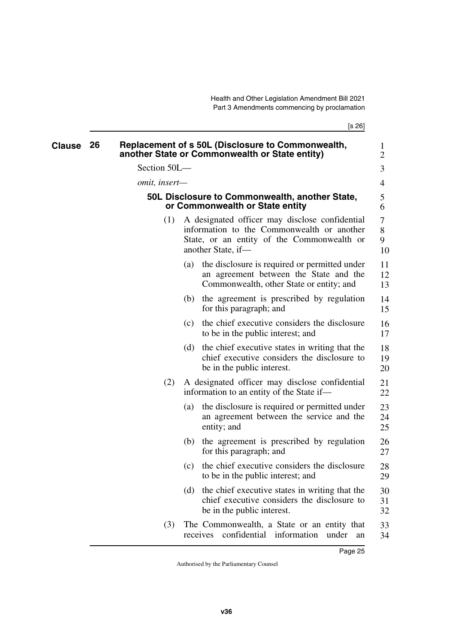[s 26]

<span id="page-26-3"></span><span id="page-26-2"></span><span id="page-26-1"></span><span id="page-26-0"></span>

| Clause | 26 |                      |                   | Replacement of s 50L (Disclosure to Commonwealth,<br>another State or Commonwealth or State entity)                                                              | 1<br>$\overline{2}$ |
|--------|----|----------------------|-------------------|------------------------------------------------------------------------------------------------------------------------------------------------------------------|---------------------|
|        |    | Section 50L-         |                   |                                                                                                                                                                  | 3                   |
|        |    | <i>omit, insert—</i> |                   |                                                                                                                                                                  | 4                   |
|        |    |                      |                   | 50L Disclosure to Commonwealth, another State,<br>or Commonwealth or State entity                                                                                | 5<br>6              |
|        |    | (1)                  |                   | A designated officer may disclose confidential<br>information to the Commonwealth or another<br>State, or an entity of the Commonwealth or<br>another State, if- | 7<br>8<br>9<br>10   |
|        |    |                      | $\left( a\right)$ | the disclosure is required or permitted under<br>an agreement between the State and the<br>Commonwealth, other State or entity; and                              | 11<br>12<br>13      |
|        |    |                      |                   | (b) the agreement is prescribed by regulation<br>for this paragraph; and                                                                                         | 14<br>15            |
|        |    |                      | (c)               | the chief executive considers the disclosure<br>to be in the public interest; and                                                                                | 16<br>17            |
|        |    |                      | (d)               | the chief executive states in writing that the<br>chief executive considers the disclosure to<br>be in the public interest.                                      | 18<br>19<br>20      |
|        |    | (2)                  |                   | A designated officer may disclose confidential<br>information to an entity of the State if-                                                                      | 21<br>22            |
|        |    |                      | (a)               | the disclosure is required or permitted under<br>an agreement between the service and the<br>entity; and                                                         | 23<br>24<br>25      |
|        |    |                      | (b)               | the agreement is prescribed by regulation<br>for this paragraph; and                                                                                             | 26<br>27            |
|        |    |                      | (c)               | the chief executive considers the disclosure<br>to be in the public interest; and                                                                                | 28<br>29            |
|        |    |                      | (d)               | the chief executive states in writing that the<br>chief executive considers the disclosure to<br>be in the public interest.                                      | 30<br>31<br>32      |
|        |    | (3)                  |                   | The Commonwealth, a State or an entity that<br>confidential<br>receives<br>information<br>under<br>an                                                            | 33<br>34            |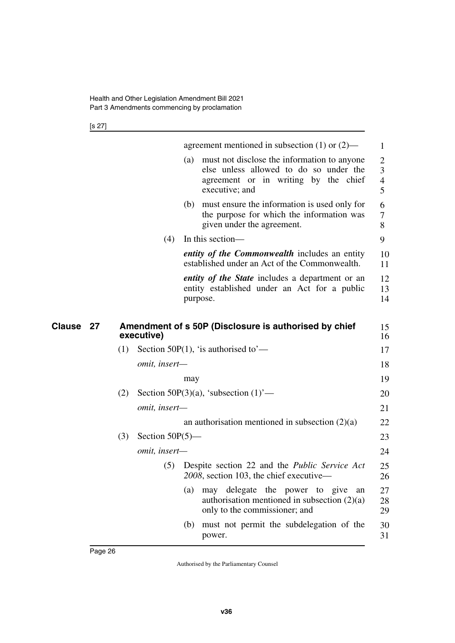[s 27]

<span id="page-27-1"></span><span id="page-27-0"></span>

|                     |     |                    |     | agreement mentioned in subsection $(1)$ or $(2)$ —                                                                                              | 1                |
|---------------------|-----|--------------------|-----|-------------------------------------------------------------------------------------------------------------------------------------------------|------------------|
|                     |     |                    | (a) | must not disclose the information to anyone<br>else unless allowed to do so under the<br>agreement or in writing by the chief<br>executive; and | 2<br>3<br>4<br>5 |
|                     |     |                    | (b) | must ensure the information is used only for<br>the purpose for which the information was<br>given under the agreement.                         | 6<br>7<br>8      |
|                     |     | (4)                |     | In this section—                                                                                                                                | 9                |
|                     |     |                    |     | <i>entity of the Commonwealth includes an entity</i><br>established under an Act of the Commonwealth.                                           | 10<br>11         |
|                     |     |                    |     | <i>entity of the State</i> includes a department or an<br>entity established under an Act for a public<br>purpose.                              | 12<br>13<br>14   |
| <b>Clause</b><br>27 |     | executive)         |     | Amendment of s 50P (Disclosure is authorised by chief                                                                                           | 15<br>16         |
|                     | (1) |                    |     | Section 50P(1), 'is authorised to'—                                                                                                             | 17               |
|                     |     | omit, insert-      |     |                                                                                                                                                 | 18               |
|                     |     |                    | may |                                                                                                                                                 | 19               |
|                     | (2) |                    |     | Section 50P(3)(a), 'subsection $(1)$ '—                                                                                                         | 20               |
|                     |     | omit, insert-      |     |                                                                                                                                                 | 21               |
|                     |     |                    |     | an authorisation mentioned in subsection $(2)(a)$                                                                                               | 22               |
|                     | (3) | Section $50P(5)$ — |     |                                                                                                                                                 | 23               |
|                     |     | omit, insert-      |     |                                                                                                                                                 | 24               |
|                     |     | (5)                |     | Despite section 22 and the Public Service Act<br>2008, section 103, the chief executive-                                                        | 25<br>26         |
|                     |     |                    | (a) | may delegate the power to give<br>an<br>authorisation mentioned in subsection $(2)(a)$<br>only to the commissioner; and                         | 27<br>28<br>29   |
|                     |     |                    | (b) | must not permit the subdelegation of the                                                                                                        | 30               |
|                     |     |                    |     | power.                                                                                                                                          | 31               |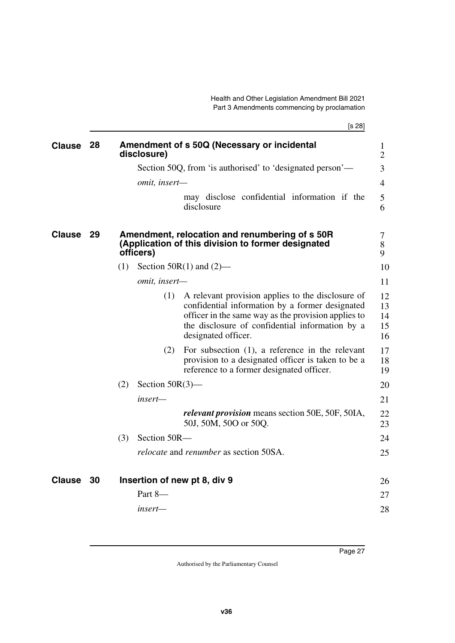<span id="page-28-5"></span><span id="page-28-4"></span><span id="page-28-3"></span><span id="page-28-2"></span><span id="page-28-1"></span><span id="page-28-0"></span>

|               |      | [s 28]                                                                                                                                                                                                                                       |                                |
|---------------|------|----------------------------------------------------------------------------------------------------------------------------------------------------------------------------------------------------------------------------------------------|--------------------------------|
| <b>Clause</b> | -28  | Amendment of s 50Q (Necessary or incidental<br>disclosure)                                                                                                                                                                                   | $\mathbf{1}$<br>$\overline{2}$ |
|               |      | Section 50Q, from 'is authorised' to 'designated person'—                                                                                                                                                                                    | 3                              |
|               |      | omit, insert-                                                                                                                                                                                                                                | $\overline{4}$                 |
|               |      | may disclose confidential information if the<br>disclosure                                                                                                                                                                                   | 5<br>6                         |
| <b>Clause</b> | -29  | Amendment, relocation and renumbering of s 50R<br>(Application of this division to former designated<br>officers)                                                                                                                            | 7<br>8<br>9                    |
|               |      | Section $50R(1)$ and $(2)$ —<br>(1)                                                                                                                                                                                                          | 10                             |
|               |      | omit, insert-                                                                                                                                                                                                                                | 11                             |
|               |      | (1)<br>A relevant provision applies to the disclosure of<br>confidential information by a former designated<br>officer in the same way as the provision applies to<br>the disclosure of confidential information by a<br>designated officer. | 12<br>13<br>14<br>15<br>16     |
|               |      | For subsection $(1)$ , a reference in the relevant<br>(2)<br>provision to a designated officer is taken to be a<br>reference to a former designated officer.                                                                                 | 17<br>18<br>19                 |
|               |      | (2)<br>Section $50R(3)$ —                                                                                                                                                                                                                    | 20                             |
|               |      | insert—                                                                                                                                                                                                                                      | 21                             |
|               |      | <i>relevant provision</i> means section 50E, 50F, 50IA,<br>50J, 50M, 50O or 50Q.                                                                                                                                                             | 22<br>23                       |
|               |      | Section 50R-<br>(3)                                                                                                                                                                                                                          | 24                             |
|               |      | <i>relocate</i> and <i>renumber</i> as section 50SA.                                                                                                                                                                                         | 25                             |
| <b>Clause</b> | - 30 | Insertion of new pt 8, div 9                                                                                                                                                                                                                 | 26                             |
|               |      | Part 8-                                                                                                                                                                                                                                      | 27                             |
|               |      | insert—                                                                                                                                                                                                                                      | 28                             |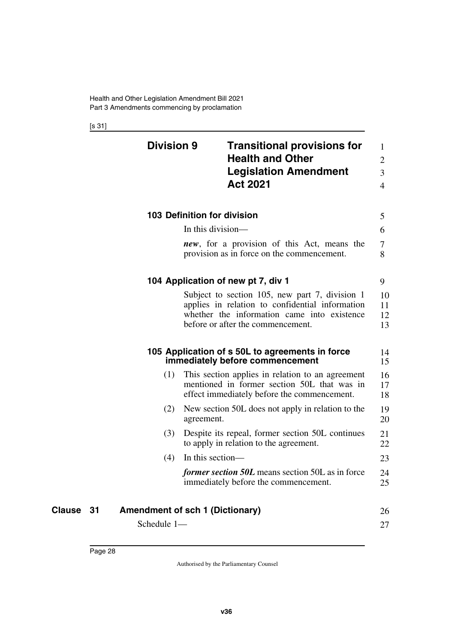[s 31]

<span id="page-29-5"></span><span id="page-29-4"></span><span id="page-29-3"></span><span id="page-29-2"></span><span id="page-29-1"></span><span id="page-29-0"></span>

|    | <b>Division 9</b>                      |                   | <b>Transitional provisions for</b><br><b>Health and Other</b><br><b>Legislation Amendment</b><br><b>Act 2021</b>                                                                      | $\mathbf{1}$<br>$\overline{2}$<br>3<br>$\overline{4}$ |
|----|----------------------------------------|-------------------|---------------------------------------------------------------------------------------------------------------------------------------------------------------------------------------|-------------------------------------------------------|
|    |                                        |                   | 103 Definition for division                                                                                                                                                           | 5                                                     |
|    |                                        | In this division- |                                                                                                                                                                                       | 6                                                     |
|    |                                        |                   | <i>new</i> , for a provision of this Act, means the<br>provision as in force on the commencement.                                                                                     | 7<br>8                                                |
|    |                                        |                   | 104 Application of new pt 7, div 1                                                                                                                                                    | 9                                                     |
|    |                                        |                   | Subject to section 105, new part 7, division 1<br>applies in relation to confidential information<br>whether the information came into existence<br>before or after the commencement. | 10<br>11<br>12<br>13                                  |
|    |                                        |                   | 105 Application of s 50L to agreements in force<br>immediately before commencement                                                                                                    | 14<br>15                                              |
|    | (1)                                    |                   | This section applies in relation to an agreement<br>mentioned in former section 50L that was in<br>effect immediately before the commencement.                                        | 16<br>17<br>18                                        |
|    | (2)                                    | agreement.        | New section 50L does not apply in relation to the                                                                                                                                     | 19<br>20                                              |
|    | (3)                                    |                   | Despite its repeal, former section 50L continues<br>to apply in relation to the agreement.                                                                                            | 21<br>22                                              |
|    | (4)                                    | In this section—  |                                                                                                                                                                                       | 23                                                    |
|    |                                        |                   | <i>former section 50L</i> means section 50L as in force<br>immediately before the commencement.                                                                                       | 24<br>25                                              |
| 31 | <b>Amendment of sch 1 (Dictionary)</b> |                   |                                                                                                                                                                                       | 26                                                    |
|    | Schedule 1-                            |                   |                                                                                                                                                                                       | 27                                                    |

<span id="page-29-9"></span><span id="page-29-8"></span><span id="page-29-7"></span><span id="page-29-6"></span>**Clause** 31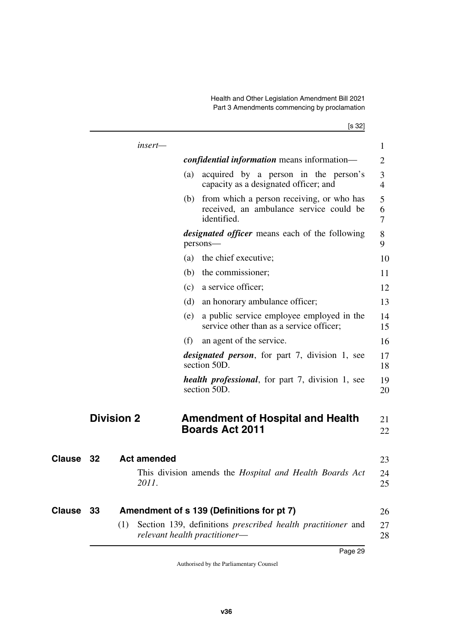Health and Other Legislation Amendment Bill 2021 Part 3 Amendments commencing by proclamation

[s 32]

<span id="page-30-5"></span><span id="page-30-4"></span><span id="page-30-3"></span><span id="page-30-2"></span><span id="page-30-1"></span><span id="page-30-0"></span>

|               |    | insert-            |     |                                                                                                         | $\mathbf{1}$             |
|---------------|----|--------------------|-----|---------------------------------------------------------------------------------------------------------|--------------------------|
|               |    |                    |     | <i>confidential information</i> means information—                                                      | $\overline{2}$           |
|               |    |                    | (a) | acquired by a person in the person's<br>capacity as a designated officer; and                           | 3<br>$\overline{4}$      |
|               |    |                    |     | (b) from which a person receiving, or who has<br>received, an ambulance service could be<br>identified. | 5<br>6<br>$\overline{7}$ |
|               |    |                    |     | <i>designated officer</i> means each of the following<br>persons-                                       | 8<br>9                   |
|               |    |                    | (a) | the chief executive;                                                                                    | 10                       |
|               |    |                    | (b) | the commissioner;                                                                                       | 11                       |
|               |    |                    | (c) | a service officer;                                                                                      | 12                       |
|               |    |                    | (d) | an honorary ambulance officer;                                                                          | 13                       |
|               |    |                    | (e) | a public service employee employed in the<br>service other than as a service officer;                   | 14<br>15                 |
|               |    |                    | (f) | an agent of the service.                                                                                | 16                       |
|               |    |                    |     | <i>designated person</i> , for part 7, division 1, see<br>section 50D.                                  | 17<br>18                 |
|               |    |                    |     | <i>health professional</i> , for part 7, division 1, see<br>section 50D.                                | 19<br>20                 |
|               |    | <b>Division 2</b>  |     | <b>Amendment of Hospital and Health</b><br><b>Boards Act 2011</b>                                       | 21<br>22                 |
| Clause        | 32 | <b>Act amended</b> |     |                                                                                                         | 23                       |
|               |    | 2011.              |     | This division amends the <i>Hospital and Health Boards Act</i>                                          | 24<br>25                 |
| <b>Clause</b> | 33 |                    |     | Amendment of s 139 (Definitions for pt 7)                                                               | 26                       |
|               |    | (1)                |     | Section 139, definitions <i>prescribed health practitioner</i> and<br>relevant health practitioner-     | 27<br>28                 |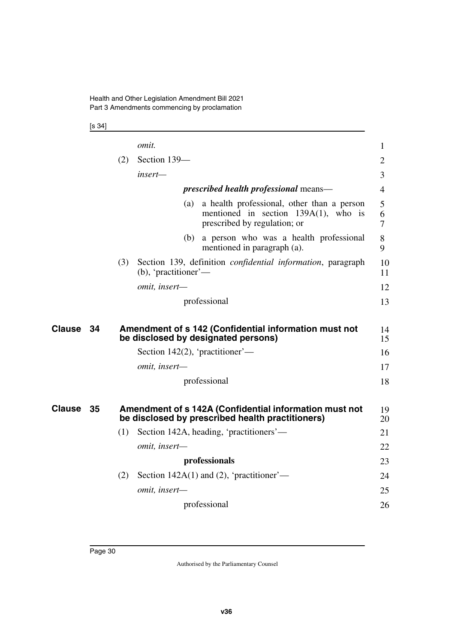[s 34]

<span id="page-31-3"></span><span id="page-31-2"></span><span id="page-31-1"></span><span id="page-31-0"></span>

|               |    |     | <i>omit.</i>                                                                                                                 | $\mathbf{1}$   |
|---------------|----|-----|------------------------------------------------------------------------------------------------------------------------------|----------------|
|               |    | (2) | Section 139-                                                                                                                 | $\overline{2}$ |
|               |    |     | insert—                                                                                                                      | 3              |
|               |    |     | <i>prescribed health professional</i> means—                                                                                 | $\overline{4}$ |
|               |    |     | a health professional, other than a person<br>(a)<br>mentioned in section $139A(1)$ , who is<br>prescribed by regulation; or | 5<br>6<br>7    |
|               |    |     | a person who was a health professional<br>(b)<br>mentioned in paragraph (a).                                                 | 8<br>9         |
|               |    | (3) | Section 139, definition <i>confidential information</i> , paragraph<br>$(b)$ , 'practitioner'—                               | 10<br>11       |
|               |    |     | omit, insert-                                                                                                                | 12             |
|               |    |     | professional                                                                                                                 | 13             |
|               |    |     |                                                                                                                              |                |
| <b>Clause</b> | 34 |     | Amendment of s 142 (Confidential information must not<br>be disclosed by designated persons)                                 | 14<br>15       |
|               |    |     | Section 142(2), 'practitioner'—                                                                                              | 16             |
|               |    |     | omit, insert-                                                                                                                | 17             |
|               |    |     | professional                                                                                                                 | 18             |
| <b>Clause</b> | 35 |     | Amendment of s 142A (Confidential information must not                                                                       | 19             |
|               |    |     | be disclosed by prescribed health practitioners)                                                                             | 20             |
|               |    | (1) | Section 142A, heading, 'practitioners'—                                                                                      | 21             |
|               |    |     | omit, insert-                                                                                                                | 22             |
|               |    |     | professionals                                                                                                                | 23             |
|               |    | (2) | Section $142A(1)$ and (2), 'practitioner'—                                                                                   | 24             |
|               |    |     | omit, insert-                                                                                                                | 25             |
|               |    |     | professional                                                                                                                 | 26             |
|               |    |     |                                                                                                                              |                |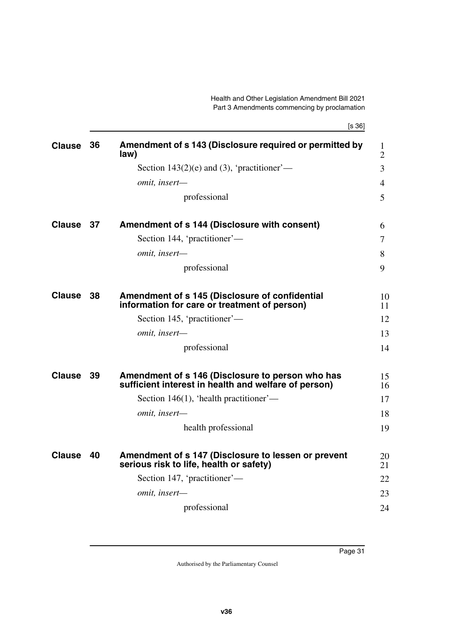<span id="page-32-9"></span><span id="page-32-8"></span><span id="page-32-7"></span><span id="page-32-6"></span><span id="page-32-5"></span><span id="page-32-4"></span><span id="page-32-3"></span><span id="page-32-2"></span><span id="page-32-1"></span><span id="page-32-0"></span>

| <b>Clause</b> | 36  | Amendment of s 143 (Disclosure required or permitted by<br>law)                                          | $\mathbf{1}$<br>$\overline{2}$ |
|---------------|-----|----------------------------------------------------------------------------------------------------------|--------------------------------|
|               |     | Section 143 $(2)$ (e) and $(3)$ , 'practitioner'—                                                        | 3                              |
|               |     | omit, insert-                                                                                            | 4                              |
|               |     | professional                                                                                             | 5                              |
| <b>Clause</b> | -37 | Amendment of s 144 (Disclosure with consent)                                                             | 6                              |
|               |     | Section 144, 'practitioner'—                                                                             | 7                              |
|               |     | omit, insert-                                                                                            | 8                              |
|               |     | professional                                                                                             | 9                              |
| <b>Clause</b> | -38 | Amendment of s 145 (Disclosure of confidential<br>information for care or treatment of person)           | 10<br>11                       |
|               |     | Section 145, 'practitioner'—                                                                             | 12                             |
|               |     | omit, insert-                                                                                            | 13                             |
|               |     | professional                                                                                             | 14                             |
| <b>Clause</b> | -39 | Amendment of s 146 (Disclosure to person who has<br>sufficient interest in health and welfare of person) | 15<br>16                       |
|               |     | Section 146(1), 'health practitioner'—                                                                   | 17                             |
|               |     | omit, insert-                                                                                            | 18                             |
|               |     | health professional                                                                                      | 19                             |
| <b>Clause</b> | 40  | Amendment of s 147 (Disclosure to lessen or prevent<br>serious risk to life, health or safety)           | 20<br>21                       |
|               |     | Section 147, 'practitioner'—                                                                             | 22                             |
|               |     | omit, insert-                                                                                            | 23                             |
|               |     | professional                                                                                             | 24                             |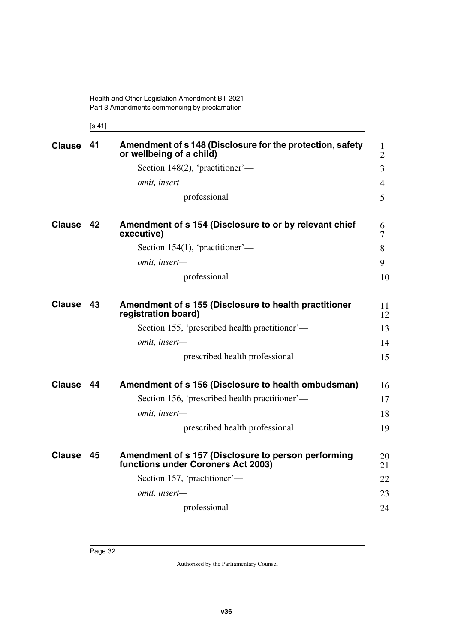<span id="page-33-3"></span><span id="page-33-1"></span><span id="page-33-0"></span>[s 41]

<span id="page-33-9"></span><span id="page-33-8"></span><span id="page-33-7"></span><span id="page-33-6"></span><span id="page-33-5"></span><span id="page-33-4"></span><span id="page-33-2"></span>

| <b>Clause</b> | 41 | Amendment of s 148 (Disclosure for the protection, safety<br>or wellbeing of a child)     | $\mathbf{1}$<br>$\overline{2}$ |
|---------------|----|-------------------------------------------------------------------------------------------|--------------------------------|
|               |    | Section 148(2), 'practitioner'—                                                           | 3                              |
|               |    | omit, insert-                                                                             | 4                              |
|               |    | professional                                                                              | 5                              |
| <b>Clause</b> | 42 | Amendment of s 154 (Disclosure to or by relevant chief<br>executive)                      | 6<br>7                         |
|               |    | Section 154(1), 'practitioner'—                                                           | 8                              |
|               |    | omit, insert-                                                                             | 9                              |
|               |    | professional                                                                              | 10                             |
| <b>Clause</b> | 43 | Amendment of s 155 (Disclosure to health practitioner<br>registration board)              | 11<br>12                       |
|               |    | Section 155, 'prescribed health practitioner'—                                            | 13                             |
|               |    | omit, insert-                                                                             | 14                             |
|               |    | prescribed health professional                                                            | 15                             |
| <b>Clause</b> | 44 | Amendment of s 156 (Disclosure to health ombudsman)                                       | 16                             |
|               |    | Section 156, 'prescribed health practitioner'—                                            | 17                             |
|               |    | omit, insert-                                                                             | 18                             |
|               |    | prescribed health professional                                                            | 19                             |
| <b>Clause</b> | 45 | Amendment of s 157 (Disclosure to person performing<br>functions under Coroners Act 2003) | 20<br>21                       |
|               |    | Section 157, 'practitioner'—                                                              | 22                             |
|               |    | omit, insert-                                                                             | 23                             |
|               |    | professional                                                                              | 24                             |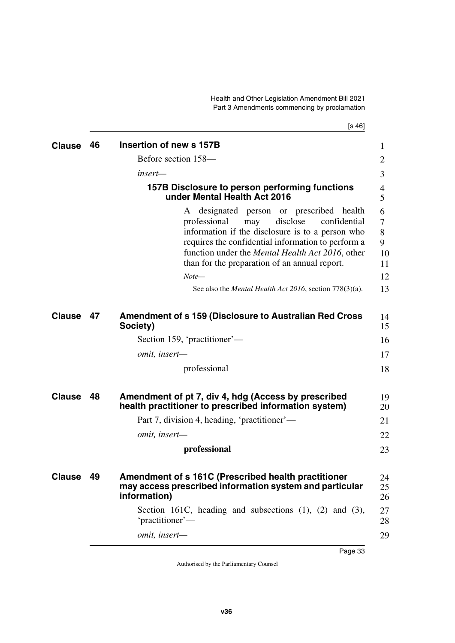<span id="page-34-3"></span><span id="page-34-2"></span>Health and Other Legislation Amendment Bill 2021 Part 3 Amendments commencing by proclamation

[s 46]

<span id="page-34-9"></span><span id="page-34-8"></span><span id="page-34-7"></span><span id="page-34-6"></span><span id="page-34-5"></span><span id="page-34-4"></span><span id="page-34-1"></span><span id="page-34-0"></span>

| <b>Clause</b> | 46 | Insertion of new s 157B                                                                                                                                                                                                                                                                                                                                                                     | 1                                        |
|---------------|----|---------------------------------------------------------------------------------------------------------------------------------------------------------------------------------------------------------------------------------------------------------------------------------------------------------------------------------------------------------------------------------------------|------------------------------------------|
|               |    | Before section 158—                                                                                                                                                                                                                                                                                                                                                                         | 2                                        |
|               |    | insert—                                                                                                                                                                                                                                                                                                                                                                                     | 3                                        |
|               |    | 157B Disclosure to person performing functions<br>under Mental Health Act 2016                                                                                                                                                                                                                                                                                                              | 4<br>5                                   |
|               |    | designated person or prescribed health<br>A<br>disclose<br>professional<br>confidential<br>may<br>information if the disclosure is to a person who<br>requires the confidential information to perform a<br>function under the Mental Health Act 2016, other<br>than for the preparation of an annual report.<br>$Note-$<br>See also the <i>Mental Health Act 2016</i> , section 778(3)(a). | 6<br>7<br>8<br>9<br>10<br>11<br>12<br>13 |
| <b>Clause</b> | 47 | <b>Amendment of s 159 (Disclosure to Australian Red Cross</b><br>Society)                                                                                                                                                                                                                                                                                                                   | 14<br>15                                 |
|               |    | Section 159, 'practitioner'—                                                                                                                                                                                                                                                                                                                                                                | 16                                       |
|               |    | omit, insert-                                                                                                                                                                                                                                                                                                                                                                               | 17                                       |
|               |    | professional                                                                                                                                                                                                                                                                                                                                                                                | 18                                       |
| <b>Clause</b> | 48 | Amendment of pt 7, div 4, hdg (Access by prescribed<br>health practitioner to prescribed information system)                                                                                                                                                                                                                                                                                | 19<br>20                                 |
|               |    | Part 7, division 4, heading, 'practitioner'—                                                                                                                                                                                                                                                                                                                                                | 21                                       |
|               |    | omit, insert-                                                                                                                                                                                                                                                                                                                                                                               | 22                                       |
|               |    | professional                                                                                                                                                                                                                                                                                                                                                                                | 23                                       |
| <b>Clause</b> | 49 | Amendment of s 161C (Prescribed health practitioner<br>may access prescribed information system and particular<br>information)                                                                                                                                                                                                                                                              | 24<br>25<br>26                           |
|               |    | Section 161C, heading and subsections $(1)$ , $(2)$ and $(3)$ ,<br>'practitioner'—                                                                                                                                                                                                                                                                                                          | 27<br>28                                 |
|               |    | omit, insert-                                                                                                                                                                                                                                                                                                                                                                               | 29                                       |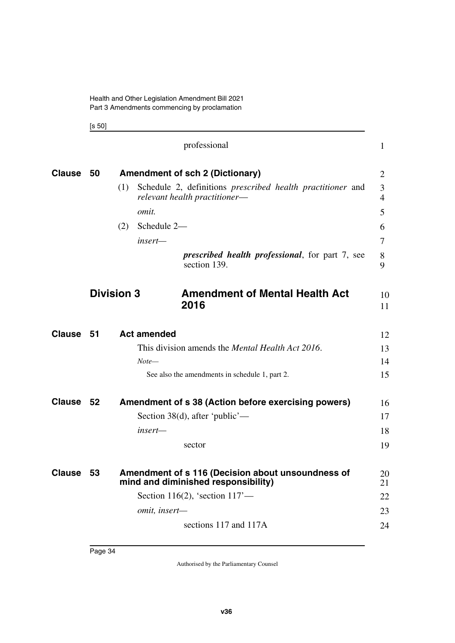<span id="page-35-3"></span><span id="page-35-1"></span><span id="page-35-0"></span>[s 50]

<span id="page-35-9"></span><span id="page-35-8"></span><span id="page-35-7"></span><span id="page-35-6"></span><span id="page-35-5"></span><span id="page-35-4"></span><span id="page-35-2"></span>

|               |                   |     | professional                                                                                              | $\mathbf{1}$ |          |
|---------------|-------------------|-----|-----------------------------------------------------------------------------------------------------------|--------------|----------|
| <b>Clause</b> | - 50              |     | <b>Amendment of sch 2 (Dictionary)</b>                                                                    | 2            |          |
|               |                   | (1) | Schedule 2, definitions <i>prescribed</i> health <i>practitioner</i> and<br>relevant health practitioner- | 3<br>4       |          |
|               |                   |     | omit.                                                                                                     | 5            |          |
|               |                   | (2) | Schedule 2-                                                                                               | 6            |          |
|               |                   |     | insert—                                                                                                   | 7            |          |
|               |                   |     | <i>prescribed health professional, for part 7, see</i><br>section 139.                                    | 8<br>9       |          |
|               | <b>Division 3</b> |     | <b>Amendment of Mental Health Act</b><br>2016                                                             |              | 10       |
|               |                   |     |                                                                                                           |              | 11       |
| <b>Clause</b> | 51                |     | <b>Act amended</b>                                                                                        |              | 12       |
|               |                   |     | This division amends the <i>Mental Health Act 2016</i> .                                                  |              | 13       |
|               |                   |     | Note—                                                                                                     |              | 14       |
|               |                   |     | See also the amendments in schedule 1, part 2.                                                            |              | 15       |
| <b>Clause</b> | - 52              |     | Amendment of s 38 (Action before exercising powers)                                                       |              | 16       |
|               |                   |     | Section 38(d), after 'public'—                                                                            |              | 17       |
|               |                   |     | insert—                                                                                                   |              | 18       |
|               |                   |     | sector                                                                                                    |              | 19       |
| <b>Clause</b> | - 53              |     | Amendment of s 116 (Decision about unsoundness of<br>mind and diminished responsibility)                  |              | 20<br>21 |
|               |                   |     | Section 116(2), 'section $117'$ —                                                                         |              | 22       |
|               |                   |     | omit, insert-                                                                                             |              | 23       |
|               |                   |     | sections 117 and 117A                                                                                     |              | 24       |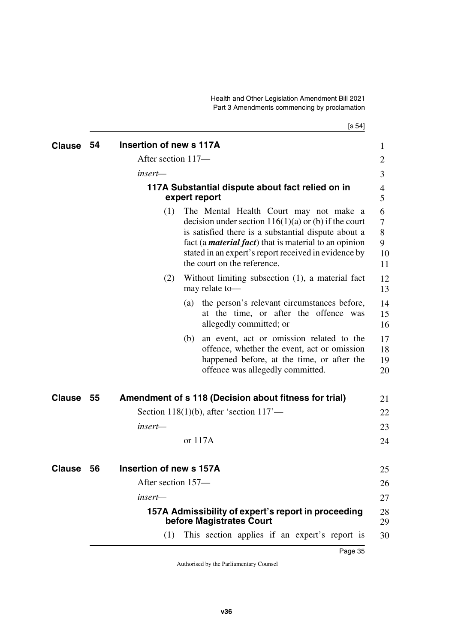$[s 54]$ 

| <b>Clause</b> | 54 | Insertion of new s 117A                                                         | 1                                                                                                                                                                                                                                                                                                                             |  |
|---------------|----|---------------------------------------------------------------------------------|-------------------------------------------------------------------------------------------------------------------------------------------------------------------------------------------------------------------------------------------------------------------------------------------------------------------------------|--|
|               |    | After section 117-                                                              | 2                                                                                                                                                                                                                                                                                                                             |  |
|               |    | insert—                                                                         | 3                                                                                                                                                                                                                                                                                                                             |  |
|               |    | 117A Substantial dispute about fact relied on in<br>expert report               | 4<br>5                                                                                                                                                                                                                                                                                                                        |  |
|               |    | (1)<br>the court on the reference.                                              | The Mental Health Court may not make a<br>6<br>decision under section $116(1)(a)$ or (b) if the court<br>$\overline{7}$<br>is satisfied there is a substantial dispute about a<br>8<br>fact (a <i>material fact</i> ) that is material to an opinion<br>9<br>stated in an expert's report received in evidence by<br>10<br>11 |  |
|               |    | (2)<br>may relate to-                                                           | Without limiting subsection (1), a material fact<br>12<br>13                                                                                                                                                                                                                                                                  |  |
|               |    | (a)<br>allegedly committed; or                                                  | the person's relevant circumstances before,<br>14<br>at the time, or after the offence was<br>15<br>16                                                                                                                                                                                                                        |  |
|               |    | (b)<br>offence was allegedly committed.                                         | an event, act or omission related to the<br>17<br>offence, whether the event, act or omission<br>18<br>happened before, at the time, or after the<br>19<br>20                                                                                                                                                                 |  |
| <b>Clause</b> | 55 | Amendment of s 118 (Decision about fitness for trial)                           | 21                                                                                                                                                                                                                                                                                                                            |  |
|               |    | Section 118(1)(b), after 'section $117'$ —                                      | 22                                                                                                                                                                                                                                                                                                                            |  |
|               |    | insert-                                                                         | 23                                                                                                                                                                                                                                                                                                                            |  |
|               |    | or 117A                                                                         | 24                                                                                                                                                                                                                                                                                                                            |  |
| <b>Clause</b> | 56 | Insertion of new s 157A                                                         | 25                                                                                                                                                                                                                                                                                                                            |  |
|               |    | After section 157-                                                              | 26                                                                                                                                                                                                                                                                                                                            |  |
|               |    | insert—                                                                         | 27                                                                                                                                                                                                                                                                                                                            |  |
|               |    | 157A Admissibility of expert's report in proceeding<br>before Magistrates Court | 28<br>29                                                                                                                                                                                                                                                                                                                      |  |
|               |    | (1)                                                                             | This section applies if an expert's report is<br>30                                                                                                                                                                                                                                                                           |  |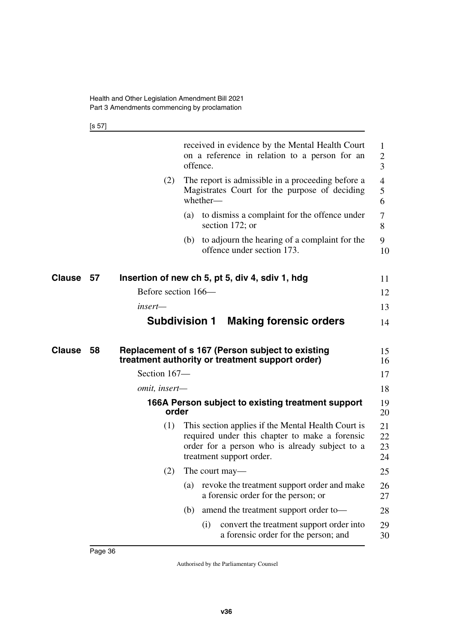[s 57]

|                     |               | received in evidence by the Mental Health Court<br>on a reference in relation to a person for an<br>offence.                                                                       | 1<br>$\overline{2}$<br>3 |
|---------------------|---------------|------------------------------------------------------------------------------------------------------------------------------------------------------------------------------------|--------------------------|
|                     | (2)           | The report is admissible in a proceeding before a<br>Magistrates Court for the purpose of deciding<br>whether-                                                                     | $\overline{4}$<br>5<br>6 |
|                     |               | to dismiss a complaint for the offence under<br>(a)<br>section 172; or                                                                                                             | 7<br>8                   |
|                     |               | to adjourn the hearing of a complaint for the<br>(b)<br>offence under section 173.                                                                                                 | 9<br>10                  |
| Clause<br>57        |               | Insertion of new ch 5, pt 5, div 4, sdiv 1, hdg                                                                                                                                    | 11                       |
|                     |               | Before section 166—                                                                                                                                                                | 12                       |
|                     | insert—       |                                                                                                                                                                                    | 13                       |
|                     |               | <b>Subdivision 1</b><br><b>Making forensic orders</b>                                                                                                                              | 14                       |
| <b>Clause</b><br>58 |               | Replacement of s 167 (Person subject to existing<br>treatment authority or treatment support order)                                                                                | 15<br>16                 |
|                     | Section 167-  |                                                                                                                                                                                    | 17                       |
|                     | omit, insert- |                                                                                                                                                                                    | 18                       |
|                     |               | 166A Person subject to existing treatment support<br>order                                                                                                                         | 19<br>20                 |
|                     | (1)           | This section applies if the Mental Health Court is<br>required under this chapter to make a forensic<br>order for a person who is already subject to a<br>treatment support order. | 21<br>22<br>23<br>24     |
|                     | (2)           | The court may—                                                                                                                                                                     |                          |
|                     |               | revoke the treatment support order and make<br>(a)                                                                                                                                 | 25                       |
|                     |               | a forensic order for the person; or                                                                                                                                                | 26<br>27                 |
|                     |               | amend the treatment support order to-<br>(b)                                                                                                                                       | 28                       |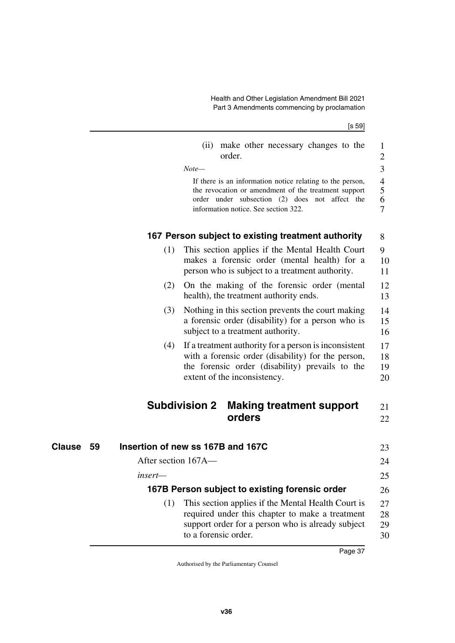[s 59] (ii) make other necessary changes to the order. *Note—* If there is an information notice relating to the person, the revocation or amendment of the treatment support order under subsection (2) does not affect the information notice. See section 322. **167 Person subject to existing treatment authority** (1) This section applies if the Mental Health Court makes a forensic order (mental health) for a person who is subject to a treatment authority. (2) On the making of the forensic order (mental health), the treatment authority ends. (3) Nothing in this section prevents the court making a forensic order (disability) for a person who is subject to a treatment authority. (4) If a treatment authority for a person is inconsistent with a forensic order (disability) for the person, the forensic order (disability) prevails to the extent of the inconsistency. **Subdivision 2 Making treatment support orders 59 Insertion of new ss 167B and 167C Clause** 23 After section 167A *insert—* **167B Person subject to existing forensic order** (1) This section applies if the Mental Health Court is required under this chapter to make a treatment support order for a person who is already subject 1 2 3 4 5 6 7 8  $\mathbf{Q}$ 10 11 12 13 14 15 16 17 18 19 20 21 22 24 25 26  $27$ 28 29

30

to a forensic order.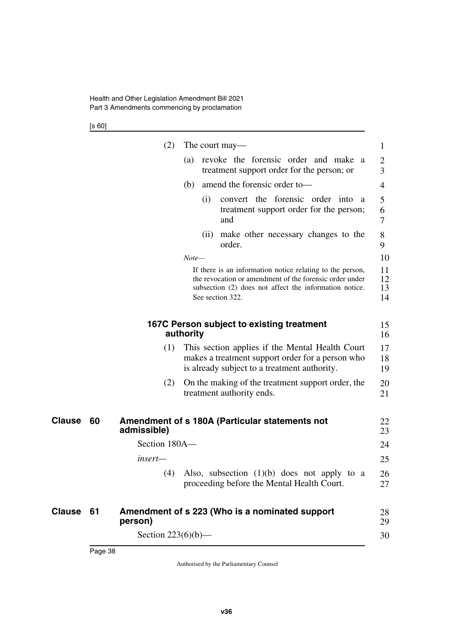[s 60]

|    | (2)                   | The court may—                                                                                                                                                                                     | 1                    |
|----|-----------------------|----------------------------------------------------------------------------------------------------------------------------------------------------------------------------------------------------|----------------------|
|    |                       | revoke the forensic order and make<br>(a)<br><sub>a</sub><br>treatment support order for the person; or                                                                                            | 2<br>3               |
|    |                       | amend the forensic order to-<br>(b)                                                                                                                                                                | 4                    |
|    |                       | convert the forensic order into<br>(i)<br>a<br>treatment support order for the person;<br>and                                                                                                      | 5<br>6<br>7          |
|    |                       | make other necessary changes to the<br>(i)<br>order.                                                                                                                                               | 8<br>9               |
|    |                       | $Note-$                                                                                                                                                                                            | 10                   |
|    |                       | If there is an information notice relating to the person,<br>the revocation or amendment of the forensic order under<br>subsection (2) does not affect the information notice.<br>See section 322. | 11<br>12<br>13<br>14 |
|    |                       | 167C Person subject to existing treatment<br>authority                                                                                                                                             | 15<br>16             |
|    | (1)                   | This section applies if the Mental Health Court<br>makes a treatment support order for a person who<br>is already subject to a treatment authority.                                                | 17<br>18<br>19       |
|    | (2)                   | On the making of the treatment support order, the<br>treatment authority ends.                                                                                                                     | 20<br>21             |
| 60 | admissible)           | Amendment of s 180A (Particular statements not                                                                                                                                                     | 22<br>23             |
|    | Section 180A-         |                                                                                                                                                                                                    | 24                   |
|    | insert—               |                                                                                                                                                                                                    | 25                   |
|    | (4)                   | Also, subsection $(1)(b)$ does not apply to a<br>proceeding before the Mental Health Court.                                                                                                        | 26<br>27             |
| 61 | person)               | Amendment of s 223 (Who is a nominated support                                                                                                                                                     | 28<br>29             |
|    | Section $223(6)(b)$ — |                                                                                                                                                                                                    | 30                   |

**Clause** 60

**Clause** 61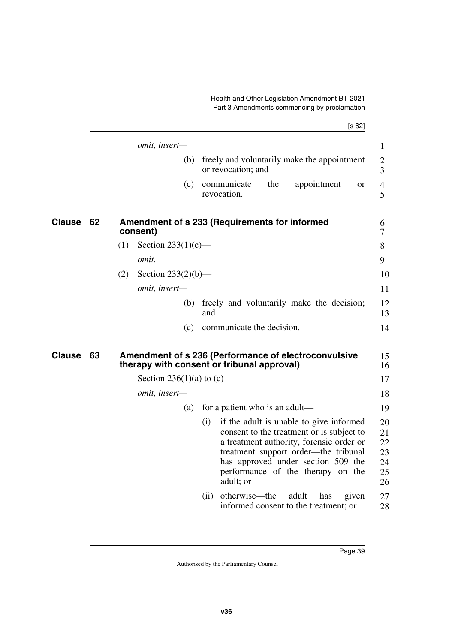|               |    | [s 62]                                                                                                                                                                                                                                                                                                            |
|---------------|----|-------------------------------------------------------------------------------------------------------------------------------------------------------------------------------------------------------------------------------------------------------------------------------------------------------------------|
|               |    | omit, insert-<br>$\mathbf{1}$                                                                                                                                                                                                                                                                                     |
|               |    | freely and voluntarily make the appointment<br>(b)<br>$\mathbf{2}$<br>or revocation; and<br>3                                                                                                                                                                                                                     |
|               |    | communicate<br>the<br>(c)<br>appointment<br>4<br><b>or</b><br>revocation.<br>5                                                                                                                                                                                                                                    |
| <b>Clause</b> | 62 | Amendment of s 233 (Requirements for informed<br>6<br>consent)<br>7                                                                                                                                                                                                                                               |
|               |    | Section $233(1)(c)$ —<br>(1)<br>8                                                                                                                                                                                                                                                                                 |
|               |    | omit.<br>9                                                                                                                                                                                                                                                                                                        |
|               |    | Section $233(2)(b)$ —<br>(2)<br>10                                                                                                                                                                                                                                                                                |
|               |    | omit, insert-<br>11                                                                                                                                                                                                                                                                                               |
|               |    | freely and voluntarily make the decision;<br>12<br>(b)<br>and<br>13                                                                                                                                                                                                                                               |
|               |    | communicate the decision.<br>14<br>(c)                                                                                                                                                                                                                                                                            |
| Clause        | 63 | Amendment of s 236 (Performance of electroconvulsive<br>15<br>therapy with consent or tribunal approval)<br>16                                                                                                                                                                                                    |
|               |    | Section 236(1)(a) to $(c)$ —<br>17                                                                                                                                                                                                                                                                                |
|               |    | 18<br>omit, insert-                                                                                                                                                                                                                                                                                               |
|               |    | for a patient who is an adult—<br>19<br>(a)                                                                                                                                                                                                                                                                       |
|               |    | if the adult is unable to give informed<br>(i)<br>20<br>consent to the treatment or is subject to<br>21<br>a treatment authority, forensic order or<br>22<br>treatment support order—the tribunal<br>23<br>has approved under section 509 the<br>24<br>performance of the therapy on the<br>25<br>adult; or<br>26 |
|               |    | otherwise-the<br>adult<br>27<br>(ii)<br>has<br>given<br>informed consent to the treatment; or<br>28                                                                                                                                                                                                               |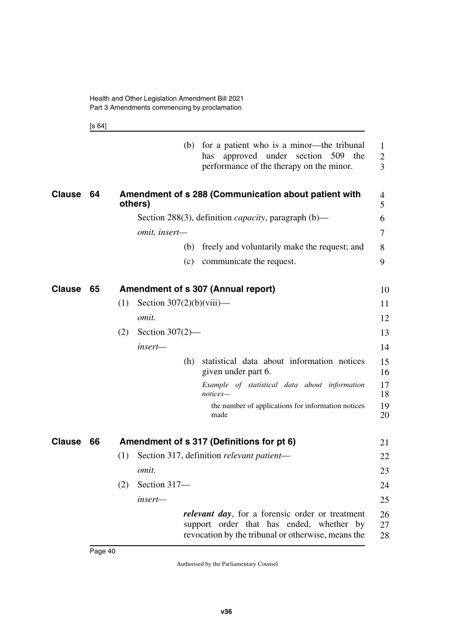[s 64]

|               |      | for a patient who is a minor—the tribunal<br>(b)<br>approved under section 509<br>the<br>has<br>performance of the therapy on the minor.                  | 1<br>2<br>$\overline{3}$ |
|---------------|------|-----------------------------------------------------------------------------------------------------------------------------------------------------------|--------------------------|
| <b>Clause</b> | - 64 | Amendment of s 288 (Communication about patient with<br>others)                                                                                           | 4<br>5                   |
|               |      | Section 288(3), definition <i>capacity</i> , paragraph $(b)$ —                                                                                            | 6                        |
|               |      | omit, insert-                                                                                                                                             | 7                        |
|               |      | freely and voluntarily make the request; and<br>(b)                                                                                                       | 8                        |
|               |      | communicate the request.<br>(c)                                                                                                                           | 9                        |
| <b>Clause</b> | 65   | Amendment of s 307 (Annual report)                                                                                                                        | 10                       |
|               |      | Section $307(2)(b)(viii)$ —<br>(1)                                                                                                                        | 11                       |
|               |      | omit.                                                                                                                                                     | 12                       |
|               |      | Section $307(2)$ —<br>(2)                                                                                                                                 | 13                       |
|               |      | insert—                                                                                                                                                   | 14                       |
|               |      | statistical data about information notices<br>(h)<br>given under part 6.                                                                                  | 15<br>16                 |
|               |      | Example of statistical data about information<br>notices—                                                                                                 | 17<br>18                 |
|               |      | the number of applications for information notices<br>made                                                                                                | 19<br>20                 |
| <b>Clause</b> | 66   | Amendment of s 317 (Definitions for pt 6)                                                                                                                 | 21                       |
|               |      | Section 317, definition relevant patient-<br>(1)                                                                                                          | 22                       |
|               |      | omit.                                                                                                                                                     | 23                       |
|               |      | Section 317-<br>(2)                                                                                                                                       | 24                       |
|               |      | insert-                                                                                                                                                   | 25                       |
|               |      | <i>relevant day</i> , for a forensic order or treatment<br>support order that has ended, whether by<br>revocation by the tribunal or otherwise, means the | 26<br>27<br>28           |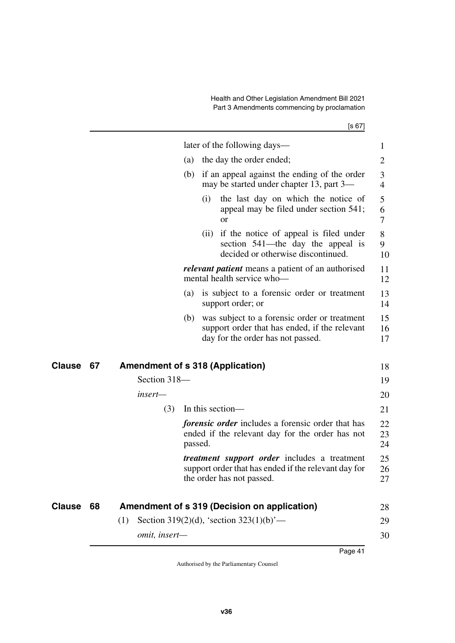$[s 67]$ 

|               |    |     |               |         |      | later of the following days—                                                                                                             | 1                   |
|---------------|----|-----|---------------|---------|------|------------------------------------------------------------------------------------------------------------------------------------------|---------------------|
|               |    |     |               | (a)     |      | the day the order ended;                                                                                                                 | 2                   |
|               |    |     |               | (b)     |      | if an appeal against the ending of the order<br>may be started under chapter 13, part 3—                                                 | 3<br>$\overline{4}$ |
|               |    |     |               |         | (i)  | the last day on which the notice of<br>appeal may be filed under section 541;<br><sub>or</sub>                                           | 5<br>6<br>$\tau$    |
|               |    |     |               |         | (ii) | if the notice of appeal is filed under<br>section 541—the day the appeal is<br>decided or otherwise discontinued.                        | 8<br>9<br>10        |
|               |    |     |               |         |      | <i>relevant patient</i> means a patient of an authorised<br>mental health service who-                                                   | 11<br>12            |
|               |    |     |               | (a)     |      | is subject to a forensic order or treatment<br>support order; or                                                                         | 13<br>14            |
|               |    |     |               | (b)     |      | was subject to a forensic order or treatment<br>support order that has ended, if the relevant<br>day for the order has not passed.       | 15<br>16<br>17      |
| Clause        | 67 |     |               |         |      | <b>Amendment of s 318 (Application)</b>                                                                                                  | 18                  |
|               |    |     | Section 318-  |         |      |                                                                                                                                          | 19                  |
|               |    |     | insert-       |         |      |                                                                                                                                          | 20                  |
|               |    |     | (3)           |         |      | In this section—                                                                                                                         | 21                  |
|               |    |     |               | passed. |      | forensic order includes a forensic order that has<br>ended if the relevant day for the order has not                                     | 22<br>23<br>24      |
|               |    |     |               |         |      | <i>treatment support order</i> includes a treatment<br>support order that has ended if the relevant day for<br>the order has not passed. | 25<br>26<br>27      |
| <b>Clause</b> | 68 |     |               |         |      | Amendment of s 319 (Decision on application)                                                                                             | 28                  |
|               |    | (1) |               |         |      | Section 319(2)(d), 'section $323(1)(b)$ '—                                                                                               | 29                  |
|               |    |     | omit, insert- |         |      |                                                                                                                                          | 30                  |
|               |    |     |               |         |      |                                                                                                                                          |                     |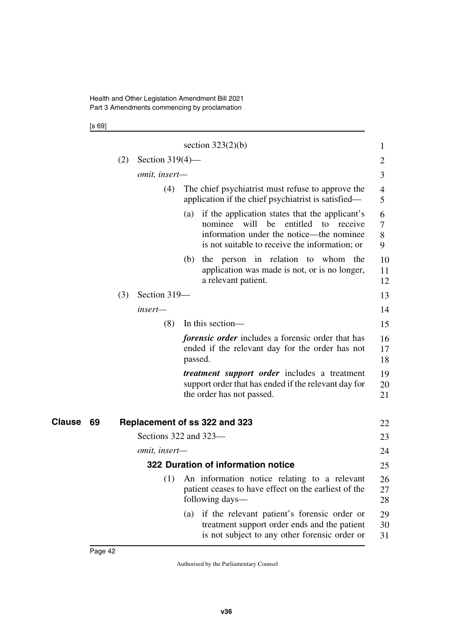[s 69]

|                     |     |                       |         | section $323(2)(b)$                                                                                                                                                                       | 1                |
|---------------------|-----|-----------------------|---------|-------------------------------------------------------------------------------------------------------------------------------------------------------------------------------------------|------------------|
|                     | (2) | Section $319(4)$ —    |         |                                                                                                                                                                                           | 2                |
|                     |     | omit, insert-         |         |                                                                                                                                                                                           | 3                |
|                     |     | (4)                   |         | The chief psychiatrist must refuse to approve the<br>application if the chief psychiatrist is satisfied-                                                                                  | 4<br>5           |
|                     |     |                       | (a)     | if the application states that the applicant's<br>nominee will be<br>entitled to<br>receive<br>information under the notice—the nominee<br>is not suitable to receive the information; or | 6<br>7<br>8<br>9 |
|                     |     |                       | (b)     | the person in relation to whom the<br>application was made is not, or is no longer,<br>a relevant patient.                                                                                | 10<br>11<br>12   |
|                     | (3) | Section 319-          |         |                                                                                                                                                                                           | 13               |
|                     |     | insert-               |         |                                                                                                                                                                                           | 14               |
|                     |     | (8)                   |         | In this section—                                                                                                                                                                          | 15               |
|                     |     |                       | passed. | <i>forensic order</i> includes a forensic order that has<br>ended if the relevant day for the order has not                                                                               | 16<br>17<br>18   |
|                     |     |                       |         | <i>treatment support order</i> includes a treatment<br>support order that has ended if the relevant day for<br>the order has not passed.                                                  | 19<br>20<br>21   |
| <b>Clause</b><br>69 |     |                       |         | Replacement of ss 322 and 323                                                                                                                                                             | 22               |
|                     |     | Sections 322 and 323- |         |                                                                                                                                                                                           | 23               |
|                     |     | omit, insert-         |         |                                                                                                                                                                                           | 24               |
|                     |     |                       |         | 322 Duration of information notice                                                                                                                                                        | 25               |
|                     |     |                       |         | (1) An information notice relating to a relevant<br>patient ceases to have effect on the earliest of the<br>following days—                                                               | 26<br>27<br>28   |
|                     |     |                       | (a)     | if the relevant patient's forensic order or<br>treatment support order ends and the patient<br>is not subject to any other forensic order or                                              | 29<br>30<br>31   |
|                     |     |                       |         |                                                                                                                                                                                           |                  |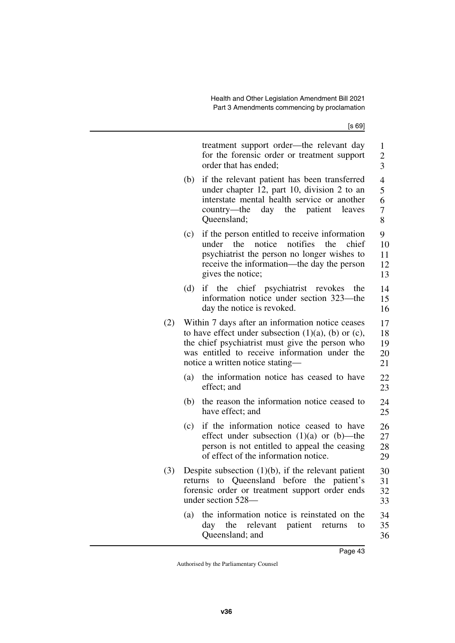[s 69]

|     |     | treatment support order—the relevant day<br>for the forensic order or treatment support<br>order that has ended;                                                                                                                                        | $\mathbf{1}$<br>$\overline{c}$<br>$\overline{3}$ |
|-----|-----|---------------------------------------------------------------------------------------------------------------------------------------------------------------------------------------------------------------------------------------------------------|--------------------------------------------------|
|     | (b) | if the relevant patient has been transferred<br>under chapter 12, part 10, division 2 to an<br>interstate mental health service or another<br>country—the<br>day the patient<br>leaves<br>Queensland;                                                   | $\overline{4}$<br>5<br>6<br>7<br>8               |
|     | (c) | if the person entitled to receive information<br>the<br>notice<br>notifies<br>under<br>the<br>chief<br>psychiatrist the person no longer wishes to<br>receive the information—the day the person<br>gives the notice;                                   | 9<br>10<br>11<br>12<br>13                        |
|     | (d) | if the chief psychiatrist revokes<br>the<br>information notice under section 323—the<br>day the notice is revoked.                                                                                                                                      | 14<br>15<br>16                                   |
| (2) |     | Within 7 days after an information notice ceases<br>to have effect under subsection $(1)(a)$ , $(b)$ or $(c)$ ,<br>the chief psychiatrist must give the person who<br>was entitled to receive information under the<br>notice a written notice stating- | 17<br>18<br>19<br>20<br>21                       |
|     | (a) | the information notice has ceased to have<br>effect; and                                                                                                                                                                                                | 22<br>23                                         |
|     | (b) | the reason the information notice ceased to<br>have effect; and                                                                                                                                                                                         | 24<br>25                                         |
|     | (c) | if the information notice ceased to have<br>effect under subsection $(1)(a)$ or $(b)$ —the<br>person is not entitled to appeal the ceasing<br>of effect of the information notice.                                                                      | 26<br>27<br>28<br>29                             |
| (3) |     | Despite subsection $(1)(b)$ , if the relevant patient<br>returns to Queensland before the patient's<br>forensic order or treatment support order ends<br>under section 528-                                                                             | 30<br>31<br>32<br>33                             |
|     | (a) | the information notice is reinstated on the<br>day the relevant patient<br>returns<br>to<br>Queensland; and                                                                                                                                             | 34<br>35<br>36                                   |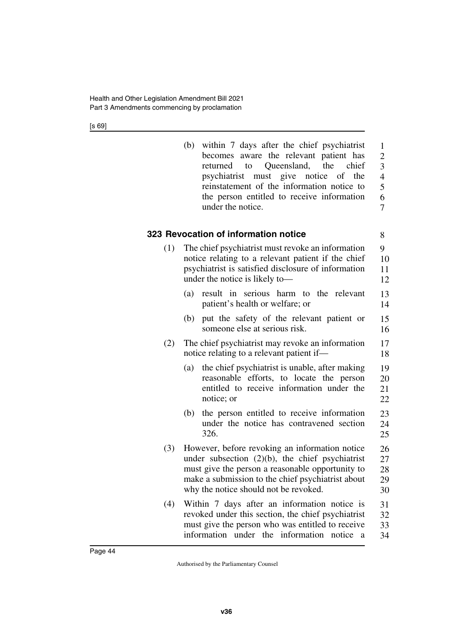[s 69]

|     | within 7 days after the chief psychiatrist<br>(b)<br>becomes aware the relevant patient has<br>Queensland, the<br>chief<br>returned to<br>must give notice<br>psychiatrist<br>of the<br>reinstatement of the information notice to<br>the person entitled to receive information<br>under the notice. | $\mathbf{1}$<br>$\overline{2}$<br>3<br>$\overline{4}$<br>5<br>6<br>7 |
|-----|-------------------------------------------------------------------------------------------------------------------------------------------------------------------------------------------------------------------------------------------------------------------------------------------------------|----------------------------------------------------------------------|
|     | 323 Revocation of information notice                                                                                                                                                                                                                                                                  | 8                                                                    |
| (1) | The chief psychiatrist must revoke an information<br>notice relating to a relevant patient if the chief<br>psychiatrist is satisfied disclosure of information<br>under the notice is likely to-                                                                                                      | 9<br>10<br>11<br>12                                                  |
|     | result in serious harm to the relevant<br>(a)<br>patient's health or welfare; or                                                                                                                                                                                                                      | 13<br>14                                                             |
|     | put the safety of the relevant patient or<br>(b)<br>someone else at serious risk.                                                                                                                                                                                                                     | 15<br>16                                                             |
| (2) | The chief psychiatrist may revoke an information<br>notice relating to a relevant patient if—                                                                                                                                                                                                         | 17<br>18                                                             |
|     | the chief psychiatrist is unable, after making<br>(a)<br>reasonable efforts, to locate the person<br>entitled to receive information under the<br>notice; or                                                                                                                                          | 19<br>20<br>21<br>22                                                 |
|     | (b)<br>the person entitled to receive information<br>under the notice has contravened section<br>326.                                                                                                                                                                                                 | 23<br>24<br>25                                                       |
| (3) | However, before revoking an information notice<br>under subsection $(2)(b)$ , the chief psychiatrist<br>must give the person a reasonable opportunity to<br>make a submission to the chief psychiatrist about<br>why the notice should not be revoked.                                                | 26<br>27<br>28<br>29<br>30                                           |
| (4) | Within 7 days after an information notice is<br>revoked under this section, the chief psychiatrist<br>must give the person who was entitled to receive<br>under the information<br>information<br>notice<br>a                                                                                         | 31<br>32<br>33<br>34                                                 |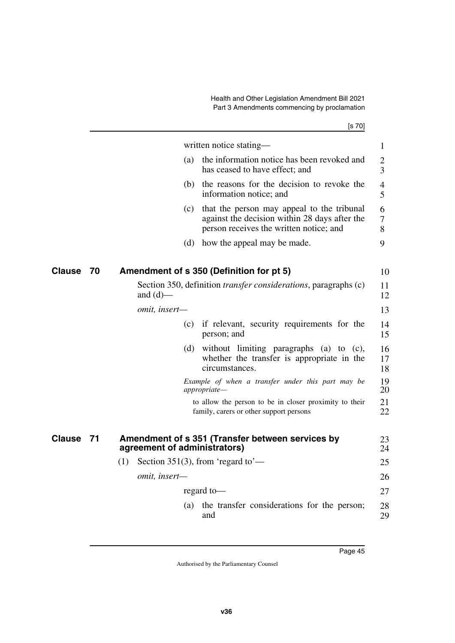[s 70]

|               |    |                              |     | written notice stating—                                                                                                                | 1                   |
|---------------|----|------------------------------|-----|----------------------------------------------------------------------------------------------------------------------------------------|---------------------|
|               |    |                              | (a) | the information notice has been revoked and<br>has ceased to have effect; and                                                          | $\overline{2}$<br>3 |
|               |    |                              |     | (b) the reasons for the decision to revoke the<br>information notice; and                                                              | $\overline{4}$<br>5 |
|               |    |                              | (c) | that the person may appeal to the tribunal<br>against the decision within 28 days after the<br>person receives the written notice; and | 6<br>$\tau$<br>8    |
|               |    |                              | (d) | how the appeal may be made.                                                                                                            | 9                   |
| Clause        | 70 |                              |     | Amendment of s 350 (Definition for pt 5)                                                                                               | 10                  |
|               |    |                              |     |                                                                                                                                        |                     |
|               |    | and $(d)$ —                  |     | Section 350, definition <i>transfer considerations</i> , paragraphs (c)                                                                | 11<br>12            |
|               |    | omit, insert-                |     |                                                                                                                                        | 13                  |
|               |    |                              |     | (c) if relevant, security requirements for the<br>person; and                                                                          | 14<br>15            |
|               |    |                              | (d) | without limiting paragraphs (a) to (c),<br>whether the transfer is appropriate in the<br>circumstances.                                | 16<br>17<br>18      |
|               |    |                              |     | Example of when a transfer under this part may be<br>appropriate-                                                                      | 19<br>20            |
|               |    |                              |     | to allow the person to be in closer proximity to their<br>family, carers or other support persons                                      | 21<br>22            |
| <b>Clause</b> | 71 | agreement of administrators) |     | Amendment of s 351 (Transfer between services by                                                                                       | 23<br>24            |
|               |    | (1)                          |     | Section 351(3), from 'regard to'—                                                                                                      | 25                  |
|               |    | omit, insert-                |     |                                                                                                                                        | 26                  |
|               |    |                              |     | regard to-                                                                                                                             | 27                  |
|               |    |                              | (a) | the transfer considerations for the person;<br>and                                                                                     | 28<br>29            |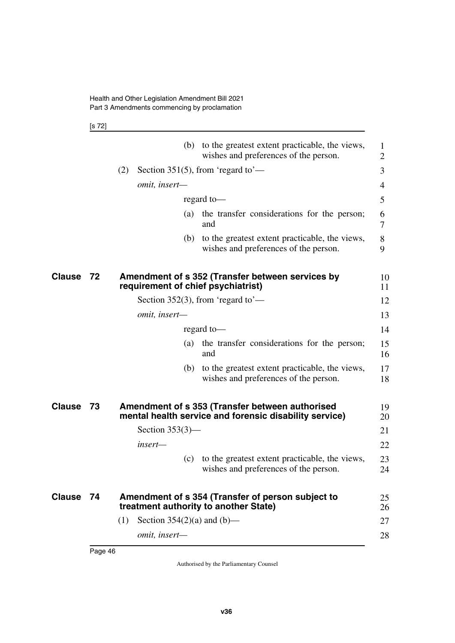[s 72]

|           |    | (b) to the greatest extent practicable, the views,<br>1<br>wishes and preferences of the person.<br>$\overline{2}$    |
|-----------|----|-----------------------------------------------------------------------------------------------------------------------|
|           |    | Section 351(5), from 'regard to'—<br>(2)<br>3                                                                         |
|           |    | omit, insert-<br>4                                                                                                    |
|           |    | regard to-<br>5                                                                                                       |
|           |    | the transfer considerations for the person;<br>(a)<br>6<br>and<br>7                                                   |
|           |    | to the greatest extent practicable, the views,<br>(b)<br>8<br>wishes and preferences of the person.<br>9              |
| Clause    | 72 | Amendment of s 352 (Transfer between services by<br>10<br>requirement of chief psychiatrist)<br>11                    |
|           |    | 12<br>Section 352(3), from 'regard to'—                                                                               |
|           |    | omit, insert-<br>13                                                                                                   |
|           |    | 14<br>regard to-                                                                                                      |
|           |    | 15<br>the transfer considerations for the person;<br>(a)<br>16<br>and                                                 |
|           |    | 17<br>to the greatest extent practicable, the views,<br>(b)<br>wishes and preferences of the person.<br>18            |
| Clause    | 73 | Amendment of s 353 (Transfer between authorised<br>19<br>mental health service and forensic disability service)<br>20 |
|           |    | Section $353(3)$ —<br>21                                                                                              |
|           |    | insert—<br>22                                                                                                         |
|           |    | to the greatest extent practicable, the views,<br>23<br>(c)<br>wishes and preferences of the person.<br>24            |
| Clause 74 |    | Amendment of s 354 (Transfer of person subject to<br>25<br>treatment authority to another State)<br>26                |
|           |    | Section $354(2)(a)$ and $(b)$ —<br>(1)<br>27                                                                          |
|           |    | omit, insert-<br>28                                                                                                   |
|           |    |                                                                                                                       |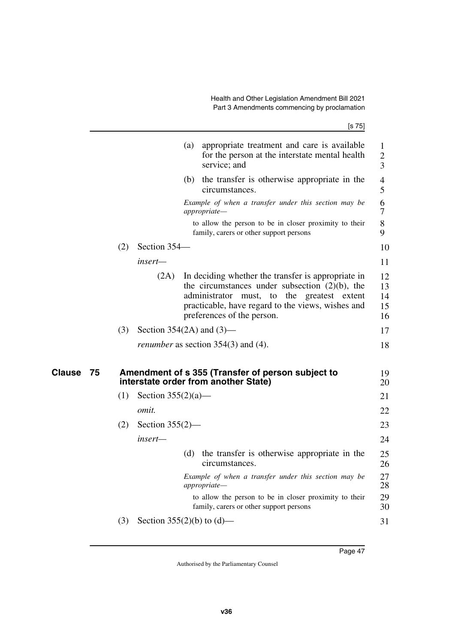|                     |         | [s 75]                                                                                                                                                                                                                                           |                            |
|---------------------|---------|--------------------------------------------------------------------------------------------------------------------------------------------------------------------------------------------------------------------------------------------------|----------------------------|
|                     |         | (a)<br>appropriate treatment and care is available<br>for the person at the interstate mental health<br>service; and                                                                                                                             | 1<br>$\overline{2}$<br>3   |
|                     |         | (b) the transfer is otherwise appropriate in the<br>circumstances.                                                                                                                                                                               | 4<br>5                     |
|                     |         | Example of when a transfer under this section may be<br>appropriate-                                                                                                                                                                             | 6<br>7                     |
|                     |         | to allow the person to be in closer proximity to their<br>family, carers or other support persons                                                                                                                                                | 8<br>9                     |
|                     | (2)     | Section 354-                                                                                                                                                                                                                                     | 10                         |
|                     | insert— |                                                                                                                                                                                                                                                  | 11                         |
|                     |         | (2A)<br>In deciding whether the transfer is appropriate in<br>the circumstances under subsection $(2)(b)$ , the<br>administrator must, to the greatest extent<br>practicable, have regard to the views, wishes and<br>preferences of the person. | 12<br>13<br>14<br>15<br>16 |
|                     | (3)     | Section 354(2A) and $(3)$ —                                                                                                                                                                                                                      | 17                         |
|                     |         | <i>renumber</i> as section 354(3) and (4).                                                                                                                                                                                                       | 18                         |
| <b>Clause</b><br>75 |         | Amendment of s 355 (Transfer of person subject to<br>interstate order from another State)                                                                                                                                                        | 19<br>20                   |
|                     | (1)     | Section $355(2)(a)$ —                                                                                                                                                                                                                            | 21                         |
|                     | omit.   |                                                                                                                                                                                                                                                  | 22                         |
|                     | (2)     | Section $355(2)$ —                                                                                                                                                                                                                               | 23                         |
|                     | insert- |                                                                                                                                                                                                                                                  | 24                         |
|                     |         | (d) the transfer is otherwise appropriate in the<br>circumstances.                                                                                                                                                                               | 25<br>26                   |
|                     |         | Example of when a transfer under this section may be<br>appropriate-                                                                                                                                                                             | 27<br>28                   |
|                     |         | to allow the person to be in closer proximity to their<br>family, carers or other support persons                                                                                                                                                | 29<br>30                   |
|                     | (3)     | Section 355(2)(b) to (d)—                                                                                                                                                                                                                        | 31                         |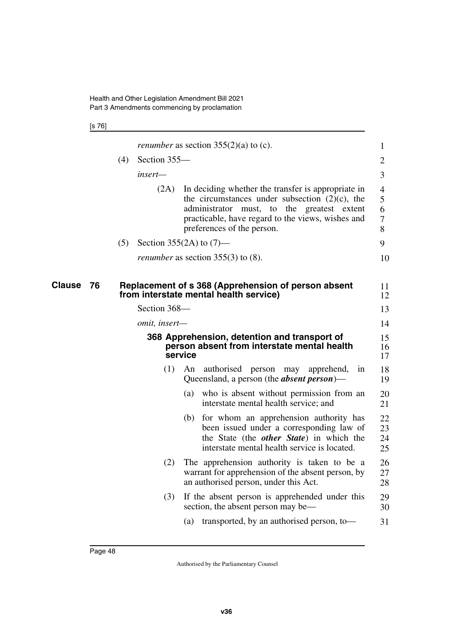[s 76]

|                     |     |               | <i>renumber</i> as section $355(2)(a)$ to (c).                                                                                                                                                                                           | 1                                    |
|---------------------|-----|---------------|------------------------------------------------------------------------------------------------------------------------------------------------------------------------------------------------------------------------------------------|--------------------------------------|
|                     | (4) | Section 355-  |                                                                                                                                                                                                                                          | $\overline{2}$                       |
|                     |     | insert—       |                                                                                                                                                                                                                                          | 3                                    |
|                     |     | (2A)          | In deciding whether the transfer is appropriate in<br>the circumstances under subsection $(2)(c)$ , the<br>administrator must, to the greatest extent<br>practicable, have regard to the views, wishes and<br>preferences of the person. | 4<br>5<br>6<br>$\boldsymbol{7}$<br>8 |
|                     | (5) |               | Section 355(2A) to $(7)$ —                                                                                                                                                                                                               | 9                                    |
|                     |     |               | <i>renumber</i> as section $355(3)$ to (8).                                                                                                                                                                                              | 10                                   |
| <b>Clause</b><br>76 |     |               | Replacement of s 368 (Apprehension of person absent<br>from interstate mental health service)                                                                                                                                            | 11<br>12                             |
|                     |     | Section 368-  |                                                                                                                                                                                                                                          | 13                                   |
|                     |     | omit, insert- |                                                                                                                                                                                                                                          | 14                                   |
|                     |     |               | 368 Apprehension, detention and transport of<br>person absent from interstate mental health<br>service                                                                                                                                   | 15<br>16<br>17                       |
|                     |     | (1)           | authorised<br>An<br>person<br>may<br>apprehend,<br>in<br>Queensland, a person (the <i>absent person</i> )—                                                                                                                               | 18<br>19                             |
|                     |     |               | who is absent without permission from an<br>(a)<br>interstate mental health service; and                                                                                                                                                 | 20<br>21                             |
|                     |     |               | for whom an apprehension authority has<br>(b)<br>been issued under a corresponding law of<br>the State (the <i>other State</i> ) in which the<br>interstate mental health service is located.                                            | 22<br>23<br>24<br>25                 |
|                     |     | (2)           | The apprehension authority is taken to be a<br>warrant for apprehension of the absent person, by<br>an authorised person, under this Act.                                                                                                | 26<br>27<br>28                       |
|                     |     | (3)           | If the absent person is apprehended under this<br>section, the absent person may be—                                                                                                                                                     | 29<br>30                             |
|                     |     |               | transported, by an authorised person, to-<br>(a)                                                                                                                                                                                         | 31                                   |
|                     |     |               |                                                                                                                                                                                                                                          |                                      |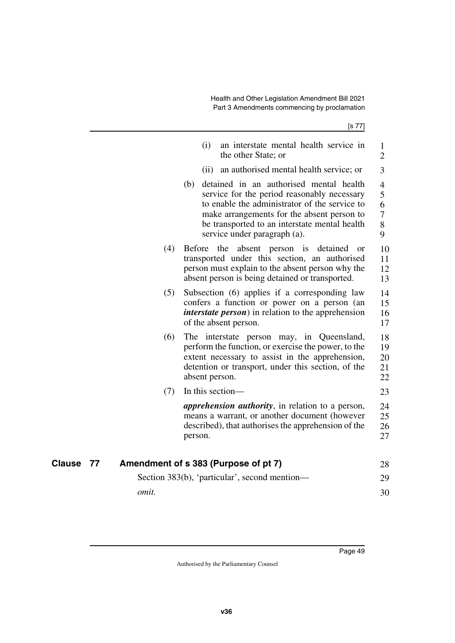|                     | (i)<br>an interstate mental health service in<br>the other State; or                                                                                                                                                                                                          | $\mathbf{1}$<br>$\overline{2}$                             |
|---------------------|-------------------------------------------------------------------------------------------------------------------------------------------------------------------------------------------------------------------------------------------------------------------------------|------------------------------------------------------------|
|                     | (ii)<br>an authorised mental health service; or                                                                                                                                                                                                                               | 3                                                          |
|                     | detained in an authorised mental health<br>(b)<br>service for the period reasonably necessary<br>to enable the administrator of the service to<br>make arrangements for the absent person to<br>be transported to an interstate mental health<br>service under paragraph (a). | $\overline{4}$<br>5<br>6<br>$\boldsymbol{7}$<br>$8\,$<br>9 |
| (4)                 | the absent person is detained<br>Before<br><b>or</b><br>transported under this section, an authorised<br>person must explain to the absent person why the<br>absent person is being detained or transported.                                                                  | 10<br>11<br>12<br>13                                       |
| (5)                 | Subsection (6) applies if a corresponding law<br>confers a function or power on a person (an<br><i>interstate person</i> ) in relation to the apprehension<br>of the absent person.                                                                                           | 14<br>15<br>16<br>17                                       |
| (6)                 | The interstate person may, in Queensland,<br>perform the function, or exercise the power, to the<br>extent necessary to assist in the apprehension,<br>detention or transport, under this section, of the<br>absent person.                                                   | 18<br>19<br>20<br>21<br>22                                 |
| (7)                 | In this section-                                                                                                                                                                                                                                                              | 23                                                         |
|                     | <i>apprehension authority</i> , in relation to a person,<br>means a warrant, or another document (however<br>described), that authorises the apprehension of the<br>person.                                                                                                   | 24<br>25<br>26<br>27                                       |
| <b>Clause</b><br>77 | Amendment of s 383 (Purpose of pt 7)                                                                                                                                                                                                                                          | 28                                                         |
|                     | Section 383(b), 'particular', second mention—                                                                                                                                                                                                                                 | 29                                                         |
| omit.               |                                                                                                                                                                                                                                                                               | 30                                                         |
|                     |                                                                                                                                                                                                                                                                               |                                                            |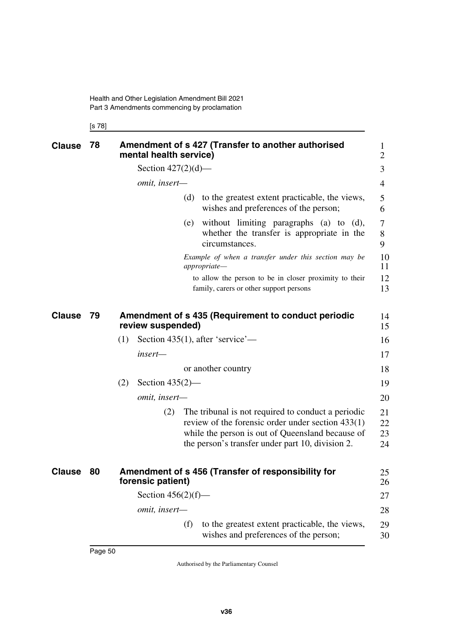[s 78]

| <b>Clause</b> | 78 | Amendment of s 427 (Transfer to another authorised<br>mental health service) |                                                                                                                                                                                                                   |                      |  |  |  |
|---------------|----|------------------------------------------------------------------------------|-------------------------------------------------------------------------------------------------------------------------------------------------------------------------------------------------------------------|----------------------|--|--|--|
|               |    | Section $427(2)(d)$ —                                                        |                                                                                                                                                                                                                   | 3                    |  |  |  |
|               |    | omit, insert-                                                                |                                                                                                                                                                                                                   | 4                    |  |  |  |
|               |    |                                                                              | (d) to the greatest extent practicable, the views,<br>wishes and preferences of the person;                                                                                                                       | 5<br>6               |  |  |  |
|               |    |                                                                              | without limiting paragraphs (a) to (d),<br>(e)<br>whether the transfer is appropriate in the<br>circumstances.                                                                                                    | 7<br>8<br>9          |  |  |  |
|               |    |                                                                              | Example of when a transfer under this section may be<br>appropriate-                                                                                                                                              | 10<br>11             |  |  |  |
|               |    |                                                                              | to allow the person to be in closer proximity to their<br>family, carers or other support persons                                                                                                                 | 12<br>13             |  |  |  |
| <b>Clause</b> | 79 | Amendment of s 435 (Requirement to conduct periodic<br>review suspended)     |                                                                                                                                                                                                                   |                      |  |  |  |
|               |    | (1)                                                                          | Section 435(1), after 'service'—                                                                                                                                                                                  | 16                   |  |  |  |
|               |    | insert-                                                                      |                                                                                                                                                                                                                   | 17                   |  |  |  |
|               |    |                                                                              | or another country                                                                                                                                                                                                | 18                   |  |  |  |
|               |    | (2)<br>Section $435(2)$ —                                                    |                                                                                                                                                                                                                   | 19                   |  |  |  |
|               |    | omit, insert-                                                                |                                                                                                                                                                                                                   | 20                   |  |  |  |
|               |    | (2)                                                                          | The tribunal is not required to conduct a periodic<br>review of the forensic order under section $433(1)$<br>while the person is out of Queensland because of<br>the person's transfer under part 10, division 2. | 21<br>22<br>23<br>24 |  |  |  |
| <b>Clause</b> | 80 | forensic patient)                                                            | Amendment of s 456 (Transfer of responsibility for                                                                                                                                                                |                      |  |  |  |
|               |    | Section $456(2)(f)$ —                                                        |                                                                                                                                                                                                                   | 27                   |  |  |  |
|               |    | omit, insert-                                                                |                                                                                                                                                                                                                   | 28                   |  |  |  |
|               |    |                                                                              | (f)<br>to the greatest extent practicable, the views,<br>wishes and preferences of the person;                                                                                                                    | 29<br>30             |  |  |  |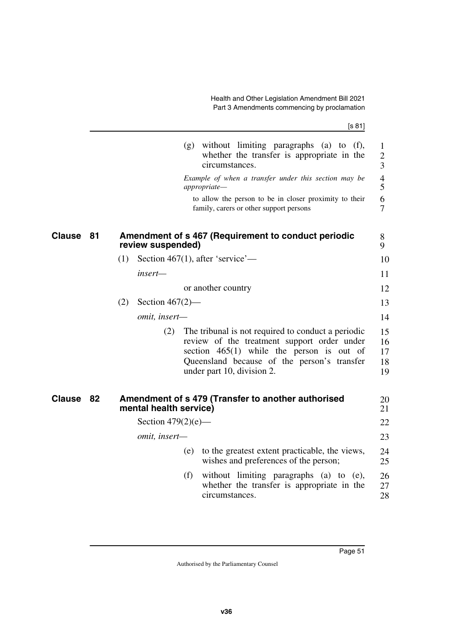| ł | ۰,<br>× |
|---|---------|
|---|---------|

|               |    |                           | $(g)$ without limiting paragraphs (a) to $(f)$ ,<br>whether the transfer is appropriate in the<br>circumstances.                                                                                                              | 1<br>$\mathbf{2}$<br>3        |  |  |  |
|---------------|----|---------------------------|-------------------------------------------------------------------------------------------------------------------------------------------------------------------------------------------------------------------------------|-------------------------------|--|--|--|
|               |    |                           | Example of when a transfer under this section may be<br>appropriate-                                                                                                                                                          | $\overline{\mathcal{L}}$<br>5 |  |  |  |
|               |    |                           | to allow the person to be in closer proximity to their<br>family, carers or other support persons                                                                                                                             | 6<br>$\overline{7}$           |  |  |  |
| <b>Clause</b> | 81 | review suspended)         | Amendment of s 467 (Requirement to conduct periodic                                                                                                                                                                           |                               |  |  |  |
|               |    | (1)                       | Section 467(1), after 'service'—                                                                                                                                                                                              | 10                            |  |  |  |
|               |    | insert-                   |                                                                                                                                                                                                                               | 11                            |  |  |  |
|               |    |                           | or another country                                                                                                                                                                                                            | 12                            |  |  |  |
|               |    | (2)<br>Section $467(2)$ — |                                                                                                                                                                                                                               | 13                            |  |  |  |
|               |    | omit, insert-             |                                                                                                                                                                                                                               | 14                            |  |  |  |
|               |    | (2)                       | The tribunal is not required to conduct a periodic<br>review of the treatment support order under<br>section $465(1)$ while the person is out of<br>Queensland because of the person's transfer<br>under part 10, division 2. | 15<br>16<br>17<br>18<br>19    |  |  |  |
| Clause        | 82 | mental health service)    | Amendment of s 479 (Transfer to another authorised                                                                                                                                                                            | 20<br>21                      |  |  |  |
|               |    | Section $479(2)(e)$ —     |                                                                                                                                                                                                                               | 22                            |  |  |  |
|               |    | omit, insert-             |                                                                                                                                                                                                                               | 23                            |  |  |  |
|               |    |                           | to the greatest extent practicable, the views,<br>(e)<br>wishes and preferences of the person;                                                                                                                                | 24<br>25                      |  |  |  |
|               |    |                           | (f)<br>without limiting paragraphs (a) to (e),<br>whether the transfer is appropriate in the<br>circumstances.                                                                                                                | 26<br>27<br>28                |  |  |  |
|               |    |                           |                                                                                                                                                                                                                               |                               |  |  |  |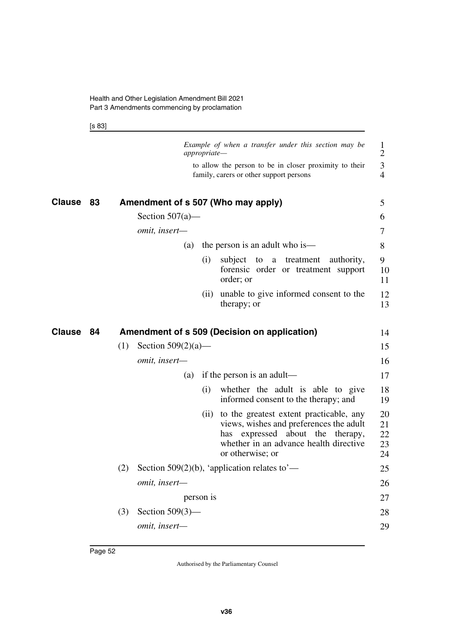[s 83]

|               |    |     |                       | appropriate— | Example of when a transfer under this section may be                                                                                                                                               | $\mathbf{1}$<br>$\overline{2}$ |
|---------------|----|-----|-----------------------|--------------|----------------------------------------------------------------------------------------------------------------------------------------------------------------------------------------------------|--------------------------------|
|               |    |     |                       |              | to allow the person to be in closer proximity to their<br>family, carers or other support persons                                                                                                  | 3<br>$\overline{4}$            |
| <b>Clause</b> | 83 |     |                       |              | Amendment of s 507 (Who may apply)                                                                                                                                                                 | 5                              |
|               |    |     | Section $507(a)$ —    |              |                                                                                                                                                                                                    | 6                              |
|               |    |     | omit, insert-         |              |                                                                                                                                                                                                    | 7                              |
|               |    |     | (a)                   |              | the person is an adult who is—                                                                                                                                                                     | 8                              |
|               |    |     |                       | (i)          | subject<br>treatment<br>to<br>a<br>authority,<br>forensic order or treatment support<br>order; or                                                                                                  | 9<br>10<br>11                  |
|               |    |     |                       | (i)          | unable to give informed consent to the<br>therapy; or                                                                                                                                              | 12<br>13                       |
| <b>Clause</b> | 84 |     |                       |              | Amendment of s 509 (Decision on application)                                                                                                                                                       | 14                             |
|               |    | (1) | Section $509(2)(a)$ — |              |                                                                                                                                                                                                    | 15                             |
|               |    |     | omit, insert-         |              |                                                                                                                                                                                                    | 16                             |
|               |    |     | (a)                   |              | if the person is an adult—                                                                                                                                                                         | 17                             |
|               |    |     |                       | (i)          | whether the adult is able to give<br>informed consent to the therapy; and                                                                                                                          | 18<br>19                       |
|               |    |     |                       |              | (ii) to the greatest extent practicable, any<br>views, wishes and preferences the adult<br>about the<br>expressed<br>therapy,<br>has<br>whether in an advance health directive<br>or otherwise; or | 20<br>21<br>22<br>23<br>24     |
|               |    | (2) |                       |              | Section 509(2)(b), 'application relates to'—                                                                                                                                                       | 25                             |
|               |    |     | omit, insert-         |              |                                                                                                                                                                                                    | 26                             |
|               |    |     |                       | person is    |                                                                                                                                                                                                    | 27                             |
|               |    |     |                       |              |                                                                                                                                                                                                    |                                |
|               |    | (3) | Section $509(3)$ —    |              |                                                                                                                                                                                                    | 28                             |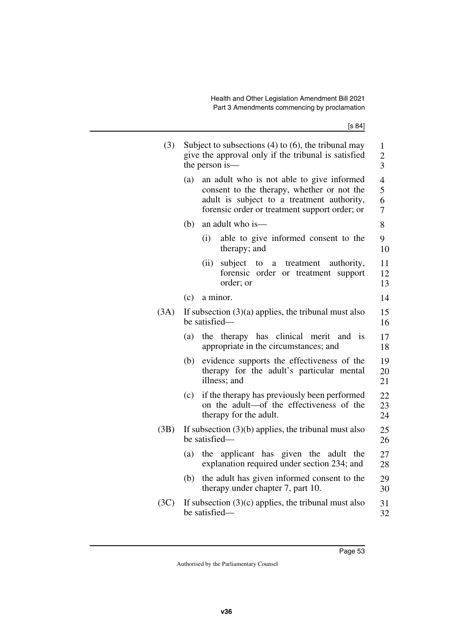| (3)  | Subject to subsections $(4)$ to $(6)$ , the tribunal may<br>give the approval only if the tribunal is satisfied<br>the person is— |                                                                                                                                                                                        |                  |  |  |  |  |
|------|-----------------------------------------------------------------------------------------------------------------------------------|----------------------------------------------------------------------------------------------------------------------------------------------------------------------------------------|------------------|--|--|--|--|
|      | (a)                                                                                                                               | an adult who is not able to give informed<br>consent to the therapy, whether or not the<br>adult is subject to a treatment authority,<br>forensic order or treatment support order; or | 4<br>5<br>6<br>7 |  |  |  |  |
|      | (b)                                                                                                                               | an adult who is-                                                                                                                                                                       | 8                |  |  |  |  |
|      |                                                                                                                                   | (i)<br>able to give informed consent to the<br>therapy; and                                                                                                                            | 9<br>10          |  |  |  |  |
|      |                                                                                                                                   | (ii)<br>subject<br>treatment<br>authority,<br>to<br>$\mathbf{a}$<br>forensic order<br>or treatment<br>support<br>order; or                                                             | 11<br>12<br>13   |  |  |  |  |
|      | (c)                                                                                                                               | a minor.                                                                                                                                                                               | 14               |  |  |  |  |
| (3A) | If subsection $(3)(a)$ applies, the tribunal must also<br>be satisfied—                                                           |                                                                                                                                                                                        |                  |  |  |  |  |
|      | (a)                                                                                                                               | therapy has clinical merit<br>the<br>and<br><sup>is</sup><br>appropriate in the circumstances; and                                                                                     | 17<br>18         |  |  |  |  |
|      | (b)                                                                                                                               | evidence supports the effectiveness of the<br>therapy for the adult's particular mental<br>illness; and                                                                                | 19<br>20<br>21   |  |  |  |  |
|      | (c)                                                                                                                               | if the therapy has previously been performed<br>on the adult-of the effectiveness of the<br>therapy for the adult.                                                                     | 22<br>23<br>24   |  |  |  |  |
| (3B) | If subsection $(3)(b)$ applies, the tribunal must also<br>be satisfied-                                                           |                                                                                                                                                                                        |                  |  |  |  |  |
|      | (a)                                                                                                                               | the applicant has given the<br>adult<br>the<br>explanation required under section 234; and                                                                                             | 27<br>28         |  |  |  |  |
|      | (b)                                                                                                                               | the adult has given informed consent to the<br>therapy under chapter 7, part 10.                                                                                                       | 29<br>30         |  |  |  |  |
| (3C) |                                                                                                                                   | If subsection $(3)(c)$ applies, the tribunal must also<br>be satisfied-                                                                                                                | 31<br>32         |  |  |  |  |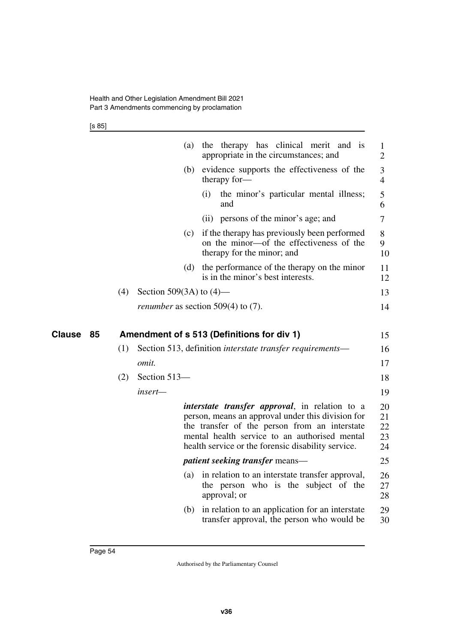[s 85]

|              |     | (a)                                          |                    | the therapy has clinical merit and is<br>appropriate in the circumstances; and                                                                                                                                                                                      | $\mathbf{1}$<br>$\overline{2}$ |
|--------------|-----|----------------------------------------------|--------------------|---------------------------------------------------------------------------------------------------------------------------------------------------------------------------------------------------------------------------------------------------------------------|--------------------------------|
|              |     | (b)                                          |                    | evidence supports the effectiveness of the<br>therapy for-                                                                                                                                                                                                          | 3<br>$\overline{4}$            |
|              |     |                                              | $\left( 1 \right)$ | the minor's particular mental illness;<br>and                                                                                                                                                                                                                       | 5<br>6                         |
|              |     |                                              |                    | (ii) persons of the minor's age; and                                                                                                                                                                                                                                | 7                              |
|              |     | (c)                                          |                    | if the therapy has previously been performed<br>on the minor-of the effectiveness of the<br>therapy for the minor; and                                                                                                                                              | 8<br>9<br>10                   |
|              |     | (d)                                          |                    | the performance of the therapy on the minor<br>is in the minor's best interests.                                                                                                                                                                                    | 11<br>12                       |
|              | (4) | Section 509(3A) to $(4)$ —                   |                    |                                                                                                                                                                                                                                                                     | 13                             |
|              |     | <i>renumber</i> as section 509(4) to $(7)$ . |                    |                                                                                                                                                                                                                                                                     | 14                             |
|              |     |                                              |                    |                                                                                                                                                                                                                                                                     |                                |
| Clause<br>85 |     |                                              |                    | Amendment of s 513 (Definitions for div 1)                                                                                                                                                                                                                          | 15                             |
|              | (1) |                                              |                    | Section 513, definition interstate transfer requirements—                                                                                                                                                                                                           | 16                             |
|              |     | omit.                                        |                    |                                                                                                                                                                                                                                                                     | 17                             |
|              | (2) | Section 513-                                 |                    |                                                                                                                                                                                                                                                                     | 18                             |
|              |     | insert-                                      |                    |                                                                                                                                                                                                                                                                     | 19                             |
|              |     |                                              |                    | <i>interstate transfer approval</i> , in relation to a<br>person, means an approval under this division for<br>the transfer of the person from an interstate<br>mental health service to an authorised mental<br>health service or the forensic disability service. | 20<br>21<br>22<br>23<br>24     |
|              |     |                                              |                    | <i>patient seeking transfer means—</i>                                                                                                                                                                                                                              | 25                             |
|              |     | (a)                                          |                    | in relation to an interstate transfer approval,<br>the person who is the subject of the<br>approval; or                                                                                                                                                             | 26<br>27<br>28                 |
|              |     | (b)                                          |                    | in relation to an application for an interstate<br>transfer approval, the person who would be                                                                                                                                                                       | 29<br>30                       |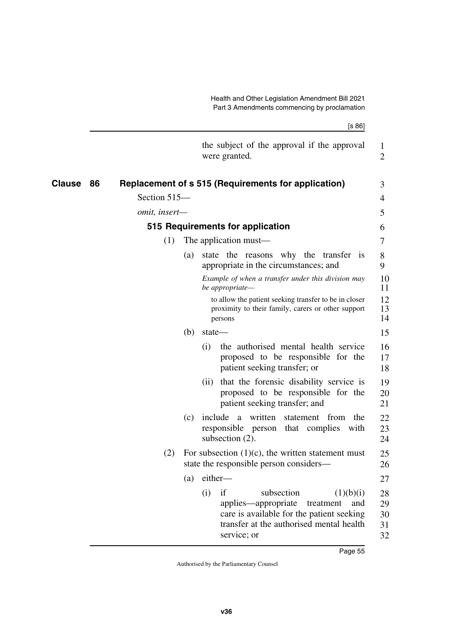|               |    |               |     |         | [s 86]                                                                                                                                                                           |                            |
|---------------|----|---------------|-----|---------|----------------------------------------------------------------------------------------------------------------------------------------------------------------------------------|----------------------------|
|               |    |               |     |         | the subject of the approval if the approval<br>were granted.                                                                                                                     | $\mathbf{1}$<br>2          |
| <b>Clause</b> | 86 |               |     |         | <b>Replacement of s 515 (Requirements for application)</b>                                                                                                                       | 3                          |
|               |    | Section 515-  |     |         |                                                                                                                                                                                  | 4                          |
|               |    | omit, insert- |     |         |                                                                                                                                                                                  | 5                          |
|               |    |               |     |         | 515 Requirements for application                                                                                                                                                 | 6                          |
|               |    | (1)           |     |         | The application must—                                                                                                                                                            | 7                          |
|               |    |               | (a) |         | state the reasons why the transfer is<br>appropriate in the circumstances; and                                                                                                   | 8<br>9                     |
|               |    |               |     |         | Example of when a transfer under this division may<br>be appropriate-                                                                                                            | 10<br>11                   |
|               |    |               |     |         | to allow the patient seeking transfer to be in closer<br>proximity to their family, carers or other support<br>persons                                                           | 12<br>13<br>14             |
|               |    |               | (b) | state-  |                                                                                                                                                                                  | 15                         |
|               |    |               |     | (i)     | the authorised mental health service<br>proposed to be responsible for the<br>patient seeking transfer; or                                                                       | 16<br>17<br>18             |
|               |    |               |     | (i)     | that the forensic disability service is<br>proposed to be responsible for the<br>patient seeking transfer; and                                                                   | 19<br>20<br>21             |
|               |    |               | (c) | include | a written<br>the<br>statement from<br>responsible person<br>that complies<br>with<br>subsection (2).                                                                             | 22<br>23<br>24             |
|               |    | (2)           |     |         | For subsection $(1)(c)$ , the written statement must<br>state the responsible person considers—                                                                                  | 25<br>26                   |
|               |    |               | (a) | either- |                                                                                                                                                                                  | 27                         |
|               |    |               |     | (i)     | if<br>subsection<br>(1)(b)(i)<br>applies-appropriate<br>and<br>treatment<br>care is available for the patient seeking<br>transfer at the authorised mental health<br>service; or | 28<br>29<br>30<br>31<br>32 |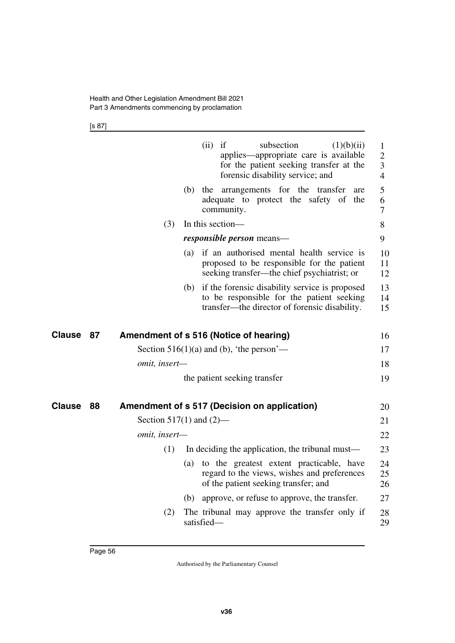[s 87]

|               |    |                            |     | (ii)<br>if<br>subsection<br>(1)(b)(ii)<br>applies—appropriate care is available<br>for the patient seeking transfer at the<br>forensic disability service; and | $\mathbf{1}$<br>$\overline{2}$<br>3<br>$\overline{4}$ |
|---------------|----|----------------------------|-----|----------------------------------------------------------------------------------------------------------------------------------------------------------------|-------------------------------------------------------|
|               |    |                            | (b) | the arrangements for the transfer<br>are<br>adequate to protect the safety of the<br>community.                                                                | 5<br>6<br>$\overline{7}$                              |
|               |    | (3)                        |     | In this section-                                                                                                                                               | 8                                                     |
|               |    |                            |     | <i>responsible person</i> means—                                                                                                                               | 9                                                     |
|               |    |                            | (a) | if an authorised mental health service is<br>proposed to be responsible for the patient<br>seeking transfer—the chief psychiatrist; or                         | 10<br>11<br>12                                        |
|               |    |                            |     | (b) if the forensic disability service is proposed<br>to be responsible for the patient seeking<br>transfer—the director of forensic disability.               | 13<br>14<br>15                                        |
| <b>Clause</b> | 87 |                            |     | Amendment of s 516 (Notice of hearing)                                                                                                                         | 16                                                    |
|               |    |                            |     | Section $516(1)(a)$ and (b), 'the person'—                                                                                                                     | 17                                                    |
|               |    | omit, insert-              |     |                                                                                                                                                                | 18                                                    |
|               |    |                            |     | the patient seeking transfer                                                                                                                                   | 19                                                    |
| Clause        | 88 |                            |     | Amendment of s 517 (Decision on application)                                                                                                                   | 20                                                    |
|               |    | Section 517(1) and $(2)$ — |     |                                                                                                                                                                | 21                                                    |
|               |    | omit, insert-              |     |                                                                                                                                                                | 22                                                    |
|               |    | (1)                        |     | In deciding the application, the tribunal must—                                                                                                                | 23                                                    |
|               |    |                            | (a) | to the greatest extent practicable, have<br>regard to the views, wishes and preferences<br>of the patient seeking transfer; and                                | 24<br>25<br>26                                        |
|               |    |                            | (b) | approve, or refuse to approve, the transfer.                                                                                                                   | 27                                                    |
|               |    | (2)                        |     | The tribunal may approve the transfer only if<br>satisfied-                                                                                                    | 28<br>29                                              |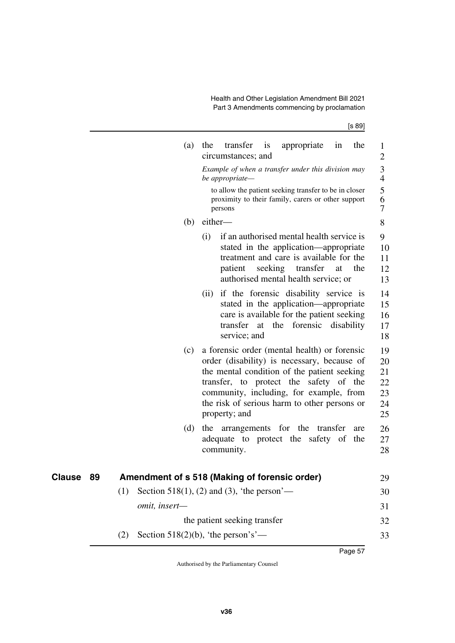[s 89]

|    |     | (a)                                           | the  | transfer<br>circumstances; and | $\frac{1}{1}$ | appropriate                                                                                                                                                                                                                                                                     | in       | the        | $\mathbf{1}$<br>$\mathbf{2}$              |
|----|-----|-----------------------------------------------|------|--------------------------------|---------------|---------------------------------------------------------------------------------------------------------------------------------------------------------------------------------------------------------------------------------------------------------------------------------|----------|------------|-------------------------------------------|
|    |     |                                               |      | be appropriate-                |               | Example of when a transfer under this division may                                                                                                                                                                                                                              |          |            | $\overline{\mathbf{3}}$<br>$\overline{4}$ |
|    |     |                                               |      | persons                        |               | to allow the patient seeking transfer to be in closer<br>proximity to their family, carers or other support                                                                                                                                                                     |          |            | 5<br>6<br>7                               |
|    |     | (b)                                           |      | either-                        |               |                                                                                                                                                                                                                                                                                 |          |            | 8                                         |
|    |     |                                               | (i)  | patient                        |               | if an authorised mental health service is<br>stated in the application—appropriate<br>treatment and care is available for the<br>seeking transfer<br>authorised mental health service; or                                                                                       | at       | the        | 9<br>10<br>11<br>12<br>13                 |
|    |     |                                               | (ii) | service; and                   |               | if the forensic disability service is<br>stated in the application—appropriate<br>care is available for the patient seeking<br>transfer at the forensic                                                                                                                         |          | disability | 14<br>15<br>16<br>17<br>18                |
|    |     | (c)                                           |      | property; and                  |               | a forensic order (mental health) or forensic<br>order (disability) is necessary, because of<br>the mental condition of the patient seeking<br>transfer, to protect the safety of the<br>community, including, for example, from<br>the risk of serious harm to other persons or |          |            | 19<br>20<br>21<br>22<br>23<br>24<br>25    |
|    |     | (d)                                           | the  | community.                     |               | arrangements for the<br>adequate to protect the safety of                                                                                                                                                                                                                       | transfer | are<br>the | 26<br>27<br>28                            |
|    |     |                                               |      |                                |               |                                                                                                                                                                                                                                                                                 |          |            |                                           |
| 89 |     | Amendment of s 518 (Making of forensic order) |      |                                |               |                                                                                                                                                                                                                                                                                 |          |            | 29                                        |
|    | (1) | Section 518(1), (2) and (3), 'the person'—    |      |                                |               |                                                                                                                                                                                                                                                                                 |          |            | 30                                        |
|    |     | omit, insert-                                 |      |                                |               |                                                                                                                                                                                                                                                                                 |          |            | 31                                        |
|    |     |                                               |      | the patient seeking transfer   |               |                                                                                                                                                                                                                                                                                 |          |            | 32                                        |
|    | (2) | Section 518(2)(b), 'the person's'—            |      |                                |               |                                                                                                                                                                                                                                                                                 |          |            | 33                                        |

**Clause** 89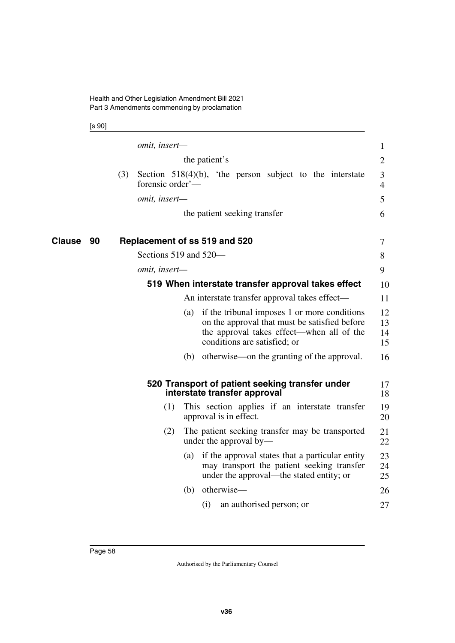[s 90]

|              | omit, insert-                                                                                                                                                                     | 1                    |
|--------------|-----------------------------------------------------------------------------------------------------------------------------------------------------------------------------------|----------------------|
|              | the patient's                                                                                                                                                                     | $\overline{2}$       |
|              | (3)<br>Section $518(4)(b)$ , the person subject to the interstate<br>forensic order'—                                                                                             | 3<br>$\overline{4}$  |
|              | omit, insert-                                                                                                                                                                     | 5                    |
|              | the patient seeking transfer                                                                                                                                                      | 6                    |
| Clause<br>90 | Replacement of ss 519 and 520                                                                                                                                                     | 7                    |
|              | Sections 519 and 520-                                                                                                                                                             | 8                    |
|              | omit, insert-                                                                                                                                                                     | 9                    |
|              | 519 When interstate transfer approval takes effect                                                                                                                                | 10                   |
|              | An interstate transfer approval takes effect-                                                                                                                                     | 11                   |
|              | if the tribunal imposes 1 or more conditions<br>(a)<br>on the approval that must be satisfied before<br>the approval takes effect—when all of the<br>conditions are satisfied; or | 12<br>13<br>14<br>15 |
|              | (b) otherwise—on the granting of the approval.                                                                                                                                    | 16                   |
|              | 520 Transport of patient seeking transfer under<br>interstate transfer approval                                                                                                   | 17<br>18             |
|              | This section applies if an interstate transfer<br>(1)<br>approval is in effect.                                                                                                   | 19<br>20             |
|              | (2)<br>The patient seeking transfer may be transported<br>under the approval by—                                                                                                  | 21<br>22             |
|              | if the approval states that a particular entity<br>(a)<br>may transport the patient seeking transfer<br>under the approval—the stated entity; or                                  | 23<br>24<br>25       |
|              | otherwise—<br>(b)                                                                                                                                                                 | 26                   |
|              | (i)<br>an authorised person; or                                                                                                                                                   | 27                   |
|              |                                                                                                                                                                                   |                      |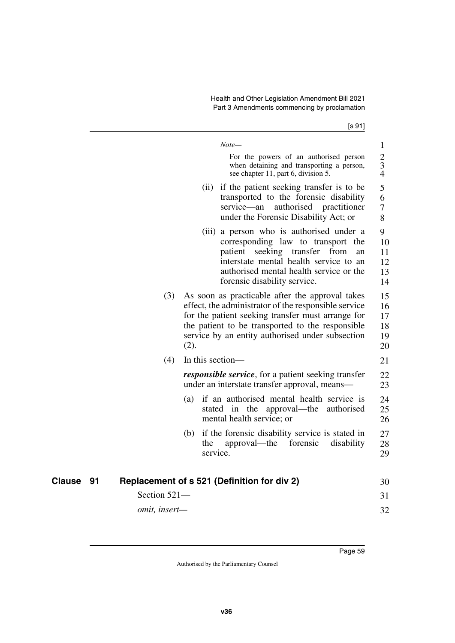$[s \underline{91}]$ 

|              |               |                  | $Note-$<br>For the powers of an authorised person<br>when detaining and transporting a person,<br>see chapter 11, part 6, division 5.                                                                                                                                | $\mathbf{1}$<br>$\overline{2}$<br>3<br>$\overline{4}$ |
|--------------|---------------|------------------|----------------------------------------------------------------------------------------------------------------------------------------------------------------------------------------------------------------------------------------------------------------------|-------------------------------------------------------|
|              |               |                  | (ii) if the patient seeking transfer is to be<br>transported to the forensic disability<br>service-an<br>authorised<br>practitioner<br>under the Forensic Disability Act; or                                                                                         | 5<br>6<br>7<br>8                                      |
|              |               |                  | (iii) a person who is authorised under a<br>corresponding law to transport the<br>patient seeking transfer from<br>an<br>interstate mental health service to an<br>authorised mental health service or the<br>forensic disability service.                           | 9<br>10<br>11<br>12<br>13<br>14                       |
|              | (3)           | (2).             | As soon as practicable after the approval takes<br>effect, the administrator of the responsible service<br>for the patient seeking transfer must arrange for<br>the patient to be transported to the responsible<br>service by an entity authorised under subsection | 15<br>16<br>17<br>18<br>19<br>20                      |
|              | (4)           | In this section— |                                                                                                                                                                                                                                                                      | 21                                                    |
|              |               |                  | <i>responsible service</i> , for a patient seeking transfer<br>under an interstate transfer approval, means—                                                                                                                                                         | 22<br>23                                              |
|              |               |                  | (a) if an authorised mental health service is<br>stated in the approval—the authorised<br>mental health service; or                                                                                                                                                  | 24<br>25<br>26                                        |
|              |               | (b)<br>the       | if the forensic disability service is stated in<br>approval—the<br>forensic<br>disability<br>service.                                                                                                                                                                | 27<br>28<br>29                                        |
|              |               |                  |                                                                                                                                                                                                                                                                      |                                                       |
| Clause<br>91 |               |                  | Replacement of s 521 (Definition for div 2)                                                                                                                                                                                                                          | 30                                                    |
|              | Section 521-  |                  |                                                                                                                                                                                                                                                                      | 31                                                    |
|              | omit, insert- |                  |                                                                                                                                                                                                                                                                      | 32                                                    |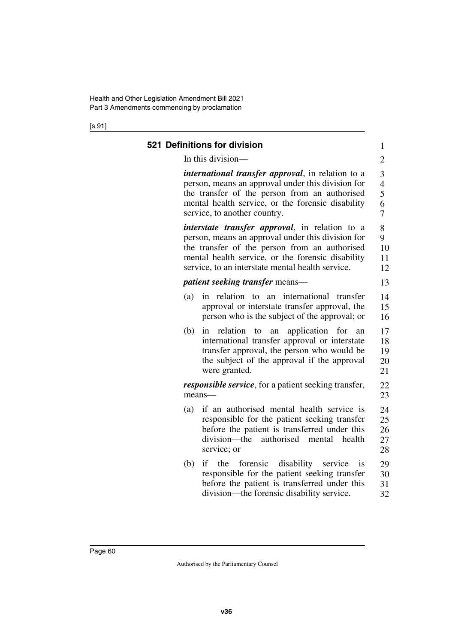[s 91]

| In this division-                                                                                                                                                                                                                                                     | $\overline{c}$                               |
|-----------------------------------------------------------------------------------------------------------------------------------------------------------------------------------------------------------------------------------------------------------------------|----------------------------------------------|
| <i>international transfer approval</i> , in relation to a<br>person, means an approval under this division for<br>the transfer of the person from an authorised<br>mental health service, or the forensic disability<br>service, to another country.                  | 3<br>$\overline{\mathcal{L}}$<br>5<br>6<br>7 |
| <i>interstate transfer approval</i> , in relation to a<br>person, means an approval under this division for<br>the transfer of the person from an authorised<br>mental health service, or the forensic disability<br>service, to an interstate mental health service. | 8<br>9<br>10<br>11<br>12                     |
| <i>patient seeking transfer means—</i>                                                                                                                                                                                                                                | 13                                           |
| international<br>relation to<br>transfer<br>(a)<br>in<br>an<br>approval or interstate transfer approval, the<br>person who is the subject of the approval; or                                                                                                         | 14<br>15<br>16                               |
| relation<br>application<br>(b)<br>for<br>in<br>to<br>an<br>an<br>international transfer approval or interstate<br>transfer approval, the person who would be<br>the subject of the approval if the approval<br>were granted.                                          | 17<br>18<br>19<br>20<br>21                   |
| <i>responsible service</i> , for a patient seeking transfer,<br>means-                                                                                                                                                                                                | 22<br>23                                     |
| if an authorised mental health service is<br>(a)<br>responsible for the patient seeking transfer<br>before the patient is transferred under this<br>division—the<br>authorised<br>health<br>mental<br>service; or                                                     | 24<br>25<br>26<br>27<br>28                   |
| if<br>forensic<br>disability<br>(b)<br>the<br>service<br><sup>1</sup> S<br>responsible for the patient seeking transfer<br>before the patient is transferred under this<br>division—the forensic disability service.                                                  | 29<br>30<br>31<br>32                         |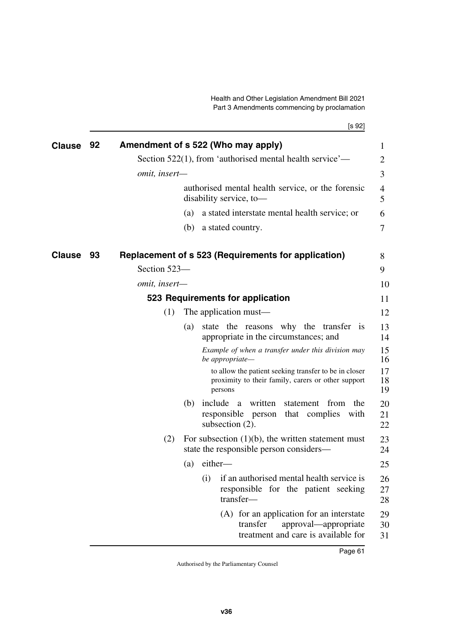|               |    | [s 92]                                                                                                                 |                |
|---------------|----|------------------------------------------------------------------------------------------------------------------------|----------------|
| <b>Clause</b> | 92 | Amendment of s 522 (Who may apply)                                                                                     | $\mathbf{1}$   |
|               |    | Section 522(1), from 'authorised mental health service'—                                                               | 2              |
|               |    | omit, insert-                                                                                                          | 3              |
|               |    | authorised mental health service, or the forensic<br>disability service, to-                                           | 4<br>5         |
|               |    | a stated interstate mental health service; or<br>(a)                                                                   | 6              |
|               |    | a stated country.<br>(b)                                                                                               | 7              |
| Clause        | 93 | Replacement of s 523 (Requirements for application)                                                                    | 8              |
|               |    | Section 523-                                                                                                           | 9              |
|               |    | omit, insert-                                                                                                          | 10             |
|               |    | 523 Requirements for application                                                                                       | 11             |
|               |    | The application must—<br>(1)                                                                                           | 12             |
|               |    | state the reasons why the transfer is<br>(a)<br>appropriate in the circumstances; and                                  | 13<br>14       |
|               |    | Example of when a transfer under this division may<br>be appropriate-                                                  | 15<br>16       |
|               |    | to allow the patient seeking transfer to be in closer<br>proximity to their family, carers or other support<br>persons | 17<br>18<br>19 |
|               |    | (b) include a written<br>statement from<br>the<br>responsible person that complies with<br>subsection (2).             | 20<br>21<br>22 |
|               |    | (2)<br>For subsection $(1)(b)$ , the written statement must<br>state the responsible person considers—                 | 23<br>24       |
|               |    | $(a)$ either-                                                                                                          | 25             |
|               |    | (i)<br>if an authorised mental health service is<br>responsible for the patient seeking<br>transfer-                   | 26<br>27<br>28 |
|               |    | (A) for an application for an interstate<br>transfer<br>approval—appropriate<br>treatment and care is available for    | 29<br>30<br>31 |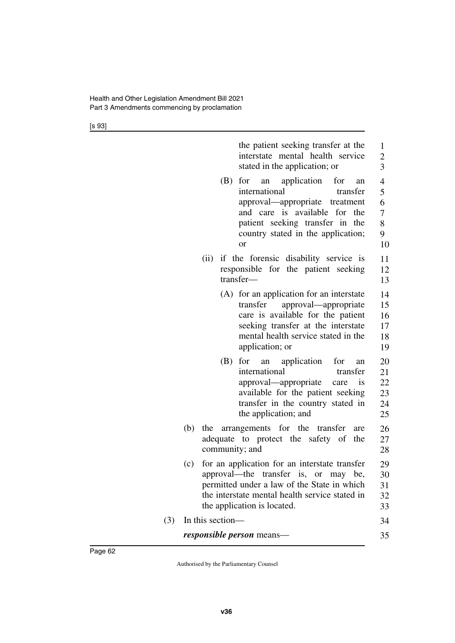[s 93]

| the patient seeking transfer at the<br>1<br>interstate mental health service<br>$\overline{c}$<br>3<br>stated in the application; or<br>$\overline{4}$<br>for an application<br>(B)<br>for<br>an<br>5<br>international<br>transfer<br>6<br>approval—appropriate treatment<br>and care is available for the<br>$\overline{7}$ |
|------------------------------------------------------------------------------------------------------------------------------------------------------------------------------------------------------------------------------------------------------------------------------------------------------------------------------|
|                                                                                                                                                                                                                                                                                                                              |
| 8<br>patient seeking transfer in the<br>country stated in the application;<br>9<br>10<br><b>or</b>                                                                                                                                                                                                                           |
| if the forensic disability service is<br>(ii)<br>11<br>responsible for the patient seeking<br>12<br>transfer-<br>13                                                                                                                                                                                                          |
| (A) for an application for an interstate<br>14<br>approval—appropriate<br>transfer<br>15<br>care is available for the patient<br>16<br>seeking transfer at the interstate<br>17<br>mental health service stated in the<br>18<br>application; or<br>19                                                                        |
| for<br>an application<br>(B)<br>for<br>20<br>an<br>international<br>transfer<br>21<br>22<br>approval—appropriate<br>care is<br>available for the patient seeking<br>23<br>transfer in the country stated in<br>24<br>the application; and<br>25                                                                              |
| (b)<br>the arrangements for the transfer<br>26<br>are<br>adequate to protect the safety of<br>the<br>27<br>community; and<br>28                                                                                                                                                                                              |
| for an application for an interstate transfer<br>(c)<br>29<br>approval—the transfer is, or may be,<br>30<br>permitted under a law of the State in which<br>31<br>the interstate mental health service stated in<br>32<br>the application is located.<br>33                                                                   |
| In this section-<br>34                                                                                                                                                                                                                                                                                                       |
| <i>responsible person</i> means—<br>35                                                                                                                                                                                                                                                                                       |

 $(3)$  In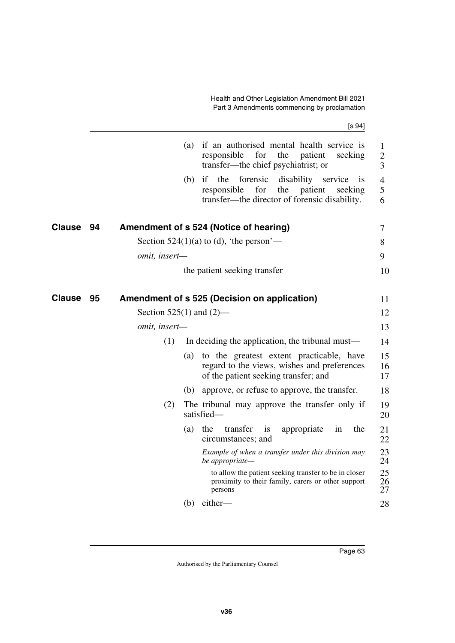[s 94]

|               |    |                              | (a) | if an authorised mental health service is<br>responsible<br>for<br>the<br>patient<br>seeking<br>transfer—the chief psychiatrist; or                             | 1<br>$\overline{2}$<br>3 |
|---------------|----|------------------------------|-----|-----------------------------------------------------------------------------------------------------------------------------------------------------------------|--------------------------|
|               |    |                              | (b) | forensic<br>disability<br>if<br>the<br>service<br><b>1S</b><br>responsible<br>for<br>the<br>patient<br>seeking<br>transfer-the director of forensic disability. | 4<br>5<br>6              |
| <b>Clause</b> | 94 |                              |     | Amendment of s 524 (Notice of hearing)                                                                                                                          | 7                        |
|               |    |                              |     | Section $524(1)(a)$ to (d), 'the person'—                                                                                                                       | 8                        |
|               |    | omit, insert-                |     |                                                                                                                                                                 | 9                        |
|               |    |                              |     | the patient seeking transfer                                                                                                                                    | 10                       |
| <b>Clause</b> | 95 |                              |     | Amendment of s 525 (Decision on application)                                                                                                                    | 11                       |
|               |    | Section $525(1)$ and $(2)$ — |     |                                                                                                                                                                 | 12                       |
|               |    | omit, insert-                |     |                                                                                                                                                                 | 13                       |
|               |    | (1)                          |     | In deciding the application, the tribunal must—                                                                                                                 | 14                       |
|               |    |                              | (a) | to the greatest extent practicable, have<br>regard to the views, wishes and preferences<br>of the patient seeking transfer; and                                 | 15<br>16<br>17           |
|               |    |                              | (b) | approve, or refuse to approve, the transfer.                                                                                                                    | 18                       |
|               |    | (2)                          |     | The tribunal may approve the transfer only if<br>satisfied-                                                                                                     | 19<br>20                 |
|               |    |                              | (a) | the<br>transfer<br>appropriate<br>the<br>1S<br>in<br>circumstances; and                                                                                         | 21<br>22                 |
|               |    |                              |     | Example of when a transfer under this division may<br>be appropriate—                                                                                           | 23<br>24                 |
|               |    |                              |     | to allow the patient seeking transfer to be in closer<br>proximity to their family, carers or other support<br>persons                                          | 25<br>26<br>27           |
|               |    |                              | (b) | either-                                                                                                                                                         | 28                       |
|               |    |                              |     |                                                                                                                                                                 |                          |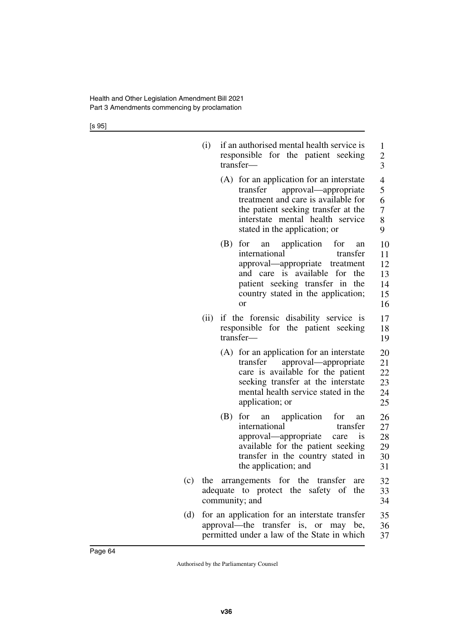[s 95]

|     | (i)  | if an authorised mental health service is<br>responsible for the patient seeking<br>transfer-                                                                                                                                          | 1<br>$\frac{2}{3}$                                   |
|-----|------|----------------------------------------------------------------------------------------------------------------------------------------------------------------------------------------------------------------------------------------|------------------------------------------------------|
|     |      | for an application for an interstate<br>(A)<br>approval—appropriate<br>transfer<br>treatment and care is available for<br>the patient seeking transfer at the<br>interstate mental health service<br>stated in the application; or     | $\overline{4}$<br>5<br>6<br>$\overline{7}$<br>8<br>9 |
|     |      | for<br>application<br>for<br>(B)<br>an<br>an<br>international<br>transfer<br>approval-appropriate treatment<br>and care is available for the<br>patient seeking transfer in the<br>country stated in the application;<br><sub>or</sub> | 10<br>11<br>12<br>13<br>14<br>15<br>16               |
|     | (ii) | if the forensic disability service is<br>responsible for the patient seeking<br>transfer-                                                                                                                                              | 17<br>18<br>19                                       |
|     |      | (A) for an application for an interstate<br>approval—appropriate<br>transfer<br>care is available for the patient<br>seeking transfer at the interstate<br>mental health service stated in the<br>application; or                      | 20<br>21<br>22<br>23<br>24<br>25                     |
|     |      | (B)<br>for<br>application<br>for<br>an<br>an<br>international<br>transfer<br>approval—appropriate<br>is<br>care<br>available for the patient seeking<br>transfer in the country stated in<br>the application; and                      | 26<br>27<br>28<br>29<br>30<br>31                     |
|     |      | (c) the arrangements for the transfer<br>are<br>adequate to protect the safety of<br>the<br>community; and                                                                                                                             | 32<br>33<br>34                                       |
| (d) |      | for an application for an interstate transfer<br>approval—the transfer is, or may be,<br>permitted under a law of the State in which                                                                                                   | 35<br>36<br>37                                       |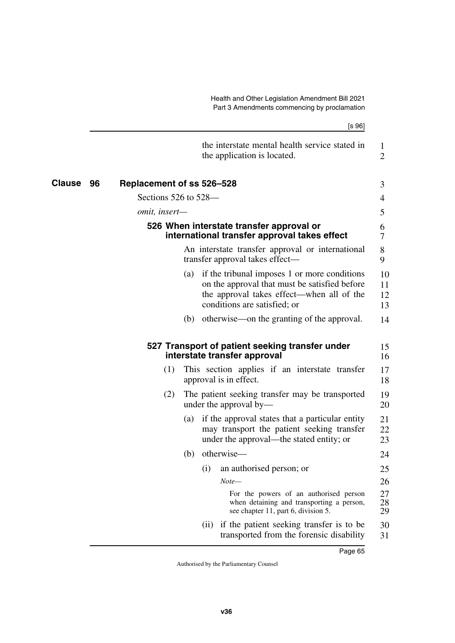|        |                                 | [s 96]                                                                                                                                                                            |                      |
|--------|---------------------------------|-----------------------------------------------------------------------------------------------------------------------------------------------------------------------------------|----------------------|
|        |                                 | the interstate mental health service stated in<br>the application is located.                                                                                                     | 1<br>$\overline{2}$  |
| Clause | Replacement of ss 526-528<br>96 |                                                                                                                                                                                   | 3                    |
|        | Sections $526$ to $528$ —       |                                                                                                                                                                                   | 4                    |
|        | <i>omit, insert—</i>            |                                                                                                                                                                                   | 5                    |
|        |                                 | 526 When interstate transfer approval or<br>international transfer approval takes effect                                                                                          | 6<br>7               |
|        |                                 | An interstate transfer approval or international<br>transfer approval takes effect—                                                                                               | 8<br>9               |
|        |                                 | if the tribunal imposes 1 or more conditions<br>(a)<br>on the approval that must be satisfied before<br>the approval takes effect—when all of the<br>conditions are satisfied; or | 10<br>11<br>12<br>13 |
|        |                                 | (b) otherwise—on the granting of the approval.                                                                                                                                    | 14                   |
|        |                                 | 527 Transport of patient seeking transfer under<br>interstate transfer approval                                                                                                   | 15<br>16             |
|        | (1)                             | This section applies if an interstate transfer<br>approval is in effect.                                                                                                          | 17<br>18             |
|        | (2)                             | The patient seeking transfer may be transported<br>under the approval by—                                                                                                         | 19<br>20             |
|        |                                 | if the approval states that a particular entity<br>(a)<br>may transport the patient seeking transfer<br>under the approval—the stated entity; or                                  | 21<br>22<br>23       |
|        |                                 | otherwise—<br>(b)                                                                                                                                                                 | 24                   |
|        |                                 | (i)<br>an authorised person; or                                                                                                                                                   | 25                   |
|        |                                 | $Note-$                                                                                                                                                                           | 26                   |
|        |                                 | For the powers of an authorised person<br>when detaining and transporting a person,<br>see chapter 11, part 6, division 5.                                                        | 27<br>28<br>29       |
|        |                                 | if the patient seeking transfer is to be<br>(i)<br>transported from the forensic disability                                                                                       | 30<br>31             |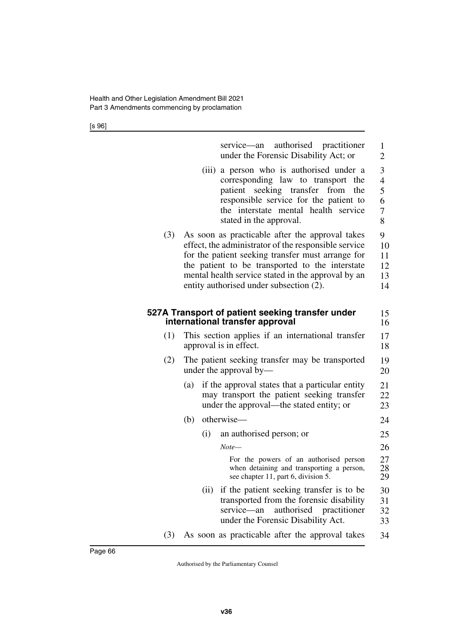[s 96]

|     | service—an authorised practitioner<br>under the Forensic Disability Act; or                                                                                                                                                                                                                                      | $\mathbf{1}$<br>$\overline{2}$                       |  |  |  |  |  |
|-----|------------------------------------------------------------------------------------------------------------------------------------------------------------------------------------------------------------------------------------------------------------------------------------------------------------------|------------------------------------------------------|--|--|--|--|--|
|     | a person who is authorised under a<br>(iii)<br>corresponding law to transport<br>the<br>patient seeking transfer<br>from<br>the<br>responsible service for the patient to<br>the interstate mental health service<br>stated in the approval.                                                                     | 3<br>$\overline{4}$<br>5<br>6<br>$\overline{7}$<br>8 |  |  |  |  |  |
| (3) | As soon as practicable after the approval takes<br>effect, the administrator of the responsible service<br>for the patient seeking transfer must arrange for<br>the patient to be transported to the interstate<br>mental health service stated in the approval by an<br>entity authorised under subsection (2). | 9<br>10<br>11<br>12<br>13<br>14                      |  |  |  |  |  |
|     | 527A Transport of patient seeking transfer under<br>international transfer approval                                                                                                                                                                                                                              | 15<br>16                                             |  |  |  |  |  |
| (1) | This section applies if an international transfer<br>approval is in effect.                                                                                                                                                                                                                                      |                                                      |  |  |  |  |  |
| (2) | The patient seeking transfer may be transported<br>under the approval by-                                                                                                                                                                                                                                        | 19<br>20                                             |  |  |  |  |  |
|     | if the approval states that a particular entity<br>(a)<br>may transport the patient seeking transfer<br>under the approval—the stated entity; or                                                                                                                                                                 | 21<br>22<br>23                                       |  |  |  |  |  |
|     | otherwise-<br>(b)                                                                                                                                                                                                                                                                                                | 24                                                   |  |  |  |  |  |
|     | an authorised person; or<br>(i)                                                                                                                                                                                                                                                                                  | 25                                                   |  |  |  |  |  |
|     | Note—                                                                                                                                                                                                                                                                                                            | 26                                                   |  |  |  |  |  |
|     | For the powers of an authorised person<br>when detaining and transporting a person,<br>see chapter 11, part 6, division 5.                                                                                                                                                                                       | 27<br>28<br>29                                       |  |  |  |  |  |
|     | if the patient seeking transfer is to be<br>(ii)<br>transported from the forensic disability<br>service-an<br>authorised<br>practitioner<br>under the Forensic Disability Act.                                                                                                                                   | 30<br>31<br>32<br>33                                 |  |  |  |  |  |
|     |                                                                                                                                                                                                                                                                                                                  |                                                      |  |  |  |  |  |

(3) As soon as practicable after the approval takes 34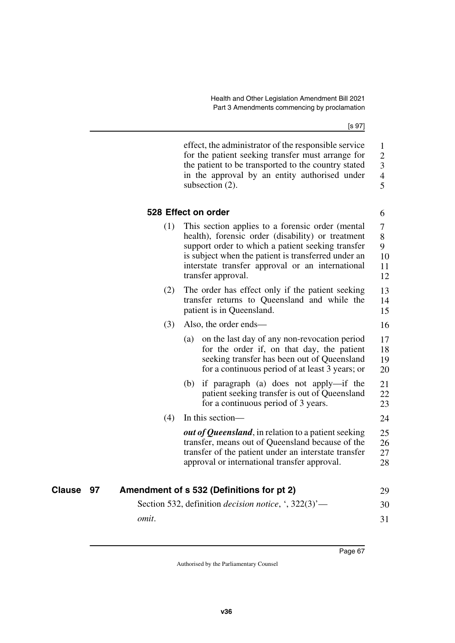[s 97]

6

16

effect, the administrator of the responsible service for the patient seeking transfer must arrange for the patient to be transported to the country stated in the approval by an entity authorised under subsection (2). 1 2 3 4 5

## **528 Effect on order**

- (1) This section applies to a forensic order (mental health), forensic order (disability) or treatment support order to which a patient seeking transfer is subject when the patient is transferred under an interstate transfer approval or an international transfer approval. 7 8 9 10 11 12
- (2) The order has effect only if the patient seeking transfer returns to Queensland and while the patient is in Queensland. 13 14 15

## (3) Also, the order ends—

- (a) on the last day of any non-revocation period for the order if, on that day, the patient seeking transfer has been out of Queensland for a continuous period of at least 3 years; or 17 18 19 20
- (b) if paragraph (a) does not apply—if the patient seeking transfer is out of Queensland for a continuous period of 3 years. 21 22 23

## (4) In this section— 24

*out of Queensland*, in relation to a patient seeking transfer, means out of Queensland because of the transfer of the patient under an interstate transfer approval or international transfer approval. 25 26 27 28

| <b>Clause 97</b> | Amendment of s 532 (Definitions for pt 2)                                                         | 29 |
|------------------|---------------------------------------------------------------------------------------------------|----|
|                  | Section 532, definition <i>decision notice</i> , $\cdot$ , 322(3) <sup><math>\cdot</math></sup> — | 30 |
|                  | omit.                                                                                             |    |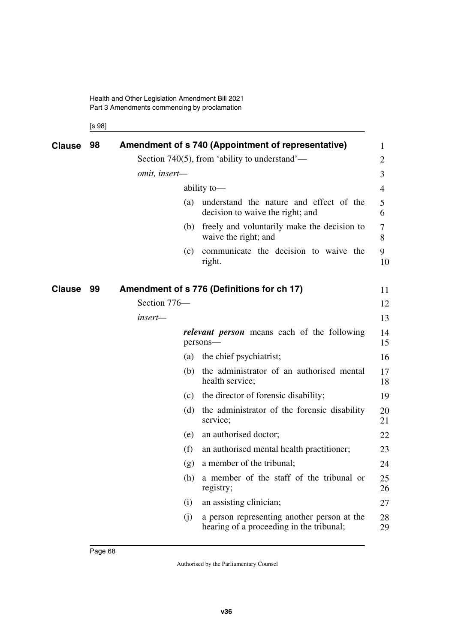[s 98]

| <b>Clause</b> | 98 |               |     | Amendment of s 740 (Appointment of representative)                                      | 1              |
|---------------|----|---------------|-----|-----------------------------------------------------------------------------------------|----------------|
|               |    |               |     | Section 740(5), from 'ability to understand'—                                           | $\overline{2}$ |
|               |    | omit, insert- |     |                                                                                         | 3              |
|               |    |               |     | ability to-                                                                             | 4              |
|               |    |               | (a) | understand the nature and effect of the<br>decision to waive the right; and             | 5<br>6         |
|               |    |               | (b) | freely and voluntarily make the decision to<br>waive the right; and                     | 7<br>8         |
|               |    |               | (c) | communicate the decision to waive the<br>right.                                         | 9<br>10        |
| <b>Clause</b> | 99 |               |     | Amendment of s 776 (Definitions for ch 17)                                              | 11             |
|               |    | Section 776-  |     |                                                                                         | 12             |
|               |    | insert-       |     |                                                                                         | 13             |
|               |    |               |     | <i>relevant person</i> means each of the following<br>persons-                          | 14<br>15       |
|               |    |               | (a) | the chief psychiatrist;                                                                 | 16             |
|               |    |               | (b) | the administrator of an authorised mental<br>health service;                            | 17<br>18       |
|               |    |               | (c) | the director of forensic disability;                                                    | 19             |
|               |    |               | (d) | the administrator of the forensic disability<br>service;                                | 20<br>21       |
|               |    |               | (e) | an authorised doctor;                                                                   | 22             |
|               |    |               | (f) | an authorised mental health practitioner;                                               | 23             |
|               |    |               | (g) | a member of the tribunal;                                                               | 24             |
|               |    |               | (h) | a member of the staff of the tribunal or<br>registry;                                   | 25<br>26       |
|               |    |               | (i) | an assisting clinician;                                                                 | 27             |
|               |    |               | (i) | a person representing another person at the<br>hearing of a proceeding in the tribunal; | 28<br>29       |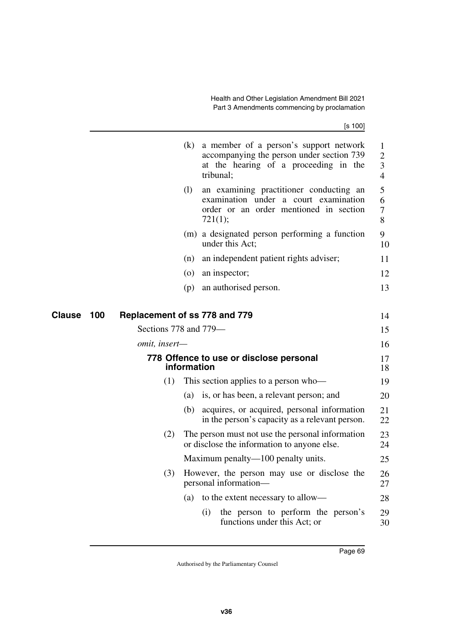|                      |                               | (k)                | a member of a person's support network<br>accompanying the person under section 739<br>at the hearing of a proceeding in the<br>tribunal; | $\mathbf 1$<br>$\overline{2}$<br>3<br>$\overline{4}$ |
|----------------------|-------------------------------|--------------------|-------------------------------------------------------------------------------------------------------------------------------------------|------------------------------------------------------|
|                      |                               | (1)                | an examining practitioner conducting an<br>examination under a court examination<br>order or an order mentioned in section<br>721(1);     | 5<br>6<br>7<br>8                                     |
|                      |                               |                    | (m) a designated person performing a function<br>under this Act;                                                                          | 9<br>10                                              |
|                      |                               | (n)                | an independent patient rights adviser;                                                                                                    | 11                                                   |
|                      |                               | $\left( 0 \right)$ | an inspector;                                                                                                                             | 12                                                   |
|                      |                               | (p)                | an authorised person.                                                                                                                     | 13                                                   |
| 100<br><b>Clause</b> | Replacement of ss 778 and 779 |                    |                                                                                                                                           | 14                                                   |
|                      | Sections 778 and 779-         |                    |                                                                                                                                           | 15                                                   |
|                      | omit, insert-                 |                    |                                                                                                                                           | 16                                                   |
|                      |                               | information        | 778 Offence to use or disclose personal                                                                                                   | 17<br>18                                             |
|                      | (1)                           |                    | This section applies to a person who-                                                                                                     | 19                                                   |
|                      |                               | (a)                | is, or has been, a relevant person; and                                                                                                   | 20                                                   |
|                      |                               | (b)                | acquires, or acquired, personal information<br>in the person's capacity as a relevant person.                                             | 21<br>22                                             |
|                      | (2)                           |                    | The person must not use the personal information<br>or disclose the information to anyone else.                                           | 23<br>24                                             |
|                      |                               |                    | Maximum penalty—100 penalty units.                                                                                                        | 25                                                   |
|                      | (3)                           |                    | However, the person may use or disclose the<br>personal information—                                                                      | 26<br>27                                             |
|                      |                               | (a)                | to the extent necessary to allow—                                                                                                         | 28                                                   |
|                      |                               |                    | the person to perform the person's<br>(1)<br>functions under this Act; or                                                                 | 29<br>30                                             |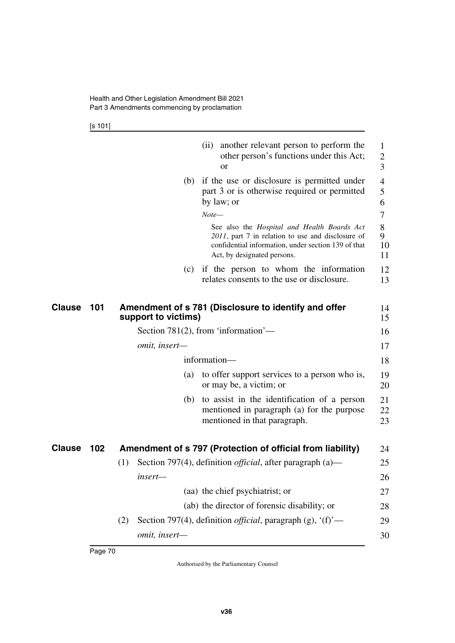[s 101]

|        |     | or                                                                          | (ii) another relevant person to perform the<br>other person's functions under this Act;                                                                                                | 1<br>2<br>3        |
|--------|-----|-----------------------------------------------------------------------------|----------------------------------------------------------------------------------------------------------------------------------------------------------------------------------------|--------------------|
|        |     | by law; or                                                                  | (b) if the use or disclosure is permitted under<br>part 3 or is otherwise required or permitted                                                                                        | 4<br>5<br>6        |
|        |     | $Note-$                                                                     |                                                                                                                                                                                        | 7                  |
|        |     |                                                                             | See also the Hospital and Health Boards Act<br>2011, part 7 in relation to use and disclosure of<br>confidential information, under section 139 of that<br>Act, by designated persons. | 8<br>9<br>10<br>11 |
|        |     |                                                                             | (c) if the person to whom the information<br>relates consents to the use or disclosure.                                                                                                | 12<br>13           |
| Clause | 101 | Amendment of s 781 (Disclosure to identify and offer<br>support to victims) |                                                                                                                                                                                        | 14<br>15           |
|        |     | Section $781(2)$ , from 'information'—                                      |                                                                                                                                                                                        | 16                 |
|        |     | omit, insert-                                                               |                                                                                                                                                                                        | 17                 |
|        |     | information-                                                                |                                                                                                                                                                                        | 18                 |
|        |     | (a)                                                                         | to offer support services to a person who is,<br>or may be, a victim; or                                                                                                               | 19<br>20           |
|        |     | (b)                                                                         | to assist in the identification of a person<br>mentioned in paragraph (a) for the purpose<br>mentioned in that paragraph.                                                              | 21<br>22<br>23     |
| Clause | 102 |                                                                             | Amendment of s 797 (Protection of official from liability)                                                                                                                             | 24                 |
|        |     | (1)                                                                         | Section 797(4), definition <i>official</i> , after paragraph $(a)$ —                                                                                                                   | 25                 |
|        |     | insert—                                                                     |                                                                                                                                                                                        | 26                 |
|        |     | (aa) the chief psychiatrist; or                                             |                                                                                                                                                                                        | 27                 |
|        |     |                                                                             | (ab) the director of forensic disability; or                                                                                                                                           | 28                 |
|        |     | (2)                                                                         | Section 797(4), definition <i>official</i> , paragraph (g), $(f)$ —                                                                                                                    | 29                 |
|        |     | omit, insert-                                                               |                                                                                                                                                                                        | 30                 |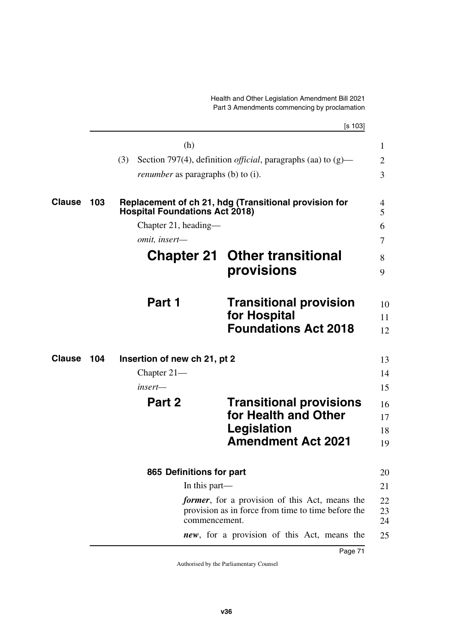|               |     |                                           | [s 103]                                                                                                      |
|---------------|-----|-------------------------------------------|--------------------------------------------------------------------------------------------------------------|
|               |     | (h)                                       |                                                                                                              |
|               |     | (3)                                       | Section 797(4), definition <i>official</i> , paragraphs (aa) to $(g)$ —                                      |
|               |     | <i>renumber</i> as paragraphs (b) to (i). |                                                                                                              |
| <b>Clause</b> | 103 | <b>Hospital Foundations Act 2018)</b>     | Replacement of ch 21, hdg (Transitional provision for                                                        |
|               |     | Chapter 21, heading—                      |                                                                                                              |
|               |     | omit, insert-                             |                                                                                                              |
|               |     |                                           | <b>Chapter 21 Other transitional</b>                                                                         |
|               |     |                                           | provisions                                                                                                   |
|               |     | Part 1                                    | <b>Transitional provision</b>                                                                                |
|               |     |                                           | for Hospital                                                                                                 |
|               |     |                                           | <b>Foundations Act 2018</b>                                                                                  |
| <b>Clause</b> | 104 | Insertion of new ch 21, pt 2              |                                                                                                              |
|               |     | Chapter $21-$                             |                                                                                                              |
|               |     | insert—                                   |                                                                                                              |
|               |     | Part 2                                    | <b>Transitional provisions</b>                                                                               |
|               |     |                                           | for Health and Other                                                                                         |
|               |     |                                           | Legislation                                                                                                  |
|               |     |                                           | <b>Amendment Act 2021</b>                                                                                    |
|               |     | 865 Definitions for part                  |                                                                                                              |
|               |     | In this part—                             |                                                                                                              |
|               |     |                                           | <i>former</i> , for a provision of this Act, means the<br>provision as in force from time to time before the |
|               |     | commencement.                             |                                                                                                              |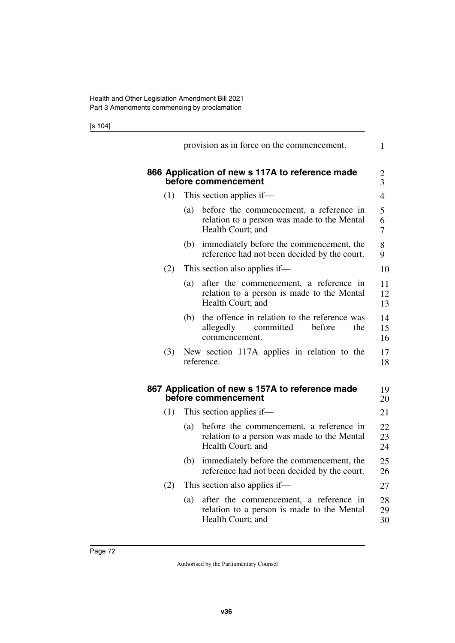[s 104]

|     | provision as in force on the commencement.                                                                         | 1              |
|-----|--------------------------------------------------------------------------------------------------------------------|----------------|
|     | 866 Application of new s 117A to reference made<br>before commencement                                             | 2<br>3         |
| (1) | This section applies if—                                                                                           | $\overline{4}$ |
|     | before the commencement, a reference in<br>(a)<br>relation to a person was made to the Mental<br>Health Court; and | 5<br>6<br>7    |
|     | immediately before the commencement, the<br>(b)<br>reference had not been decided by the court.                    | 8<br>9         |
| (2) | This section also applies if—                                                                                      | 10             |
|     | (a)<br>after the commencement, a reference in<br>relation to a person is made to the Mental<br>Health Court; and   | 11<br>12<br>13 |
|     | the offence in relation to the reference was<br>(b)<br>committed<br>before<br>the<br>allegedly<br>commencement.    | 14<br>15<br>16 |
| (3) | New section 117A applies in relation to the<br>reference.                                                          | 17<br>18       |
|     | 867 Application of new s 157A to reference made<br>before commencement                                             | 19<br>20       |
| (1) | This section applies if—                                                                                           | 21             |
|     | before the commencement, a reference in<br>(a)<br>relation to a person was made to the Mental<br>Health Court; and | 22<br>23<br>24 |
|     | immediately before the commencement, the<br>(b)<br>reference had not been decided by the court.                    | 25<br>26       |
| (2) | This section also applies if—                                                                                      | 27             |
|     | after the commencement, a reference in<br>(a)<br>relation to a person is made to the Mental<br>Health Court; and   | 28<br>29<br>30 |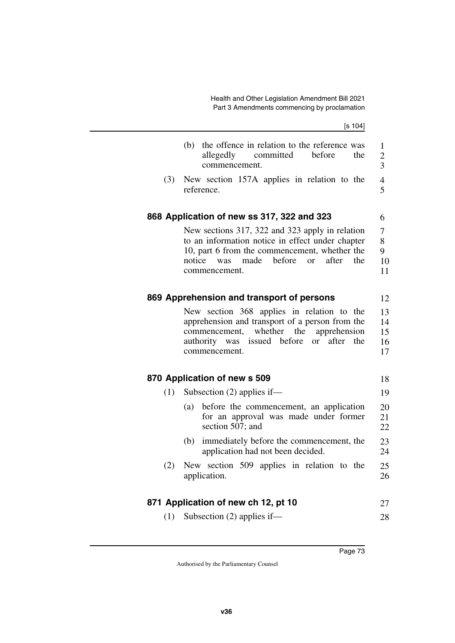$[s 104]$ 

|     | the offence in relation to the reference was<br>(b)<br>committed<br>allegedly<br>before<br>the<br>commencement.                                                                                                                    | $\mathbf{1}$<br>$\overline{2}$<br>$\overline{3}$ |
|-----|------------------------------------------------------------------------------------------------------------------------------------------------------------------------------------------------------------------------------------|--------------------------------------------------|
| (3) | New section 157A applies in relation to the<br>reference.                                                                                                                                                                          | $\overline{4}$<br>5                              |
|     | 868 Application of new ss 317, 322 and 323                                                                                                                                                                                         | 6                                                |
|     | New sections 317, 322 and 323 apply in relation<br>to an information notice in effect under chapter<br>10, part 6 from the commencement, whether the<br>before<br>notice<br>made<br>after<br>or<br>the<br>was<br>commencement.     | 7<br>8<br>9<br>10<br>11                          |
|     | 869 Apprehension and transport of persons                                                                                                                                                                                          | 12                                               |
|     | New section 368 applies in relation to the<br>apprehension and transport of a person from the<br>whether<br>the<br>apprehension<br>commencement,<br>after<br>issued before<br>the<br>authority<br>was<br>$\alpha$<br>commencement. | 13<br>14<br>15<br>16<br>17                       |
|     | 870 Application of new s 509                                                                                                                                                                                                       | 18                                               |
| (1) | Subsection $(2)$ applies if—                                                                                                                                                                                                       | 19                                               |
|     | before the commencement, an application<br>(a)<br>for an approval was made under former<br>section 507; and                                                                                                                        | 20<br>21<br>22                                   |
|     | immediately before the commencement, the<br>(b)<br>application had not been decided.                                                                                                                                               | 23<br>24                                         |
| (2) | New section 509 applies in relation to the<br>application.                                                                                                                                                                         | 25<br>26                                         |
|     | 871 Application of new ch 12, pt 10                                                                                                                                                                                                | 27                                               |
| (1) | Subsection $(2)$ applies if—                                                                                                                                                                                                       | 28                                               |
|     |                                                                                                                                                                                                                                    |                                                  |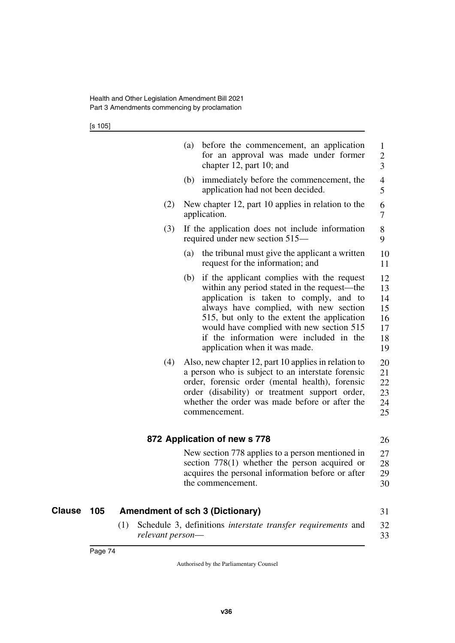[s 105]

|     | (a)<br>before the commencement, an application<br>for an approval was made under former<br>chapter 12, part 10; and                                                                                                                                                                                                                                         | $\mathbf{1}$<br>$\overline{c}$<br>$\overline{3}$ |
|-----|-------------------------------------------------------------------------------------------------------------------------------------------------------------------------------------------------------------------------------------------------------------------------------------------------------------------------------------------------------------|--------------------------------------------------|
|     | immediately before the commencement, the<br>(b)<br>application had not been decided.                                                                                                                                                                                                                                                                        | $\overline{4}$<br>5                              |
| (2) | New chapter 12, part 10 applies in relation to the<br>application.                                                                                                                                                                                                                                                                                          | 6<br>7                                           |
| (3) | If the application does not include information<br>required under new section 515—                                                                                                                                                                                                                                                                          | 8<br>9                                           |
|     | (a)<br>the tribunal must give the applicant a written<br>request for the information; and                                                                                                                                                                                                                                                                   | 10<br>11                                         |
|     | if the applicant complies with the request<br>(b)<br>within any period stated in the request—the<br>application is taken to comply, and to<br>always have complied, with new section<br>515, but only to the extent the application<br>would have complied with new section 515<br>if the information were included in the<br>application when it was made. | 12<br>13<br>14<br>15<br>16<br>17<br>18<br>19     |
| (4) | Also, new chapter 12, part 10 applies in relation to<br>a person who is subject to an interstate forensic<br>order, forensic order (mental health), forensic<br>order (disability) or treatment support order,<br>whether the order was made before or after the<br>commencement.                                                                           | 20<br>21<br>22<br>23<br>24<br>25                 |
|     | 872 Application of new s 778                                                                                                                                                                                                                                                                                                                                | 26                                               |
|     | New section 778 applies to a person mentioned in<br>section $778(1)$ whether the person acquired or<br>acquires the personal information before or after<br>the commencement.                                                                                                                                                                               | 27<br>28<br>29<br>30                             |

## **Clause 105 Amendment of sch 3 (Dictionary)** 31

(1) Schedule 3, definitions *interstate transfer requirements* and *relevant person*— 32 33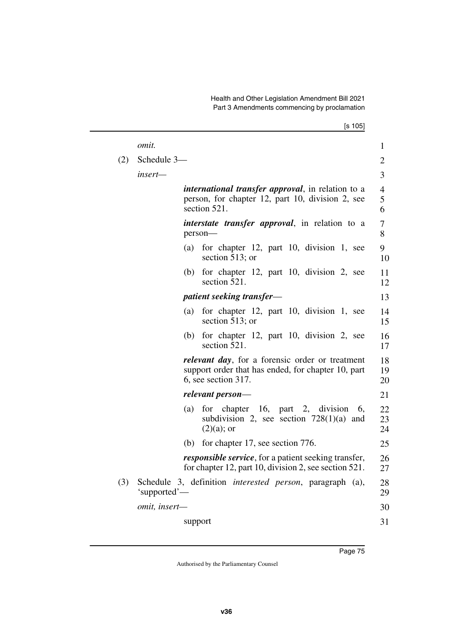|         | [s 105]                                                                                                                                 |                                                                                                          |
|---------|-----------------------------------------------------------------------------------------------------------------------------------------|----------------------------------------------------------------------------------------------------------|
| omit.   |                                                                                                                                         | 1                                                                                                        |
|         |                                                                                                                                         | 2                                                                                                        |
| insert— |                                                                                                                                         | 3                                                                                                        |
|         | <i>international transfer approval</i> , in relation to a<br>person, for chapter 12, part 10, division 2, see<br>section 521.           | 4<br>5<br>6                                                                                              |
|         | <i>interstate transfer approval</i> , in relation to a<br>person-                                                                       | 7<br>8                                                                                                   |
|         | for chapter 12, part 10, division 1, see<br>(a)<br>section 513; or                                                                      | 9<br>10                                                                                                  |
|         | for chapter 12, part 10, division 2, see<br>(b)<br>section 521.                                                                         | 11<br>12                                                                                                 |
|         | patient seeking transfer—                                                                                                               | 13                                                                                                       |
|         | for chapter 12, part 10, division 1, see<br>(a)<br>section $513$ ; or                                                                   | 14<br>15                                                                                                 |
|         | for chapter 12, part 10, division 2, see<br>(b)<br>section 521.                                                                         | 16<br>17                                                                                                 |
|         | <i>relevant day</i> , for a forensic order or treatment<br>support order that has ended, for chapter 10, part<br>$6$ , see section 317. | 18<br>19<br>20                                                                                           |
|         | relevant person—                                                                                                                        | 21                                                                                                       |
|         | for chapter $16$ , part 2, division<br>6,<br>(a)<br>subdivision 2, see section $728(1)(a)$ and<br>$(2)(a)$ ; or                         | 22<br>23<br>24                                                                                           |
|         | for chapter 17, see section 776.<br>(b)                                                                                                 | 25                                                                                                       |
|         | <i>responsible service</i> , for a patient seeking transfer,<br>for chapter 12, part 10, division 2, see section $521$ .                | 26<br>27                                                                                                 |
|         |                                                                                                                                         | 28<br>29                                                                                                 |
|         |                                                                                                                                         | 30                                                                                                       |
|         | support                                                                                                                                 | 31                                                                                                       |
|         |                                                                                                                                         | Schedule 3-<br>Schedule 3, definition interested person, paragraph (a),<br>'supported'—<br>omit, insert- |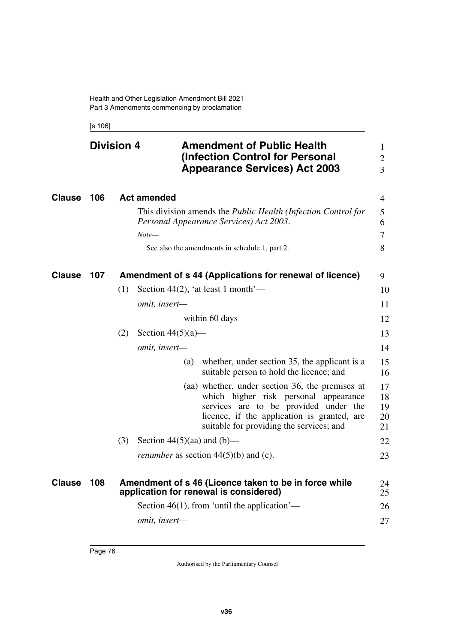[s 106]

|               | <b>Division 4</b> |     |                                 | <b>Amendment of Public Health</b><br>(Infection Control for Personal<br><b>Appearance Services) Act 2003</b>                                                                                                                 | $\mathbf{1}$<br>$\mathbf{2}$<br>$\overline{3}$ |
|---------------|-------------------|-----|---------------------------------|------------------------------------------------------------------------------------------------------------------------------------------------------------------------------------------------------------------------------|------------------------------------------------|
| <b>Clause</b> | 106               |     | <b>Act amended</b>              |                                                                                                                                                                                                                              | $\overline{4}$                                 |
|               |                   |     |                                 | This division amends the <i>Public Health (Infection Control for</i><br>Personal Appearance Services) Act 2003.                                                                                                              | 5<br>6                                         |
|               |                   |     | $Note-$                         | See also the amendments in schedule 1, part 2.                                                                                                                                                                               | 7<br>8                                         |
| <b>Clause</b> | 107               |     |                                 | Amendment of s 44 (Applications for renewal of licence)                                                                                                                                                                      | 9                                              |
|               |                   | (1) |                                 | Section 44(2), 'at least 1 month'—                                                                                                                                                                                           | 10                                             |
|               |                   |     | omit, insert-                   |                                                                                                                                                                                                                              | 11                                             |
|               |                   |     |                                 | within 60 days                                                                                                                                                                                                               | 12                                             |
|               |                   | (2) | Section $44(5)(a)$ —            |                                                                                                                                                                                                                              | 13                                             |
|               |                   |     | omit, insert-                   |                                                                                                                                                                                                                              | 14                                             |
|               |                   |     | (a)                             | whether, under section 35, the applicant is a<br>suitable person to hold the licence; and                                                                                                                                    | 15<br>16                                       |
|               |                   |     |                                 | (aa) whether, under section 36, the premises at<br>which higher risk personal appearance<br>services are to be provided under the<br>licence, if the application is granted, are<br>suitable for providing the services; and | 17<br>18<br>19<br>20<br>21                     |
|               |                   | (3) | Section $44(5)(aa)$ and $(b)$ — |                                                                                                                                                                                                                              | 22                                             |
|               |                   |     |                                 | <i>renumber</i> as section $44(5)(b)$ and (c).                                                                                                                                                                               | 23                                             |
| Clause        | 108               |     |                                 | Amendment of s 46 (Licence taken to be in force while<br>application for renewal is considered)                                                                                                                              | 24<br>25                                       |
|               |                   |     |                                 | Section $46(1)$ , from 'until the application'—                                                                                                                                                                              | 26                                             |
|               |                   |     | omit, insert-                   |                                                                                                                                                                                                                              | 27                                             |
|               |                   |     |                                 |                                                                                                                                                                                                                              |                                                |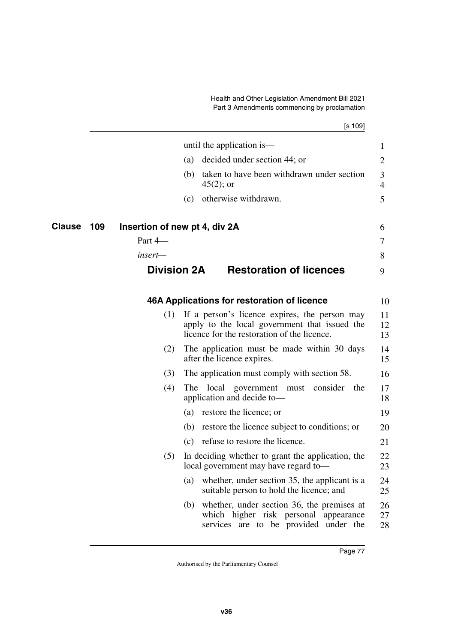[s 109]

|                      |                    | until the application is—                                                                                                                     | $\mathbf 1$    |
|----------------------|--------------------|-----------------------------------------------------------------------------------------------------------------------------------------------|----------------|
|                      |                    | decided under section 44; or<br>(a)                                                                                                           | $\overline{2}$ |
|                      |                    | taken to have been withdrawn under section<br>(b)<br>$45(2)$ ; or                                                                             | 3<br>4         |
|                      |                    | otherwise withdrawn.<br>(c)                                                                                                                   | 5              |
| 109<br><b>Clause</b> |                    | Insertion of new pt 4, div 2A                                                                                                                 | 6              |
|                      | Part 4-            |                                                                                                                                               | 7              |
|                      | insert-            |                                                                                                                                               | 8              |
|                      | <b>Division 2A</b> | <b>Restoration of licences</b>                                                                                                                | 9              |
|                      |                    | 46A Applications for restoration of licence                                                                                                   | 10             |
|                      | (1)                | If a person's licence expires, the person may<br>apply to the local government that issued the<br>licence for the restoration of the licence. | 11<br>12<br>13 |
|                      | (2)                | The application must be made within 30 days<br>after the licence expires.                                                                     | 14<br>15       |
|                      | (3)                | The application must comply with section 58.                                                                                                  | 16             |
|                      | (4)                | The local government must consider the<br>application and decide to-                                                                          | 17<br>18       |
|                      |                    | restore the licence; or<br>(a)                                                                                                                | 19             |
|                      |                    | (b) restore the licence subject to conditions; or                                                                                             | 20             |
|                      |                    | refuse to restore the licence.<br>(c)                                                                                                         | 21             |
|                      | (5)                | In deciding whether to grant the application, the<br>local government may have regard to-                                                     | 22<br>23       |
|                      |                    | whether, under section 35, the applicant is a<br>(a)<br>suitable person to hold the licence; and                                              | 24<br>25       |
|                      |                    | (b) whether, under section 36, the premises at<br>which higher risk personal appearance<br>services are to be provided under the              | 26<br>27<br>28 |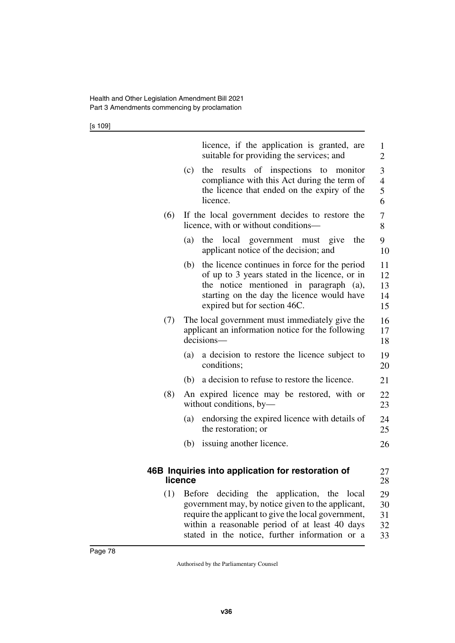[s 109]

|     | licence, if the application is granted, are<br>suitable for providing the services; and                                                                                                                                                                    | $\mathbf{1}$<br>2                       |
|-----|------------------------------------------------------------------------------------------------------------------------------------------------------------------------------------------------------------------------------------------------------------|-----------------------------------------|
|     | the results of inspections to monitor<br>(c)<br>compliance with this Act during the term of<br>the licence that ended on the expiry of the<br>licence.                                                                                                     | 3<br>$\overline{\mathcal{A}}$<br>5<br>6 |
| (6) | If the local government decides to restore the<br>licence, with or without conditions—                                                                                                                                                                     | 7<br>8                                  |
|     | (a)<br>the<br>local government must give<br>the<br>applicant notice of the decision; and                                                                                                                                                                   | 9<br>10                                 |
|     | the licence continues in force for the period<br>(b)<br>of up to 3 years stated in the licence, or in<br>the notice mentioned in paragraph (a),<br>starting on the day the licence would have<br>expired but for section 46C.                              | 11<br>12<br>13<br>14<br>15              |
| (7) | The local government must immediately give the<br>applicant an information notice for the following<br>decisions-                                                                                                                                          | 16<br>17<br>18                          |
|     | a decision to restore the licence subject to<br>(a)<br>conditions;                                                                                                                                                                                         | 19<br>20                                |
|     | a decision to refuse to restore the licence.<br>(b)                                                                                                                                                                                                        | 21                                      |
| (8) | An expired licence may be restored, with or<br>without conditions, by-                                                                                                                                                                                     | 22<br>23                                |
|     | endorsing the expired licence with details of<br>(a)<br>the restoration; or                                                                                                                                                                                | 24<br>25                                |
|     | issuing another licence.<br>(b)                                                                                                                                                                                                                            | 26                                      |
|     | 46B Inquiries into application for restoration of<br>licence                                                                                                                                                                                               | 27<br>28                                |
| (1) | Before deciding the application, the local<br>government may, by notice given to the applicant,<br>require the applicant to give the local government,<br>within a reasonable period of at least 40 days<br>stated in the notice, further information or a | 29<br>30<br>31<br>32<br>33              |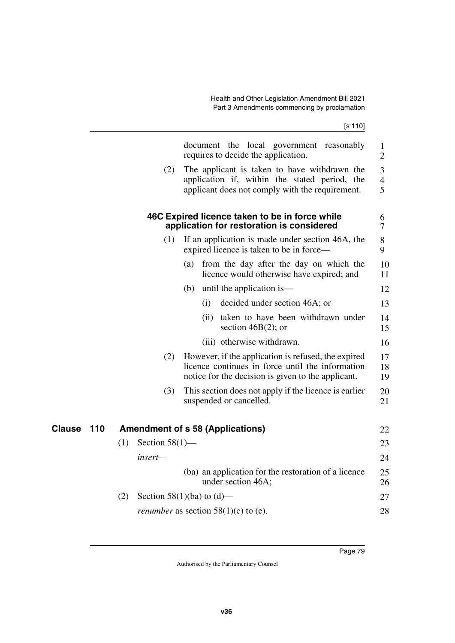|        |     |                          | document the local government reasonably<br>requires to decide the application.                                                                               | $\mathbf 1$<br>$\overline{2}$ |
|--------|-----|--------------------------|---------------------------------------------------------------------------------------------------------------------------------------------------------------|-------------------------------|
|        |     | (2)                      | The applicant is taken to have withdrawn the<br>application if, within the stated period, the<br>applicant does not comply with the requirement.              | 3<br>$\overline{4}$<br>5      |
|        |     |                          | 46C Expired licence taken to be in force while<br>application for restoration is considered                                                                   | 6<br>7                        |
|        |     | (1)                      | If an application is made under section 46A, the<br>expired licence is taken to be in force—                                                                  | 8<br>9                        |
|        |     |                          | from the day after the day on which the<br>(a)<br>licence would otherwise have expired; and                                                                   | 10<br>11                      |
|        |     |                          | until the application is—<br>(b)                                                                                                                              | 12                            |
|        |     |                          | decided under section 46A; or<br>(i)                                                                                                                          | 13                            |
|        |     |                          | taken to have been withdrawn under<br>(ii)<br>section $46B(2)$ ; or                                                                                           | 14<br>15                      |
|        |     |                          | (iii) otherwise withdrawn.                                                                                                                                    | 16                            |
|        |     | (2)                      | However, if the application is refused, the expired<br>licence continues in force until the information<br>notice for the decision is given to the applicant. | 17<br>18<br>19                |
|        |     | (3)                      | This section does not apply if the licence is earlier<br>suspended or cancelled.                                                                              | 20<br>21                      |
| Clause | 110 |                          | <b>Amendment of s 58 (Applications)</b>                                                                                                                       | 22                            |
|        |     | Section $58(1)$ —<br>(1) |                                                                                                                                                               | 23                            |
|        |     | insert-                  |                                                                                                                                                               | 24                            |
|        |     |                          | (ba) an application for the restoration of a licence<br>under section 46A;                                                                                    | 25<br>26                      |
|        |     | (2)                      | Section 58(1)(ba) to (d)—                                                                                                                                     | 27                            |
|        |     |                          | <i>renumber</i> as section $58(1)(c)$ to (e).                                                                                                                 | 28                            |
|        |     |                          |                                                                                                                                                               |                               |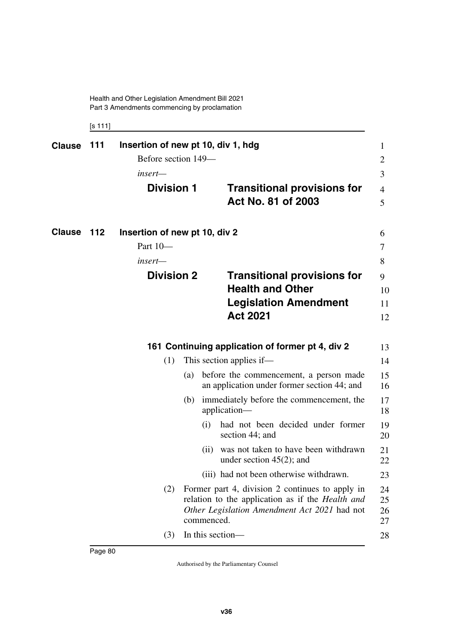[s 111]

| <b>Clause</b> | 111 | Insertion of new pt 10, div 1, hdg<br>Before section 149-<br>insert—                                 |     |                                                                    |                                                                                                                                                            | 1<br>2<br>3          |
|---------------|-----|------------------------------------------------------------------------------------------------------|-----|--------------------------------------------------------------------|------------------------------------------------------------------------------------------------------------------------------------------------------------|----------------------|
|               |     | <b>Division 1</b>                                                                                    |     |                                                                    | <b>Transitional provisions for</b><br>Act No. 81 of 2003                                                                                                   | 4<br>5               |
| <b>Clause</b> | 112 | Insertion of new pt 10, div 2<br>Part 10-<br>insert—<br><b>Division 2</b><br><b>Health and Other</b> |     | <b>Transitional provisions for</b><br><b>Legislation Amendment</b> | 6<br>7<br>8<br>9<br>10<br>11                                                                                                                               |                      |
|               |     |                                                                                                      |     |                                                                    | <b>Act 2021</b>                                                                                                                                            | 12                   |
|               |     |                                                                                                      |     |                                                                    | 161 Continuing application of former pt 4, div 2                                                                                                           | 13                   |
|               |     | (1)                                                                                                  |     |                                                                    | This section applies if—                                                                                                                                   | 14                   |
|               |     |                                                                                                      | (a) |                                                                    | before the commencement, a person made<br>an application under former section 44; and                                                                      | 15<br>16             |
|               |     |                                                                                                      | (b) |                                                                    | immediately before the commencement, the<br>application-                                                                                                   | 17<br>18             |
|               |     |                                                                                                      |     | (i)                                                                | had not been decided under former<br>section 44; and                                                                                                       | 19<br>20             |
|               |     |                                                                                                      |     | (ii)                                                               | was not taken to have been withdrawn<br>under section $45(2)$ ; and                                                                                        | 21<br>22             |
|               |     |                                                                                                      |     |                                                                    | (iii) had not been otherwise withdrawn.                                                                                                                    | 23                   |
|               |     | (2)                                                                                                  |     | commenced.                                                         | Former part 4, division 2 continues to apply in<br>relation to the application as if the <i>Health and</i><br>Other Legislation Amendment Act 2021 had not | 24<br>25<br>26<br>27 |
|               |     | (3)                                                                                                  |     |                                                                    | In this section-                                                                                                                                           | 28                   |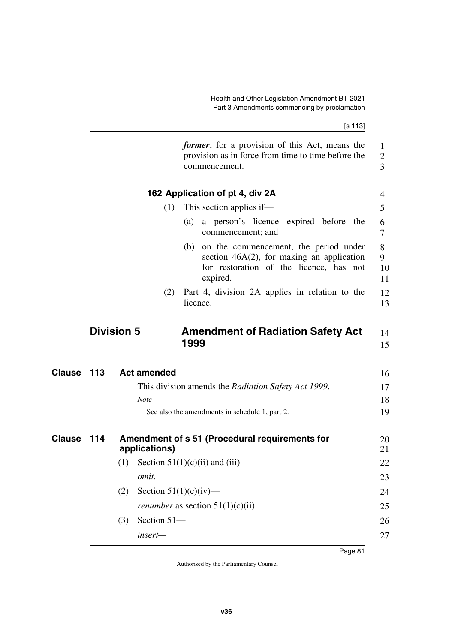|            | commencement.                                                   |                                                                                                                                                                                                                                                                                                                                                                                                                             |
|------------|-----------------------------------------------------------------|-----------------------------------------------------------------------------------------------------------------------------------------------------------------------------------------------------------------------------------------------------------------------------------------------------------------------------------------------------------------------------------------------------------------------------|
|            | 162 Application of pt 4, div 2A                                 |                                                                                                                                                                                                                                                                                                                                                                                                                             |
|            | This section applies if—<br>(1)                                 |                                                                                                                                                                                                                                                                                                                                                                                                                             |
|            | commencement; and                                               |                                                                                                                                                                                                                                                                                                                                                                                                                             |
|            | (b)<br>expired.                                                 |                                                                                                                                                                                                                                                                                                                                                                                                                             |
|            | (2)<br>licence.                                                 |                                                                                                                                                                                                                                                                                                                                                                                                                             |
|            |                                                                 |                                                                                                                                                                                                                                                                                                                                                                                                                             |
|            | 1999                                                            |                                                                                                                                                                                                                                                                                                                                                                                                                             |
| Clause 113 | <b>Act amended</b>                                              |                                                                                                                                                                                                                                                                                                                                                                                                                             |
|            | This division amends the Radiation Safety Act 1999.             |                                                                                                                                                                                                                                                                                                                                                                                                                             |
|            | $Note-$                                                         |                                                                                                                                                                                                                                                                                                                                                                                                                             |
|            | See also the amendments in schedule 1, part 2.                  |                                                                                                                                                                                                                                                                                                                                                                                                                             |
| 114        | Amendment of s 51 (Procedural requirements for<br>applications) |                                                                                                                                                                                                                                                                                                                                                                                                                             |
|            | (1) Section $51(1)(c)(ii)$ and $(iii)$ —                        |                                                                                                                                                                                                                                                                                                                                                                                                                             |
|            | omit.                                                           |                                                                                                                                                                                                                                                                                                                                                                                                                             |
|            | Section $51(1)(c)(iv)$ —<br>(2)                                 |                                                                                                                                                                                                                                                                                                                                                                                                                             |
|            | <i>renumber</i> as section $51(1)(c)(ii)$ .                     |                                                                                                                                                                                                                                                                                                                                                                                                                             |
|            | Section 51-<br>(3)                                              |                                                                                                                                                                                                                                                                                                                                                                                                                             |
|            | insert-                                                         |                                                                                                                                                                                                                                                                                                                                                                                                                             |
|            |                                                                 | [s 113]<br><i>former</i> , for a provision of this Act, means the<br>provision as in force from time to time before the<br>(a) a person's licence expired before the<br>on the commencement, the period under<br>section $46A(2)$ , for making an application<br>for restoration of the licence, has not<br>Part 4, division 2A applies in relation to the<br><b>Division 5</b><br><b>Amendment of Radiation Safety Act</b> |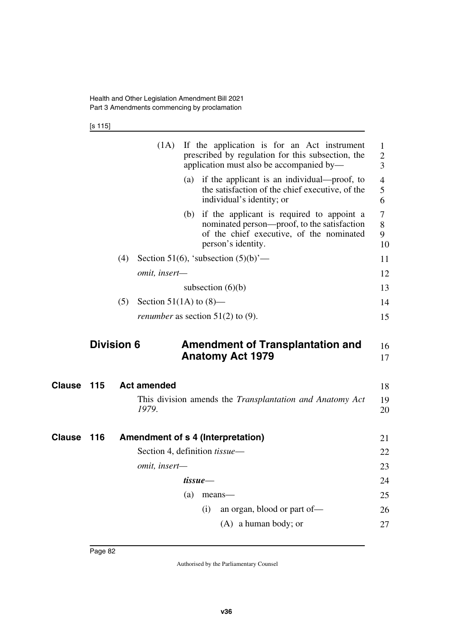[s 115]

|               |     | (1A)               | If the application is for an Act instrument<br>prescribed by regulation for this subsection, the<br>application must also be accompanied by—                   | $\mathbf{1}$<br>$\mathbf{2}$<br>3 |
|---------------|-----|--------------------|----------------------------------------------------------------------------------------------------------------------------------------------------------------|-----------------------------------|
|               |     |                    | (a) if the applicant is an individual—proof, to<br>the satisfaction of the chief executive, of the<br>individual's identity; or                                | $\overline{4}$<br>5<br>6          |
|               |     |                    | (b) if the applicant is required to appoint a<br>nominated person—proof, to the satisfaction<br>of the chief executive, of the nominated<br>person's identity. | $\overline{7}$<br>8<br>9<br>10    |
|               |     | (4)                | Section 51(6), 'subsection $(5)(b)$ '—                                                                                                                         | 11                                |
|               |     | omit, insert-      |                                                                                                                                                                | 12                                |
|               |     |                    | subsection $(6)(b)$                                                                                                                                            | 13                                |
|               |     | (5)                | Section 51(1A) to $(8)$ —                                                                                                                                      | 14                                |
|               |     |                    | <i>renumber</i> as section $51(2)$ to (9).                                                                                                                     | 15                                |
|               |     |                    |                                                                                                                                                                |                                   |
|               |     | <b>Division 6</b>  | <b>Amendment of Transplantation and</b><br><b>Anatomy Act 1979</b>                                                                                             | 16<br>17                          |
| Clause        | 115 | <b>Act amended</b> |                                                                                                                                                                | 18                                |
|               |     |                    |                                                                                                                                                                |                                   |
|               |     | 1979.              | This division amends the <i>Transplantation and Anatomy Act</i>                                                                                                | 19<br>20                          |
| <b>Clause</b> | 116 |                    | Amendment of s 4 (Interpretation)                                                                                                                              | 21                                |
|               |     |                    | Section 4, definition <i>tissue</i> —                                                                                                                          | 22                                |
|               |     | omit, insert-      |                                                                                                                                                                | 23                                |
|               |     |                    | tissue—                                                                                                                                                        | 24                                |
|               |     |                    | (a)<br>means-                                                                                                                                                  | 25                                |
|               |     |                    | an organ, blood or part of-<br>(i)                                                                                                                             | 26                                |
|               |     |                    | $(A)$ a human body; or                                                                                                                                         | 27                                |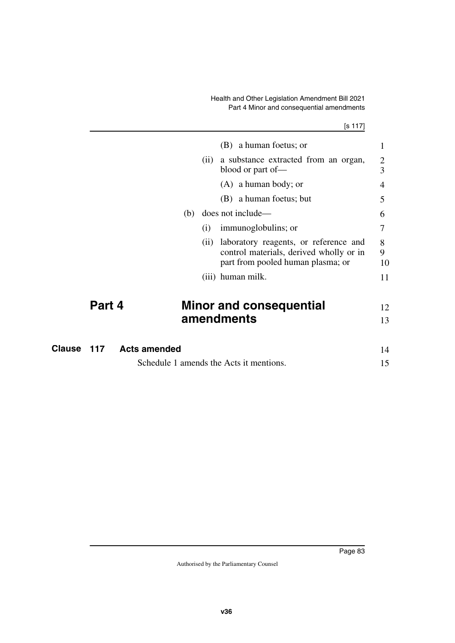## Health and Other Legislation Amendment Bill 2021 Part 4 Minor and consequential amendments

|               |        |                     |      | (B) a human foetus; or                                                                                                | 1                   |
|---------------|--------|---------------------|------|-----------------------------------------------------------------------------------------------------------------------|---------------------|
|               |        |                     | (ii) | a substance extracted from an organ,<br>blood or part of-                                                             | $\overline{2}$<br>3 |
|               |        |                     |      | $(A)$ a human body; or                                                                                                | 4                   |
|               |        |                     |      | (B) a human foetus; but                                                                                               | 5                   |
|               |        | (b)                 |      | does not include—                                                                                                     | 6                   |
|               |        |                     | (i)  | immunoglobulins; or                                                                                                   | 7                   |
|               |        |                     | (11) | laboratory reagents, or reference and<br>control materials, derived wholly or in<br>part from pooled human plasma; or | 8<br>9<br>10        |
|               |        |                     |      | (iii) human milk.                                                                                                     | 11                  |
|               | Part 4 |                     |      | <b>Minor and consequential</b>                                                                                        | 12                  |
|               |        |                     |      | amendments                                                                                                            | 13                  |
| <b>Clause</b> | 117    | <b>Acts amended</b> |      |                                                                                                                       | 14                  |
|               |        |                     |      | Schedule 1 amends the Acts it mentions.                                                                               | 15                  |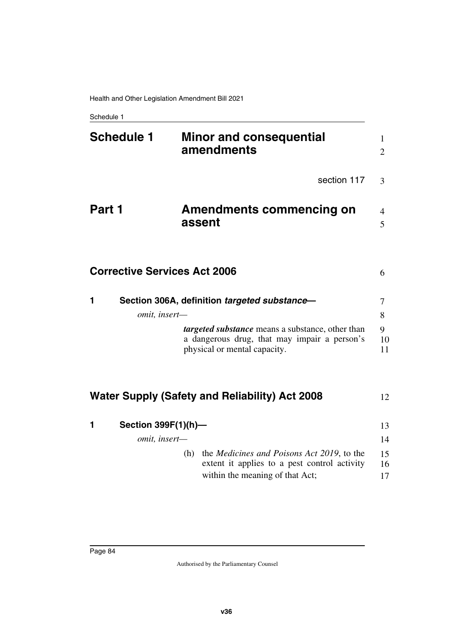Schedule 1

| <b>Schedule 1</b>                   | <b>Minor and consequential</b><br>amendments                                                                                                 | 1.<br>$\overline{2}$ |
|-------------------------------------|----------------------------------------------------------------------------------------------------------------------------------------------|----------------------|
|                                     | section 117                                                                                                                                  | 3                    |
| Part 1                              | <b>Amendments commencing on</b><br>assent                                                                                                    | 4<br>5               |
| <b>Corrective Services Act 2006</b> |                                                                                                                                              | 6                    |
| 1                                   | Section 306A, definition targeted substance-                                                                                                 | 7                    |
| omit, insert-                       |                                                                                                                                              | 8                    |
|                                     | targeted substance means a substance, other than<br>a dangerous drug, that may impair a person's<br>physical or mental capacity.             | 9<br>10<br>11        |
|                                     | <b>Water Supply (Safety and Reliability) Act 2008</b>                                                                                        | 12                   |
| Section 399F(1)(h)-<br>1            |                                                                                                                                              | 13                   |
| omit, insert-                       |                                                                                                                                              | 14                   |
|                                     | the <i>Medicines and Poisons Act 2019</i> , to the<br>(h)<br>extent it applies to a pest control activity<br>within the meaning of that Act; | 15<br>16<br>17       |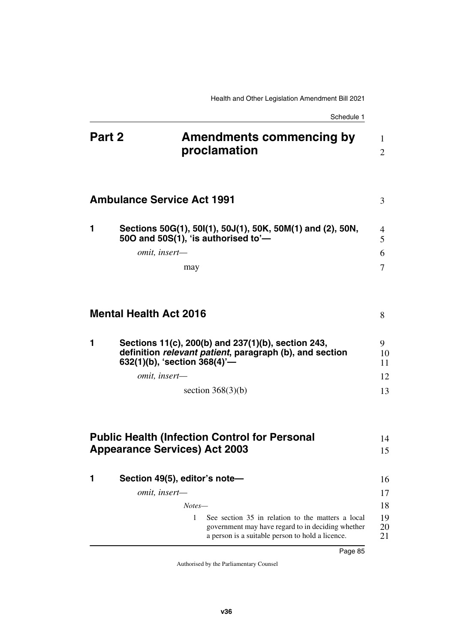Schedule 1

| Part 2 |                                      | <b>Amendments commencing by</b><br>proclamation                                                                                                            | 1<br>$\overline{2}$ |
|--------|--------------------------------------|------------------------------------------------------------------------------------------------------------------------------------------------------------|---------------------|
|        | <b>Ambulance Service Act 1991</b>    |                                                                                                                                                            | 3                   |
| 1      | 500 and 50S(1), 'is authorised to'-  | Sections 50G(1), 50I(1), 50J(1), 50K, 50M(1) and (2), 50N,                                                                                                 | 4<br>5              |
|        | omit, insert-                        |                                                                                                                                                            | 6                   |
|        | may                                  |                                                                                                                                                            | 7                   |
|        | <b>Mental Health Act 2016</b>        |                                                                                                                                                            | 8                   |
| 1      | 632(1)(b), 'section 368(4)'-         | Sections 11(c), 200(b) and 237(1)(b), section 243,<br>definition relevant patient, paragraph (b), and section                                              | 9.<br>10<br>11      |
|        | omit, insert-                        |                                                                                                                                                            | 12                  |
|        |                                      | section $368(3)(b)$                                                                                                                                        | 13                  |
|        |                                      | <b>Public Health (Infection Control for Personal</b>                                                                                                       | 14                  |
|        | <b>Appearance Services) Act 2003</b> |                                                                                                                                                            | 15                  |
|        |                                      |                                                                                                                                                            |                     |
| 1      | Section 49(5), editor's note-        |                                                                                                                                                            | 16                  |
|        | omit, insert-                        |                                                                                                                                                            | 17                  |
|        | Notes—                               |                                                                                                                                                            | 18                  |
|        | 1                                    | See section 35 in relation to the matters a local<br>government may have regard to in deciding whether<br>a person is a suitable person to hold a licence. | 19<br>20<br>21      |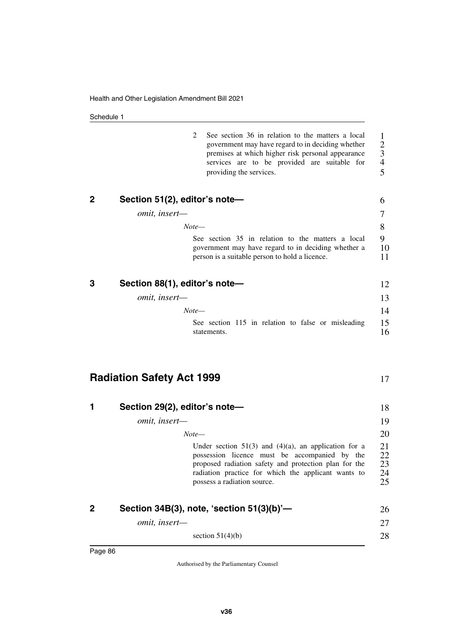Schedule 1

| 2<br>See section 36 in relation to the matters a local<br>government may have regard to in deciding whether<br>premises at which higher risk personal appearance<br>services are to be provided are suitable for<br>providing the services.               | 1<br>$\overline{c}$<br>$\mathfrak{Z}$<br>$\overline{4}$<br>5 |
|-----------------------------------------------------------------------------------------------------------------------------------------------------------------------------------------------------------------------------------------------------------|--------------------------------------------------------------|
| 2<br>Section 51(2), editor's note-                                                                                                                                                                                                                        | 6                                                            |
| omit, insert-                                                                                                                                                                                                                                             | 7                                                            |
| $Note-$                                                                                                                                                                                                                                                   | 8                                                            |
| See section 35 in relation to the matters a local<br>government may have regard to in deciding whether a<br>person is a suitable person to hold a licence.                                                                                                | 9<br>10<br>11                                                |
| 3<br>Section 88(1), editor's note-                                                                                                                                                                                                                        | 12                                                           |
| omit, insert-                                                                                                                                                                                                                                             | 13                                                           |
| $Note-$                                                                                                                                                                                                                                                   | 14                                                           |
| See section 115 in relation to false or misleading<br>statements.                                                                                                                                                                                         | 15<br>16                                                     |
| <b>Radiation Safety Act 1999</b>                                                                                                                                                                                                                          | 17                                                           |
| Section 29(2), editor's note-<br>1                                                                                                                                                                                                                        | 18                                                           |
| omit, insert-                                                                                                                                                                                                                                             | 19                                                           |
| $Note-$                                                                                                                                                                                                                                                   | 20                                                           |
| Under section $51(3)$ and $(4)(a)$ , an application for a<br>possession licence must be accompanied by the<br>proposed radiation safety and protection plan for the<br>radiation practice for which the applicant wants to<br>possess a radiation source. | 21<br>22<br>23<br>24<br>25                                   |
|                                                                                                                                                                                                                                                           |                                                              |
| 2<br>Section 34B(3), note, 'section 51(3)(b)'-                                                                                                                                                                                                            | 26                                                           |

section  $51(4)(b)$ 

28